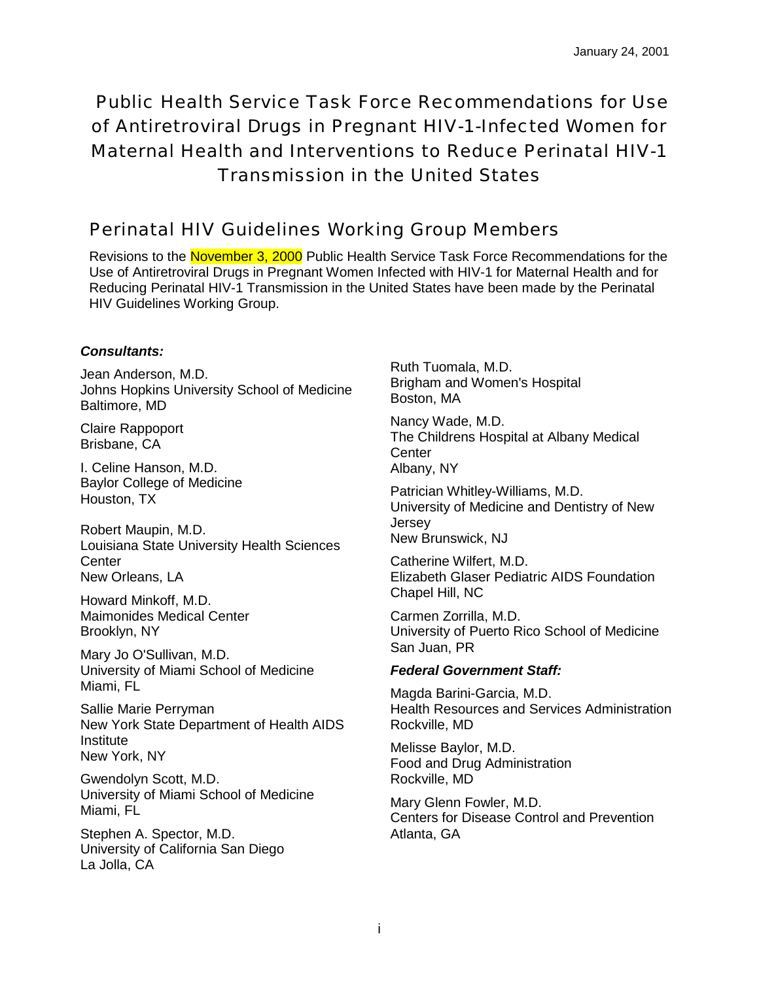Public Health Service Task Force Recommendations for Use of Antiretroviral Drugs in Pregnant HIV-1-Infected Women for Maternal Health and Interventions to Reduce Perinatal HIV-1 Transmission in the United States

# Perinatal HIV Guidelines Working Group Members

Revisions to the November 3, 2000 Public Health Service Task Force Recommendations for the Use of Antiretroviral Drugs in Pregnant Women Infected with HIV-1 for Maternal Health and for Reducing Perinatal HIV-1 Transmission in the United States have been made by the Perinatal HIV Guidelines Working Group.

### *Consultants:*

Jean Anderson, M.D. Johns Hopkins University School of Medicine Baltimore, MD

Claire Rappoport Brisbane, CA

I. Celine Hanson, M.D. Baylor College of Medicine Houston, TX

Robert Maupin, M.D. Louisiana State University Health Sciences **Center** New Orleans, LA

Howard Minkoff, M.D. Maimonides Medical Center Brooklyn, NY

Mary Jo O'Sullivan, M.D. University of Miami School of Medicine Miami, FL

Sallie Marie Perryman New York State Department of Health AIDS **Institute** New York, NY

Gwendolyn Scott, M.D. University of Miami School of Medicine Miami, FL

Stephen A. Spector, M.D. University of California San Diego La Jolla, CA

Ruth Tuomala, M.D. Brigham and Women's Hospital Boston, MA

Nancy Wade, M.D. The Childrens Hospital at Albany Medical **Center** Albany, NY

Patrician Whitley-Williams, M.D. University of Medicine and Dentistry of New **Jersey** New Brunswick, NJ

Catherine Wilfert, M.D. Elizabeth Glaser Pediatric AIDS Foundation Chapel Hill, NC

Carmen Zorrilla, M.D. University of Puerto Rico School of Medicine San Juan, PR

## *Federal Government Staff:*

Magda Barini-Garcia, M.D. Health Resources and Services Administration Rockville, MD

Melisse Baylor, M.D. Food and Drug Administration Rockville, MD

Mary Glenn Fowler, M.D. Centers for Disease Control and Prevention Atlanta, GA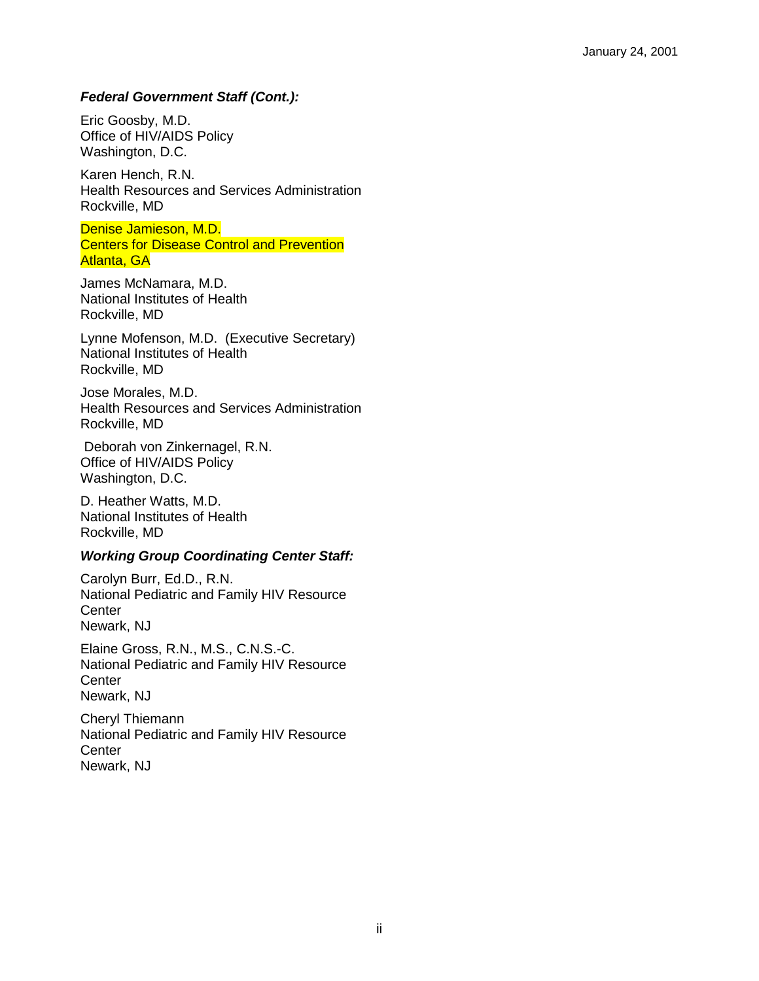#### *Federal Government Staff (Cont.):*

Eric Goosby, M.D. Office of HIV/AIDS Policy Washington, D.C.

Karen Hench, R.N. Health Resources and Services Administration Rockville, MD

Denise Jamieson, M.D. Centers for Disease Control and Prevention Atlanta, GA

James McNamara, M.D. National Institutes of Health Rockville, MD

Lynne Mofenson, M.D. (Executive Secretary) National Institutes of Health Rockville, MD

Jose Morales, M.D. Health Resources and Services Administration Rockville, MD

 Deborah von Zinkernagel, R.N. Office of HIV/AIDS Policy Washington, D.C.

D. Heather Watts, M.D. National Institutes of Health Rockville, MD

#### *Working Group Coordinating Center Staff:*

Carolyn Burr, Ed.D., R.N. National Pediatric and Family HIV Resource **Center** Newark, NJ

Elaine Gross, R.N., M.S., C.N.S.-C. National Pediatric and Family HIV Resource **Center** Newark, NJ

Cheryl Thiemann National Pediatric and Family HIV Resource **Center** Newark, NJ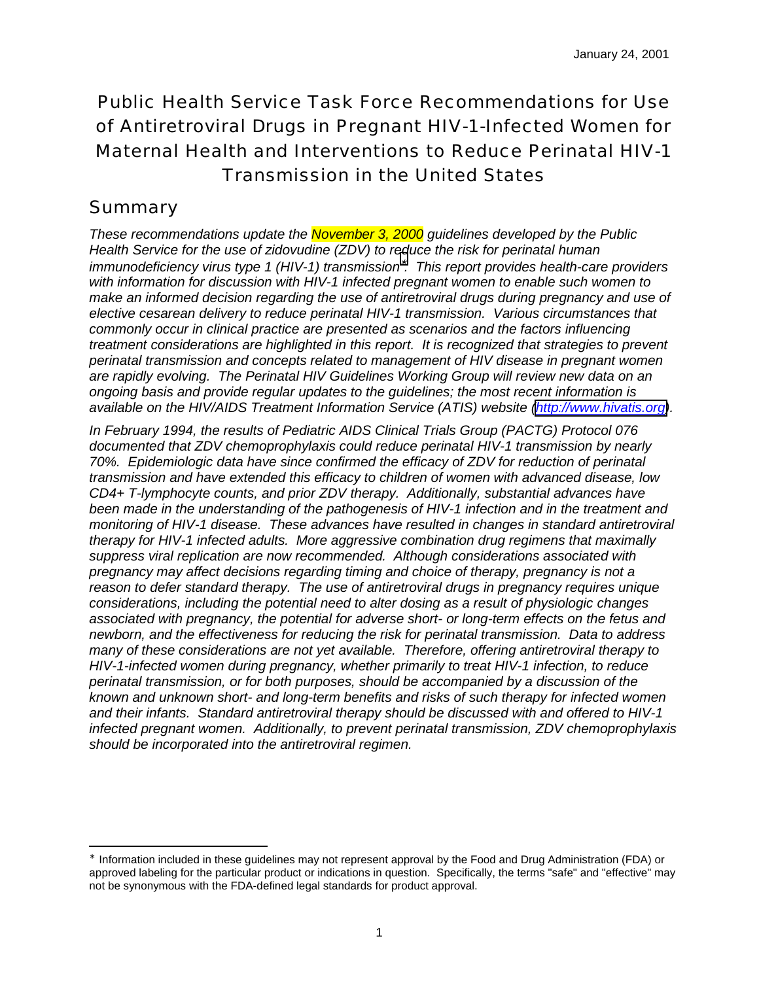Public Health Service Task Force Recommendations for Use of Antiretroviral Drugs in Pregnant HIV-1-Infected Women for Maternal Health and Interventions to Reduce Perinatal HIV-1 Transmission in the United States

# Summary

 $\overline{a}$ 

*These recommendations update the November 3, 2000 guidelines developed by the Public Health Service for the use of zidovudine (ZDV) to reduce the risk for perinatal human immunodeficiency virus type 1 (HIV-1) transmission*<sup>∗</sup> *. This report provides health-care providers with information for discussion with HIV-1 infected pregnant women to enable such women to make an informed decision regarding the use of antiretroviral drugs during pregnancy and use of elective cesarean delivery to reduce perinatal HIV-1 transmission. Various circumstances that commonly occur in clinical practice are presented as scenarios and the factors influencing treatment considerations are highlighted in this report. It is recognized that strategies to prevent perinatal transmission and concepts related to management of HIV disease in pregnant women are rapidly evolving. The Perinatal HIV Guidelines Working Group will review new data on an ongoing basis and provide regular updates to the guidelines; the most recent information is available on the HIV/AIDS Treatment Information Service (ATIS) website [\(http://www.hivatis.org\)](http://www.hivatis.org/).*

*In February 1994, the results of Pediatric AIDS Clinical Trials Group (PACTG) Protocol 076 documented that ZDV chemoprophylaxis could reduce perinatal HIV-1 transmission by nearly 70%. Epidemiologic data have since confirmed the efficacy of ZDV for reduction of perinatal transmission and have extended this efficacy to children of women with advanced disease, low CD4+ T-lymphocyte counts, and prior ZDV therapy. Additionally, substantial advances have been made in the understanding of the pathogenesis of HIV-1 infection and in the treatment and monitoring of HIV-1 disease. These advances have resulted in changes in standard antiretroviral therapy for HIV-1 infected adults. More aggressive combination drug regimens that maximally suppress viral replication are now recommended. Although considerations associated with pregnancy may affect decisions regarding timing and choice of therapy, pregnancy is not a reason to defer standard therapy. The use of antiretroviral drugs in pregnancy requires unique considerations, including the potential need to alter dosing as a result of physiologic changes associated with pregnancy, the potential for adverse short- or long-term effects on the fetus and newborn, and the effectiveness for reducing the risk for perinatal transmission. Data to address many of these considerations are not yet available. Therefore, offering antiretroviral therapy to HIV-1-infected women during pregnancy, whether primarily to treat HIV-1 infection, to reduce perinatal transmission, or for both purposes, should be accompanied by a discussion of the known and unknown short- and long-term benefits and risks of such therapy for infected women and their infants. Standard antiretroviral therapy should be discussed with and offered to HIV-1 infected pregnant women. Additionally, to prevent perinatal transmission, ZDV chemoprophylaxis should be incorporated into the antiretroviral regimen.*

<sup>∗</sup> Information included in these guidelines may not represent approval by the Food and Drug Administration (FDA) or approved labeling for the particular product or indications in question. Specifically, the terms "safe" and "effective" may not be synonymous with the FDA-defined legal standards for product approval.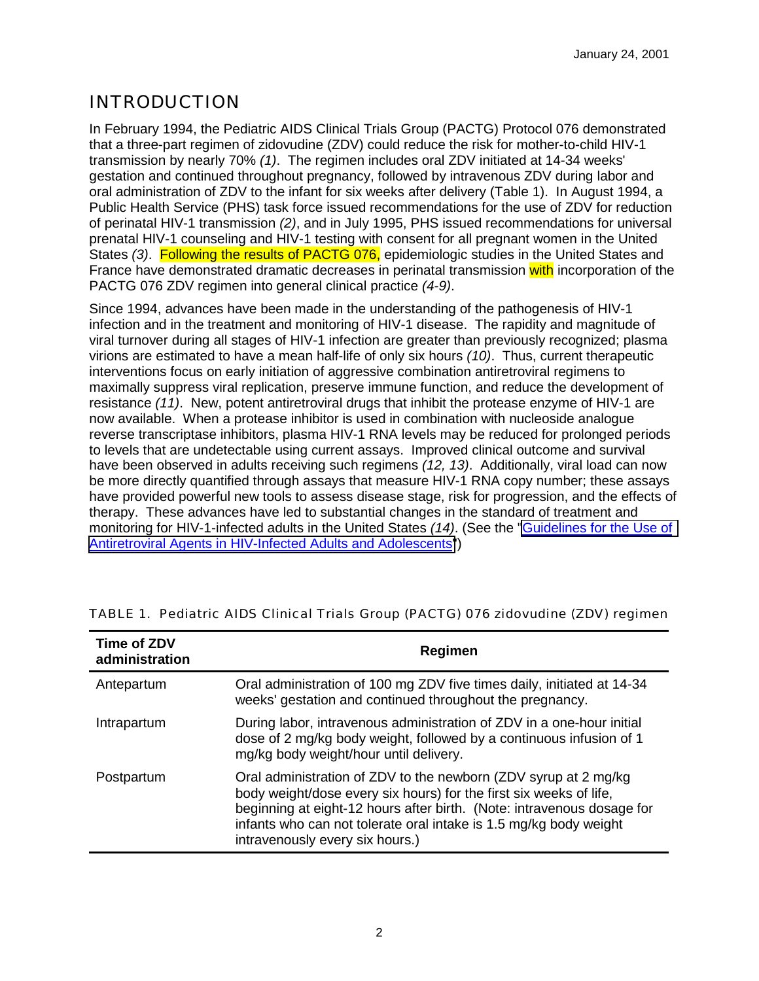# INTRODUCTION

In February 1994, the Pediatric AIDS Clinical Trials Group (PACTG) Protocol 076 demonstrated that a three-part regimen of zidovudine (ZDV) could reduce the risk for mother-to-child HIV-1 transmission by nearly 70% *(1)*. The regimen includes oral ZDV initiated at 14-34 weeks' gestation and continued throughout pregnancy, followed by intravenous ZDV during labor and oral administration of ZDV to the infant for six weeks after delivery (Table 1). In August 1994, a Public Health Service (PHS) task force issued recommendations for the use of ZDV for reduction of perinatal HIV-1 transmission *(2)*, and in July 1995, PHS issued recommendations for universal prenatal HIV-1 counseling and HIV-1 testing with consent for all pregnant women in the United States *(3)*. Following the results of PACTG 076, epidemiologic studies in the United States and France have demonstrated dramatic decreases in perinatal transmission with incorporation of the PACTG 076 ZDV regimen into general clinical practice *(4-9)*.

Since 1994, advances have been made in the understanding of the pathogenesis of HIV-1 infection and in the treatment and monitoring of HIV-1 disease. The rapidity and magnitude of viral turnover during all stages of HIV-1 infection are greater than previously recognized; plasma virions are estimated to have a mean half-life of only six hours *(10)*. Thus, current therapeutic interventions focus on early initiation of aggressive combination antiretroviral regimens to maximally suppress viral replication, preserve immune function, and reduce the development of resistance *(11)*. New, potent antiretroviral drugs that inhibit the protease enzyme of HIV-1 are now available. When a protease inhibitor is used in combination with nucleoside analogue reverse transcriptase inhibitors, plasma HIV-1 RNA levels may be reduced for prolonged periods to levels that are undetectable using current assays. Improved clinical outcome and survival have been observed in adults receiving such regimens *(12, 13)*. Additionally, viral load can now be more directly quantified through assays that measure HIV-1 RNA copy number; these assays have provided powerful new tools to assess disease stage, risk for progression, and the effects of therapy. These advances have led to substantial changes in the standard of treatment and monitoring for HIV-1-infected adults in the United States *(14)*. (See the ["Guidelines for the Use of](http://hivatis.org/guidelines/adult/pdf/A&ajani.pdf) [Antiretroviral Agents in HIV-Infected Adults and Adolescents"](http://hivatis.org/guidelines/adult/pdf/A&ajani.pdf))

| Time of ZDV<br>administration | Regimen                                                                                                                                                                                                                                                                                                                  |
|-------------------------------|--------------------------------------------------------------------------------------------------------------------------------------------------------------------------------------------------------------------------------------------------------------------------------------------------------------------------|
| Antepartum                    | Oral administration of 100 mg ZDV five times daily, initiated at 14-34<br>weeks' gestation and continued throughout the pregnancy.                                                                                                                                                                                       |
| Intrapartum                   | During labor, intravenous administration of ZDV in a one-hour initial<br>dose of 2 mg/kg body weight, followed by a continuous infusion of 1<br>mg/kg body weight/hour until delivery.                                                                                                                                   |
| Postpartum                    | Oral administration of ZDV to the newborn (ZDV syrup at 2 mg/kg)<br>body weight/dose every six hours) for the first six weeks of life,<br>beginning at eight-12 hours after birth. (Note: intravenous dosage for<br>infants who can not tolerate oral intake is 1.5 mg/kg body weight<br>intravenously every six hours.) |

TABLE 1. Pediatric AIDS Clinical Trials Group (PACTG) 076 zidovudine (ZDV) regimen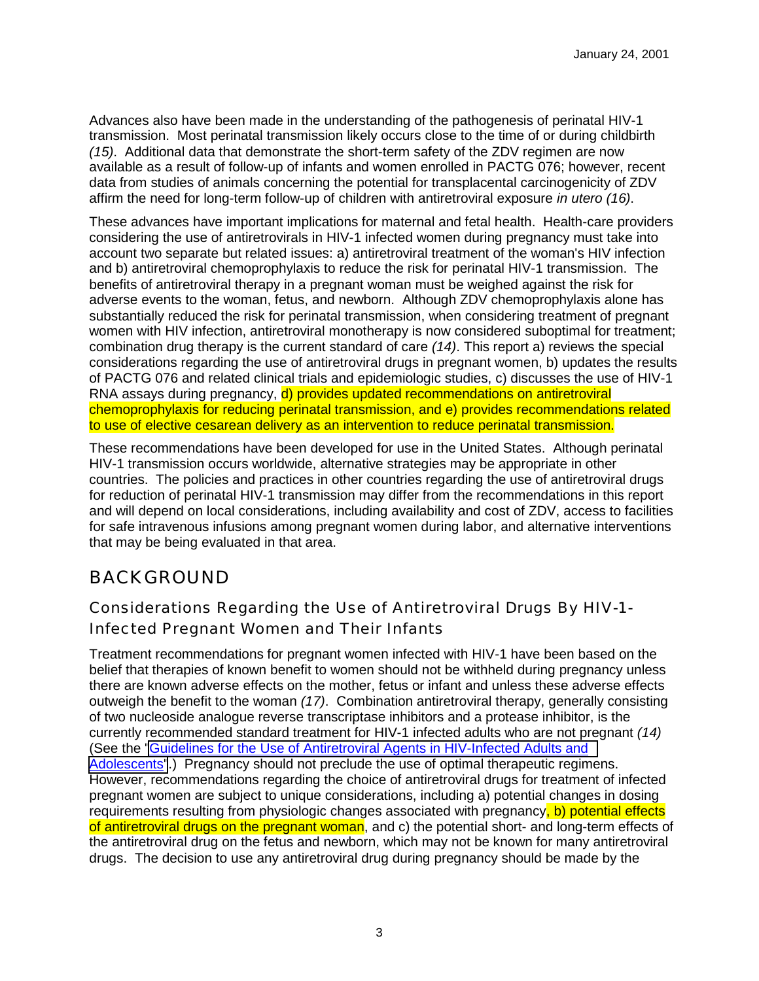Advances also have been made in the understanding of the pathogenesis of perinatal HIV-1 transmission. Most perinatal transmission likely occurs close to the time of or during childbirth *(15)*. Additional data that demonstrate the short-term safety of the ZDV regimen are now available as a result of follow-up of infants and women enrolled in PACTG 076; however, recent data from studies of animals concerning the potential for transplacental carcinogenicity of ZDV affirm the need for long-term follow-up of children with antiretroviral exposure *in utero (16)*.

These advances have important implications for maternal and fetal health. Health-care providers considering the use of antiretrovirals in HIV-1 infected women during pregnancy must take into account two separate but related issues: a) antiretroviral treatment of the woman's HIV infection and b) antiretroviral chemoprophylaxis to reduce the risk for perinatal HIV-1 transmission. The benefits of antiretroviral therapy in a pregnant woman must be weighed against the risk for adverse events to the woman, fetus, and newborn. Although ZDV chemoprophylaxis alone has substantially reduced the risk for perinatal transmission, when considering treatment of pregnant women with HIV infection, antiretroviral monotherapy is now considered suboptimal for treatment; combination drug therapy is the current standard of care *(14)*. This report a) reviews the special considerations regarding the use of antiretroviral drugs in pregnant women, b) updates the results of PACTG 076 and related clinical trials and epidemiologic studies, c) discusses the use of HIV-1 RNA assays during pregnancy, d) provides updated recommendations on antiretroviral chemoprophylaxis for reducing perinatal transmission, and e) provides recommendations related to use of elective cesarean delivery as an intervention to reduce perinatal transmission.

These recommendations have been developed for use in the United States. Although perinatal HIV-1 transmission occurs worldwide, alternative strategies may be appropriate in other countries. The policies and practices in other countries regarding the use of antiretroviral drugs for reduction of perinatal HIV-1 transmission may differ from the recommendations in this report and will depend on local considerations, including availability and cost of ZDV, access to facilities for safe intravenous infusions among pregnant women during labor, and alternative interventions that may be being evaluated in that area.

# BACKGROUND

Considerations Regarding the Use of Antiretroviral Drugs By HIV-1- Infected Pregnant Women and Their Infants

Treatment recommendations for pregnant women infected with HIV-1 have been based on the belief that therapies of known benefit to women should not be withheld during pregnancy unless there are known adverse effects on the mother, fetus or infant and unless these adverse effects outweigh the benefit to the woman *(17)*. Combination antiretroviral therapy, generally consisting of two nucleoside analogue reverse transcriptase inhibitors and a protease inhibitor, is the currently recommended standard treatment for HIV-1 infected adults who are not pregnant *(14)* (See the ["Guidelines for the Use of Antiretroviral Agents in HIV-Infected Adults and](http://hivatis.org/guidelines/adult/pdf/A&ajani.pdf) [Adolescents"](http://hivatis.org/guidelines/adult/pdf/A&ajani.pdf).) Pregnancy should not preclude the use of optimal therapeutic regimens. However, recommendations regarding the choice of antiretroviral drugs for treatment of infected pregnant women are subject to unique considerations, including a) potential changes in dosing requirements resulting from physiologic changes associated with pregnancy, b) potential effects of antiretroviral drugs on the pregnant woman, and c) the potential short- and long-term effects of the antiretroviral drug on the fetus and newborn, which may not be known for many antiretroviral drugs. The decision to use any antiretroviral drug during pregnancy should be made by the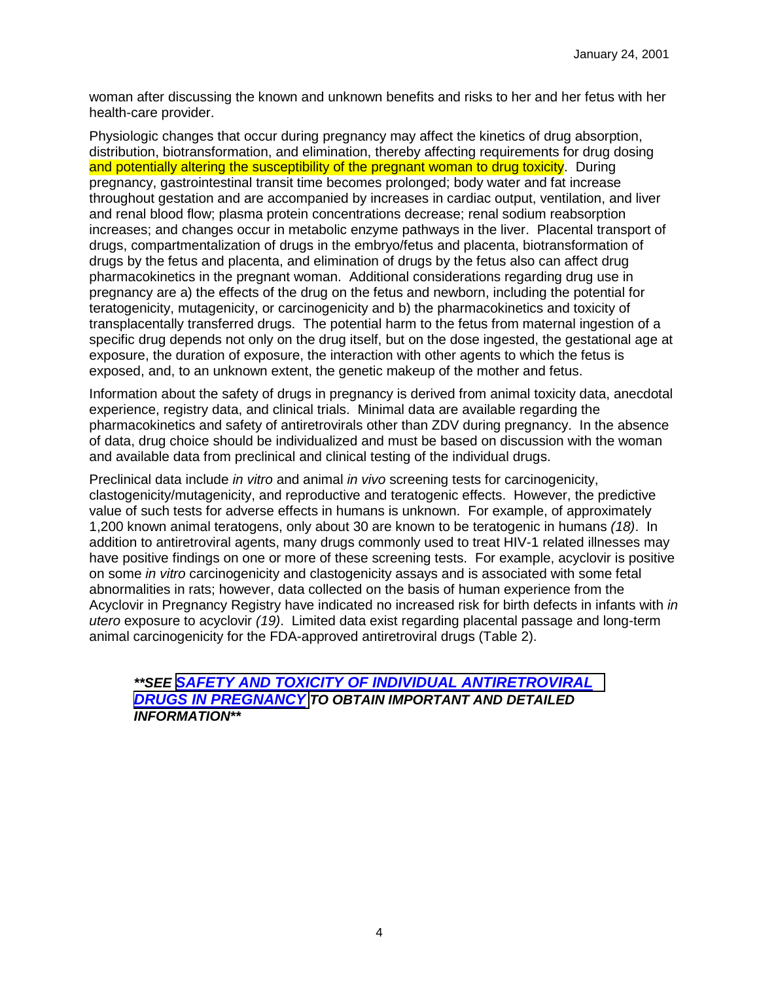woman after discussing the known and unknown benefits and risks to her and her fetus with her health-care provider.

Physiologic changes that occur during pregnancy may affect the kinetics of drug absorption, distribution, biotransformation, and elimination, thereby affecting requirements for drug dosing and potentially altering the susceptibility of the pregnant woman to drug toxicity. During pregnancy, gastrointestinal transit time becomes prolonged; body water and fat increase throughout gestation and are accompanied by increases in cardiac output, ventilation, and liver and renal blood flow; plasma protein concentrations decrease; renal sodium reabsorption increases; and changes occur in metabolic enzyme pathways in the liver. Placental transport of drugs, compartmentalization of drugs in the embryo/fetus and placenta, biotransformation of drugs by the fetus and placenta, and elimination of drugs by the fetus also can affect drug pharmacokinetics in the pregnant woman. Additional considerations regarding drug use in pregnancy are a) the effects of the drug on the fetus and newborn, including the potential for teratogenicity, mutagenicity, or carcinogenicity and b) the pharmacokinetics and toxicity of transplacentally transferred drugs. The potential harm to the fetus from maternal ingestion of a specific drug depends not only on the drug itself, but on the dose ingested, the gestational age at exposure, the duration of exposure, the interaction with other agents to which the fetus is exposed, and, to an unknown extent, the genetic makeup of the mother and fetus.

Information about the safety of drugs in pregnancy is derived from animal toxicity data, anecdotal experience, registry data, and clinical trials. Minimal data are available regarding the pharmacokinetics and safety of antiretrovirals other than ZDV during pregnancy. In the absence of data, drug choice should be individualized and must be based on discussion with the woman and available data from preclinical and clinical testing of the individual drugs.

Preclinical data include *in vitro* and animal *in vivo* screening tests for carcinogenicity, clastogenicity/mutagenicity, and reproductive and teratogenic effects. However, the predictive value of such tests for adverse effects in humans is unknown. For example, of approximately 1,200 known animal teratogens, only about 30 are known to be teratogenic in humans *(18)*. In addition to antiretroviral agents, many drugs commonly used to treat HIV-1 related illnesses may have positive findings on one or more of these screening tests. For example, acyclovir is positive on some *in vitro* carcinogenicity and clastogenicity assays and is associated with some fetal abnormalities in rats; however, data collected on the basis of human experience from the Acyclovir in Pregnancy Registry have indicated no increased risk for birth defects in infants with *in utero* exposure to acyclovir *(19)*. Limited data exist regarding placental passage and long-term animal carcinogenicity for the FDA-approved antiretroviral drugs (Table 2).

### *\*\*SEE [SAFETY AND TOXICITY OF INDIVIDUAL ANTIRETROVIRAL](http://www.hivatis.org/guidelines/pre_jan2401.pdf) [DRUGS IN PREGNANCY](http://www.hivatis.org/guidelines/adult/text/pregnancy1.html) TO OBTAIN IMPORTANT AND DETAILED INFORMATION\*\**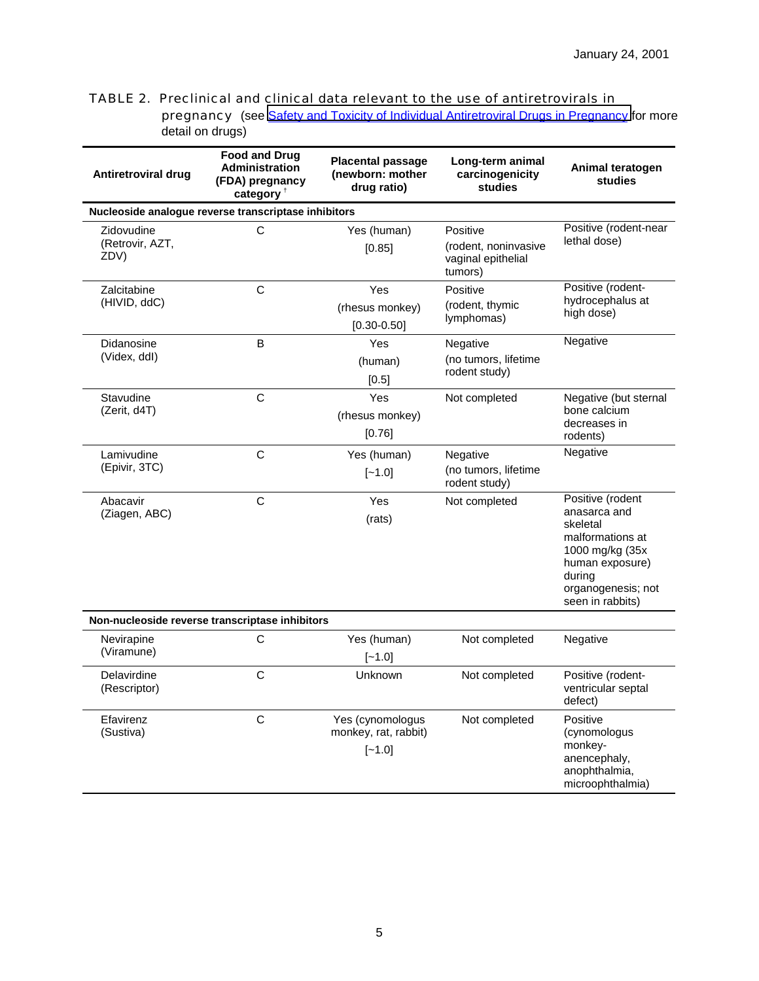| TABLE 2. Preclinical and clinical data relevant to the use of antiretrovirals in            |
|---------------------------------------------------------------------------------------------|
| pregnancy (see Safety and Toxicity of Individual Antiretroviral Drugs in Pregnancy for more |
| detail on drugs)                                                                            |

| Antiretroviral drug                   | <b>Food and Drug</b><br><b>Administration</b><br>(FDA) pregnancy<br>category <sup>+</sup> | <b>Placental passage</b><br>(newborn: mother<br>drug ratio) | Long-term animal<br>carcinogenicity<br>studies                    | Animal teratogen<br>studies                                                                                                                                 |
|---------------------------------------|-------------------------------------------------------------------------------------------|-------------------------------------------------------------|-------------------------------------------------------------------|-------------------------------------------------------------------------------------------------------------------------------------------------------------|
|                                       | Nucleoside analogue reverse transcriptase inhibitors                                      |                                                             |                                                                   |                                                                                                                                                             |
| Zidovudine<br>(Retrovir, AZT,<br>ZDV) | С                                                                                         | Yes (human)<br>[0.85]                                       | Positive<br>(rodent, noninvasive<br>vaginal epithelial<br>tumors) | Positive (rodent-near<br>lethal dose)                                                                                                                       |
| Zalcitabine<br>(HIVID, ddC)           | C                                                                                         | Yes<br>(rhesus monkey)<br>$[0.30 - 0.50]$                   | Positive<br>(rodent, thymic<br>lymphomas)                         | Positive (rodent-<br>hydrocephalus at<br>high dose)                                                                                                         |
| Didanosine<br>(Videx, ddl)            | B                                                                                         | Yes<br>(human)<br>[0.5]                                     | Negative<br>(no tumors, lifetime<br>rodent study)                 | Negative                                                                                                                                                    |
| Stavudine<br>(Zerit, d4T)             | C                                                                                         | Yes<br>(rhesus monkey)<br>[0.76]                            | Not completed                                                     | Negative (but sternal<br>bone calcium<br>decreases in<br>rodents)                                                                                           |
| Lamivudine<br>(Epivir, 3TC)           | $\mathsf{C}$                                                                              | Yes (human)<br>$[-1.0]$                                     | Negative<br>(no tumors, lifetime<br>rodent study)                 | Negative                                                                                                                                                    |
| Abacavir<br>(Ziagen, ABC)             | C                                                                                         | Yes<br>(rats)                                               | Not completed                                                     | Positive (rodent<br>anasarca and<br>skeletal<br>malformations at<br>1000 mg/kg (35x)<br>human exposure)<br>during<br>organogenesis; not<br>seen in rabbits) |
|                                       | Non-nucleoside reverse transcriptase inhibitors                                           |                                                             |                                                                   |                                                                                                                                                             |
| Nevirapine<br>(Viramune)              | С                                                                                         | Yes (human)<br>$[-1.0]$                                     | Not completed                                                     | Negative                                                                                                                                                    |
| Delavirdine<br>(Rescriptor)           | $\mathsf{C}$                                                                              | Unknown                                                     | Not completed                                                     | Positive (rodent-<br>ventricular septal<br>defect)                                                                                                          |
| Efavirenz<br>(Sustiva)                | $\mathsf{C}$                                                                              | Yes (cynomologus<br>monkey, rat, rabbit)<br>$[-1.0]$        | Not completed                                                     | Positive<br>(cynomologus<br>monkey-<br>anencephaly,<br>anophthalmia,<br>microophthalmia)                                                                    |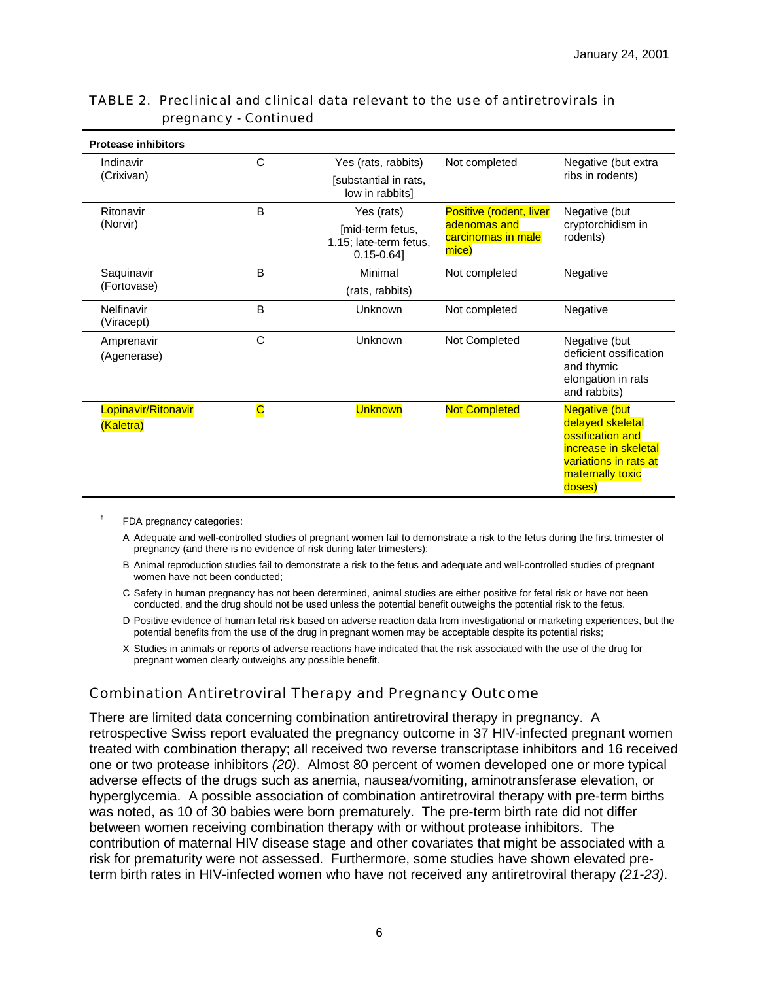| TABLE 2. Preclinical and clinical data relevant to the use of antiretrovirals in |  |
|----------------------------------------------------------------------------------|--|
| pregnancy - Continued                                                            |  |

| <b>Protease inhibitors</b>       |                         |                                                               |                                             |                                                                                                                                             |
|----------------------------------|-------------------------|---------------------------------------------------------------|---------------------------------------------|---------------------------------------------------------------------------------------------------------------------------------------------|
| Indinavir                        | C                       | Yes (rats, rabbits)                                           | Not completed                               | Negative (but extra                                                                                                                         |
| (Crixivan)                       |                         | [substantial in rats,<br>low in rabbits]                      |                                             | ribs in rodents)                                                                                                                            |
| Ritonavir                        | B                       | Yes (rats)                                                    | Positive (rodent, liver                     | Negative (but                                                                                                                               |
| (Norvir)                         |                         | [mid-term fetus,<br>1.15; late-term fetus,<br>$0.15 - 0.64$ ] | adenomas and<br>carcinomas in male<br>mice) | cryptorchidism in<br>rodents)                                                                                                               |
| Saquinavir                       | B                       | Minimal                                                       | Not completed                               | Negative                                                                                                                                    |
| (Fortovase)                      |                         | (rats, rabbits)                                               |                                             |                                                                                                                                             |
| Nelfinavir<br>(Viracept)         | B                       | Unknown                                                       | Not completed                               | Negative                                                                                                                                    |
| Amprenavir<br>(Agenerase)        | C                       | Unknown                                                       | Not Completed                               | Negative (but<br>deficient ossification<br>and thymic<br>elongation in rats<br>and rabbits)                                                 |
| Lopinavir/Ritonavir<br>(Kaletra) | $\overline{\mathbf{C}}$ | <b>Unknown</b>                                                | <b>Not Completed</b>                        | <b>Negative (but</b><br>delayed skeletal<br>ossification and<br>increase in skeletal<br>variations in rats at<br>maternally toxic<br>doses) |

† FDA pregnancy categories:

- A Adequate and well-controlled studies of pregnant women fail to demonstrate a risk to the fetus during the first trimester of pregnancy (and there is no evidence of risk during later trimesters);
- B Animal reproduction studies fail to demonstrate a risk to the fetus and adequate and well-controlled studies of pregnant women have not been conducted;
- C Safety in human pregnancy has not been determined, animal studies are either positive for fetal risk or have not been conducted, and the drug should not be used unless the potential benefit outweighs the potential risk to the fetus.
- D Positive evidence of human fetal risk based on adverse reaction data from investigational or marketing experiences, but the potential benefits from the use of the drug in pregnant women may be acceptable despite its potential risks;
- X Studies in animals or reports of adverse reactions have indicated that the risk associated with the use of the drug for pregnant women clearly outweighs any possible benefit.

#### Combination Antiretroviral Therapy and Pregnancy Outcome

There are limited data concerning combination antiretroviral therapy in pregnancy. A retrospective Swiss report evaluated the pregnancy outcome in 37 HIV-infected pregnant women treated with combination therapy; all received two reverse transcriptase inhibitors and 16 received one or two protease inhibitors *(20)*. Almost 80 percent of women developed one or more typical adverse effects of the drugs such as anemia, nausea/vomiting, aminotransferase elevation, or hyperglycemia. A possible association of combination antiretroviral therapy with pre-term births was noted, as 10 of 30 babies were born prematurely. The pre-term birth rate did not differ between women receiving combination therapy with or without protease inhibitors. The contribution of maternal HIV disease stage and other covariates that might be associated with a risk for prematurity were not assessed. Furthermore, some studies have shown elevated preterm birth rates in HIV-infected women who have not received any antiretroviral therapy *(21-23)*.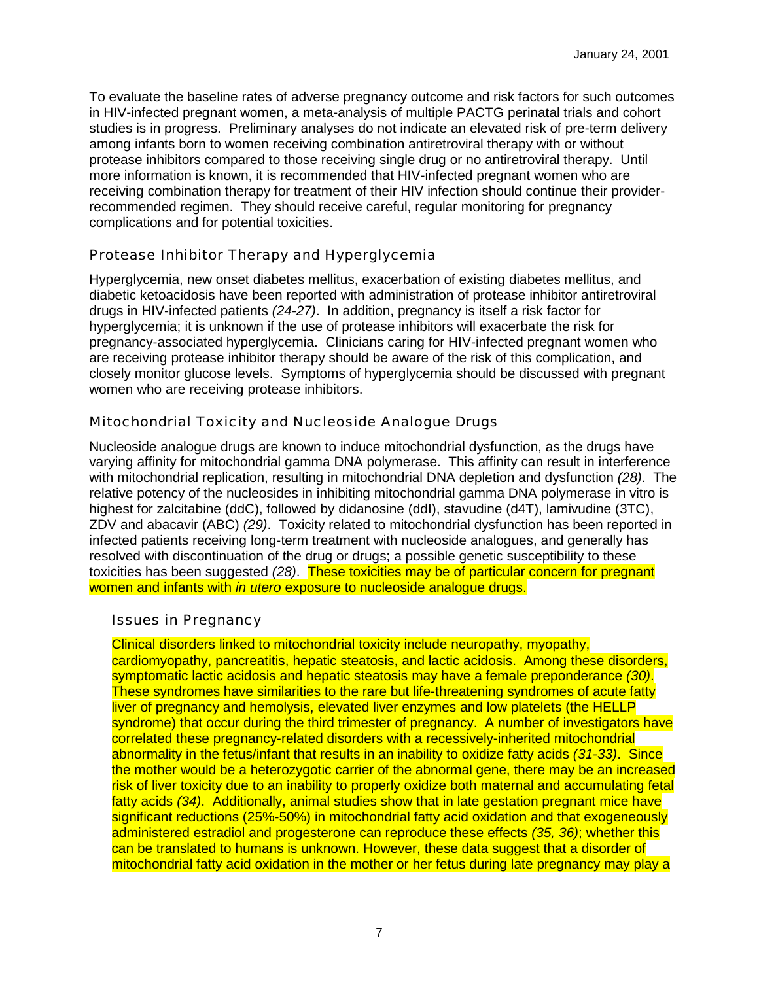To evaluate the baseline rates of adverse pregnancy outcome and risk factors for such outcomes in HIV-infected pregnant women, a meta-analysis of multiple PACTG perinatal trials and cohort studies is in progress. Preliminary analyses do not indicate an elevated risk of pre-term delivery among infants born to women receiving combination antiretroviral therapy with or without protease inhibitors compared to those receiving single drug or no antiretroviral therapy. Until more information is known, it is recommended that HIV-infected pregnant women who are receiving combination therapy for treatment of their HIV infection should continue their providerrecommended regimen. They should receive careful, regular monitoring for pregnancy complications and for potential toxicities.

#### Protease Inhibitor Therapy and Hyperglycemia

Hyperglycemia, new onset diabetes mellitus, exacerbation of existing diabetes mellitus, and diabetic ketoacidosis have been reported with administration of protease inhibitor antiretroviral drugs in HIV-infected patients *(24-27)*. In addition, pregnancy is itself a risk factor for hyperglycemia; it is unknown if the use of protease inhibitors will exacerbate the risk for pregnancy-associated hyperglycemia. Clinicians caring for HIV-infected pregnant women who are receiving protease inhibitor therapy should be aware of the risk of this complication, and closely monitor glucose levels. Symptoms of hyperglycemia should be discussed with pregnant women who are receiving protease inhibitors.

### Mitochondrial Toxicity and Nucleoside Analogue Drugs

Nucleoside analogue drugs are known to induce mitochondrial dysfunction, as the drugs have varying affinity for mitochondrial gamma DNA polymerase. This affinity can result in interference with mitochondrial replication, resulting in mitochondrial DNA depletion and dysfunction *(28)*. The relative potency of the nucleosides in inhibiting mitochondrial gamma DNA polymerase in vitro is highest for zalcitabine (ddC), followed by didanosine (ddI), stavudine (d4T), lamivudine (3TC), ZDV and abacavir (ABC) *(29)*. Toxicity related to mitochondrial dysfunction has been reported in infected patients receiving long-term treatment with nucleoside analogues, and generally has resolved with discontinuation of the drug or drugs; a possible genetic susceptibility to these toxicities has been suggested *(28)*. These toxicities may be of particular concern for pregnant women and infants with *in utero* exposure to nucleoside analogue drugs.

#### Issues in Pregnancy

Clinical disorders linked to mitochondrial toxicity include neuropathy, myopathy, cardiomyopathy, pancreatitis, hepatic steatosis, and lactic acidosis. Among these disorders, symptomatic lactic acidosis and hepatic steatosis may have a female preponderance *(30)*. These syndromes have similarities to the rare but life-threatening syndromes of acute fatty liver of pregnancy and hemolysis, elevated liver enzymes and low platelets (the HELLP syndrome) that occur during the third trimester of pregnancy. A number of investigators have correlated these pregnancy-related disorders with a recessively-inherited mitochondrial abnormality in the fetus/infant that results in an inability to oxidize fatty acids *(31-33)*. Since the mother would be a heterozygotic carrier of the abnormal gene, there may be an increased risk of liver toxicity due to an inability to properly oxidize both maternal and accumulating fetal fatty acids *(34)*. Additionally, animal studies show that in late gestation pregnant mice have significant reductions (25%-50%) in mitochondrial fatty acid oxidation and that exogeneously administered estradiol and progesterone can reproduce these effects *(35, 36)*; whether this can be translated to humans is unknown. However, these data suggest that a disorder of mitochondrial fatty acid oxidation in the mother or her fetus during late pregnancy may play a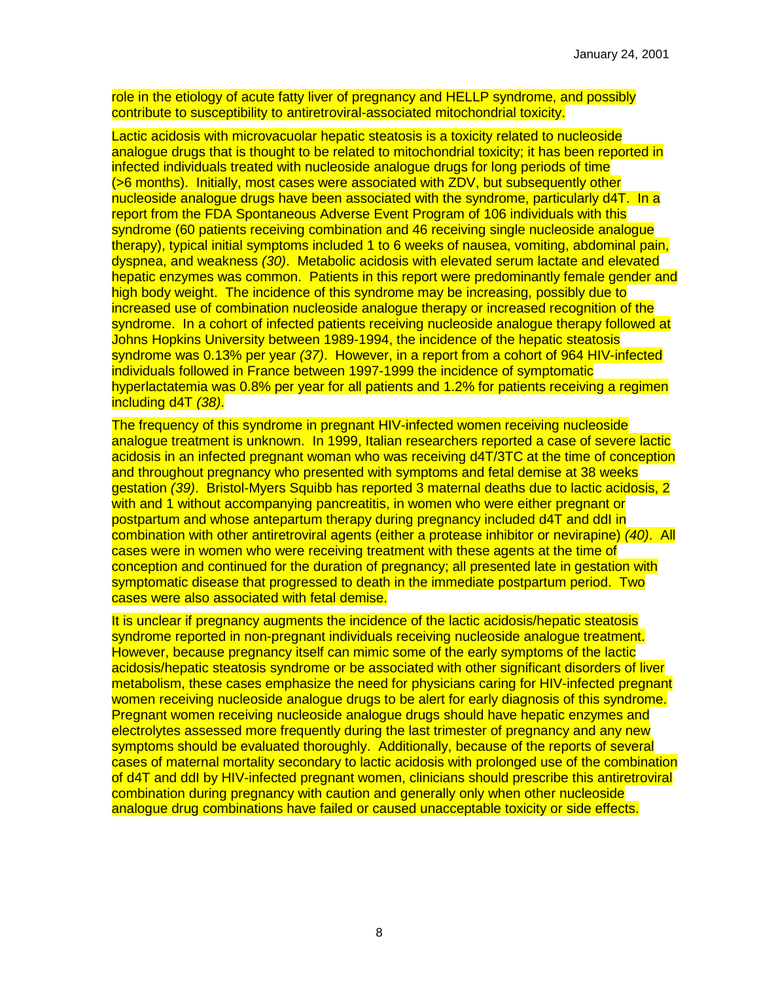role in the etiology of acute fatty liver of pregnancy and HELLP syndrome, and possibly contribute to susceptibility to antiretroviral-associated mitochondrial toxicity.

Lactic acidosis with microvacuolar hepatic steatosis is a toxicity related to nucleoside analogue drugs that is thought to be related to mitochondrial toxicity; it has been reported in infected individuals treated with nucleoside analogue drugs for long periods of time (>6 months). Initially, most cases were associated with ZDV, but subsequently other nucleoside analogue drugs have been associated with the syndrome, particularly d4T. In a report from the FDA Spontaneous Adverse Event Program of 106 individuals with this syndrome (60 patients receiving combination and 46 receiving single nucleoside analogue therapy), typical initial symptoms included 1 to 6 weeks of nausea, vomiting, abdominal pain, dyspnea, and weakness *(30)*. Metabolic acidosis with elevated serum lactate and elevated hepatic enzymes was common. Patients in this report were predominantly female gender and high body weight. The incidence of this syndrome may be increasing, possibly due to increased use of combination nucleoside analogue therapy or increased recognition of the syndrome. In a cohort of infected patients receiving nucleoside analogue therapy followed at Johns Hopkins University between 1989-1994, the incidence of the hepatic steatosis syndrome was 0.13% per year *(37)*. However, in a report from a cohort of 964 HIV-infected individuals followed in France between 1997-1999 the incidence of symptomatic hyperlactatemia was 0.8% per year for all patients and 1.2% for patients receiving a regimen including d4T *(38)*.

The frequency of this syndrome in pregnant HIV-infected women receiving nucleoside analogue treatment is unknown. In 1999, Italian researchers reported a case of severe lactic acidosis in an infected pregnant woman who was receiving d4T/3TC at the time of conception and throughout pregnancy who presented with symptoms and fetal demise at 38 weeks gestation *(39)*. Bristol-Myers Squibb has reported 3 maternal deaths due to lactic acidosis, 2 with and 1 without accompanying pancreatitis, in women who were either pregnant or postpartum and whose antepartum therapy during pregnancy included d4T and ddI in combination with other antiretroviral agents (either a protease inhibitor or nevirapine) *(40)*. All cases were in women who were receiving treatment with these agents at the time of conception and continued for the duration of pregnancy; all presented late in gestation with symptomatic disease that progressed to death in the immediate postpartum period. Two cases were also associated with fetal demise.

It is unclear if pregnancy augments the incidence of the lactic acidosis/hepatic steatosis syndrome reported in non-pregnant individuals receiving nucleoside analogue treatment. However, because pregnancy itself can mimic some of the early symptoms of the lactic acidosis/hepatic steatosis syndrome or be associated with other significant disorders of liver metabolism, these cases emphasize the need for physicians caring for HIV-infected pregnant women receiving nucleoside analogue drugs to be alert for early diagnosis of this syndrome. Pregnant women receiving nucleoside analogue drugs should have hepatic enzymes and electrolytes assessed more frequently during the last trimester of pregnancy and any new symptoms should be evaluated thoroughly. Additionally, because of the reports of several cases of maternal mortality secondary to lactic acidosis with prolonged use of the combination of d4T and ddl by HIV-infected pregnant women, clinicians should prescribe this antiretroviral combination during pregnancy with caution and generally only when other nucleoside analogue drug combinations have failed or caused unacceptable toxicity or side effects.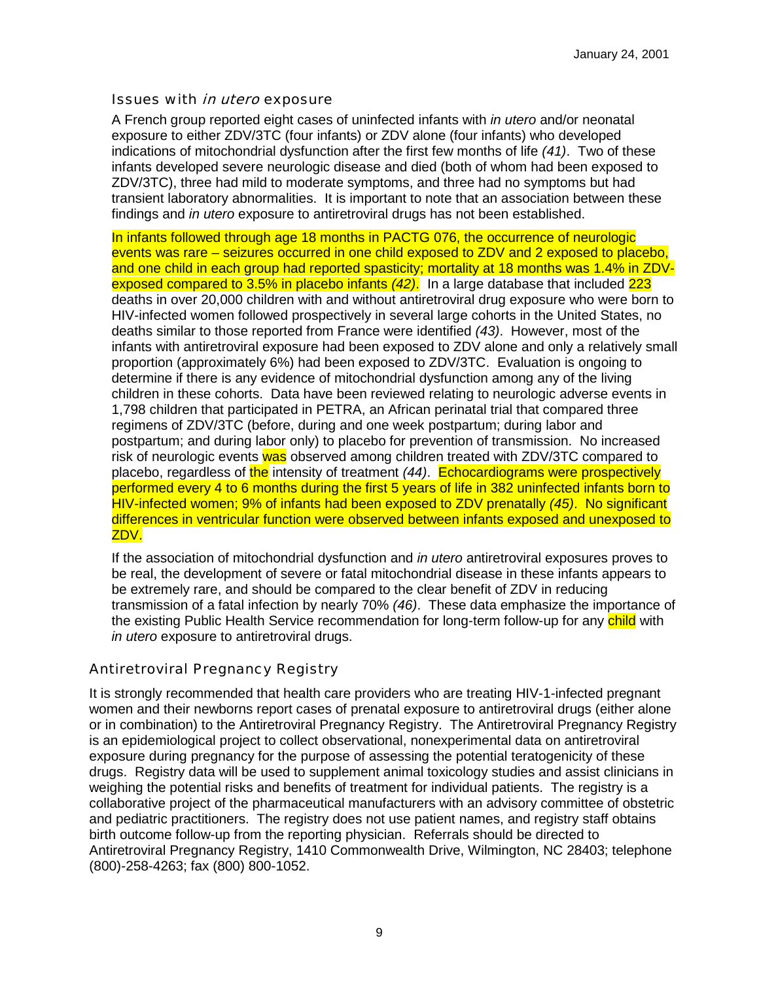#### Issues with in utero exposure

A French group reported eight cases of uninfected infants with *in utero* and/or neonatal exposure to either ZDV/3TC (four infants) or ZDV alone (four infants) who developed indications of mitochondrial dysfunction after the first few months of life *(41)*. Two of these infants developed severe neurologic disease and died (both of whom had been exposed to ZDV/3TC), three had mild to moderate symptoms, and three had no symptoms but had transient laboratory abnormalities. It is important to note that an association between these findings and *in utero* exposure to antiretroviral drugs has not been established.

In infants followed through age 18 months in PACTG 076, the occurrence of neurologic events was rare – seizures occurred in one child exposed to ZDV and 2 exposed to placebo, and one child in each group had reported spasticity; mortality at 18 months was 1.4% in ZDVexposed compared to 3.5% in placebo infants *(42)*.In a large database that included 223 deaths in over 20,000 children with and without antiretroviral drug exposure who were born to HIV-infected women followed prospectively in several large cohorts in the United States, no deaths similar to those reported from France were identified *(43)*. However, most of the infants with antiretroviral exposure had been exposed to ZDV alone and only a relatively small proportion (approximately 6%) had been exposed to ZDV/3TC. Evaluation is ongoing to determine if there is any evidence of mitochondrial dysfunction among any of the living children in these cohorts. Data have been reviewed relating to neurologic adverse events in 1,798 children that participated in PETRA, an African perinatal trial that compared three regimens of ZDV/3TC (before, during and one week postpartum; during labor and postpartum; and during labor only) to placebo for prevention of transmission. No increased risk of neurologic events was observed among children treated with ZDV/3TC compared to placebo, regardless of the intensity of treatment *(44)*. Echocardiograms were prospectively performed every 4 to 6 months during the first 5 years of life in 382 uninfected infants born to HIV-infected women; 9% of infants had been exposed to ZDV prenatally *(45)*. No significant differences in ventricular function were observed between infants exposed and unexposed to ZDV.

If the association of mitochondrial dysfunction and *in utero* antiretroviral exposures proves to be real, the development of severe or fatal mitochondrial disease in these infants appears to be extremely rare, and should be compared to the clear benefit of ZDV in reducing transmission of a fatal infection by nearly 70% *(46)*. These data emphasize the importance of the existing Public Health Service recommendation for long-term follow-up for any child with *in utero* exposure to antiretroviral drugs.

#### Antiretroviral Pregnancy Registry

It is strongly recommended that health care providers who are treating HIV-1-infected pregnant women and their newborns report cases of prenatal exposure to antiretroviral drugs (either alone or in combination) to the Antiretroviral Pregnancy Registry. The Antiretroviral Pregnancy Registry is an epidemiological project to collect observational, nonexperimental data on antiretroviral exposure during pregnancy for the purpose of assessing the potential teratogenicity of these drugs. Registry data will be used to supplement animal toxicology studies and assist clinicians in weighing the potential risks and benefits of treatment for individual patients. The registry is a collaborative project of the pharmaceutical manufacturers with an advisory committee of obstetric and pediatric practitioners. The registry does not use patient names, and registry staff obtains birth outcome follow-up from the reporting physician. Referrals should be directed to Antiretroviral Pregnancy Registry, 1410 Commonwealth Drive, Wilmington, NC 28403; telephone (800)-258-4263; fax (800) 800-1052.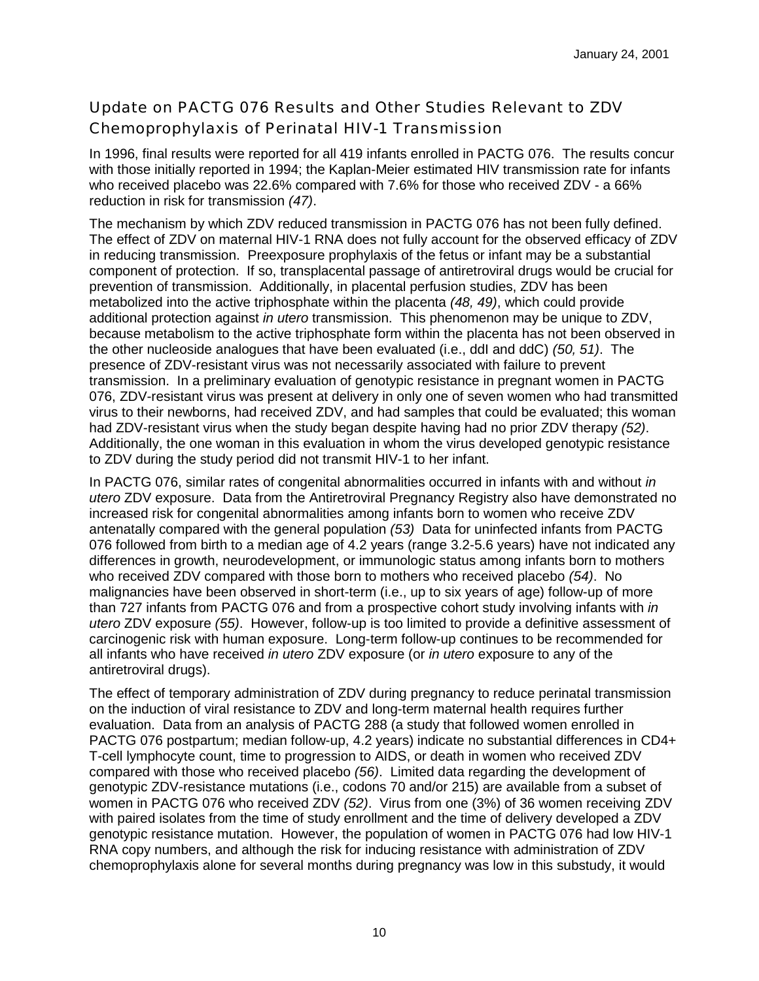# Update on PACTG 076 Results and Other Studies Relevant to ZDV Chemoprophylaxis of Perinatal HIV-1 Transmission

In 1996, final results were reported for all 419 infants enrolled in PACTG 076. The results concur with those initially reported in 1994; the Kaplan-Meier estimated HIV transmission rate for infants who received placebo was 22.6% compared with 7.6% for those who received ZDV - a 66% reduction in risk for transmission *(47)*.

The mechanism by which ZDV reduced transmission in PACTG 076 has not been fully defined. The effect of ZDV on maternal HIV-1 RNA does not fully account for the observed efficacy of ZDV in reducing transmission. Preexposure prophylaxis of the fetus or infant may be a substantial component of protection. If so, transplacental passage of antiretroviral drugs would be crucial for prevention of transmission. Additionally, in placental perfusion studies, ZDV has been metabolized into the active triphosphate within the placenta *(48, 49)*, which could provide additional protection against *in utero* transmission. This phenomenon may be unique to ZDV, because metabolism to the active triphosphate form within the placenta has not been observed in the other nucleoside analogues that have been evaluated (i.e., ddI and ddC) *(50, 51)*. The presence of ZDV-resistant virus was not necessarily associated with failure to prevent transmission. In a preliminary evaluation of genotypic resistance in pregnant women in PACTG 076, ZDV-resistant virus was present at delivery in only one of seven women who had transmitted virus to their newborns, had received ZDV, and had samples that could be evaluated; this woman had ZDV-resistant virus when the study began despite having had no prior ZDV therapy *(52)*. Additionally, the one woman in this evaluation in whom the virus developed genotypic resistance to ZDV during the study period did not transmit HIV-1 to her infant.

In PACTG 076, similar rates of congenital abnormalities occurred in infants with and without *in utero* ZDV exposure. Data from the Antiretroviral Pregnancy Registry also have demonstrated no increased risk for congenital abnormalities among infants born to women who receive ZDV antenatally compared with the general population *(53)* Data for uninfected infants from PACTG 076 followed from birth to a median age of 4.2 years (range 3.2-5.6 years) have not indicated any differences in growth, neurodevelopment, or immunologic status among infants born to mothers who received ZDV compared with those born to mothers who received placebo *(54)*. No malignancies have been observed in short-term (i.e., up to six years of age) follow-up of more than 727 infants from PACTG 076 and from a prospective cohort study involving infants with *in utero* ZDV exposure *(55)*. However, follow-up is too limited to provide a definitive assessment of carcinogenic risk with human exposure. Long-term follow-up continues to be recommended for all infants who have received *in utero* ZDV exposure (or *in utero* exposure to any of the antiretroviral drugs).

The effect of temporary administration of ZDV during pregnancy to reduce perinatal transmission on the induction of viral resistance to ZDV and long-term maternal health requires further evaluation. Data from an analysis of PACTG 288 (a study that followed women enrolled in PACTG 076 postpartum; median follow-up, 4.2 years) indicate no substantial differences in CD4+ T-cell lymphocyte count, time to progression to AIDS, or death in women who received ZDV compared with those who received placebo *(56)*. Limited data regarding the development of genotypic ZDV-resistance mutations (i.e., codons 70 and/or 215) are available from a subset of women in PACTG 076 who received ZDV *(52)*. Virus from one (3%) of 36 women receiving ZDV with paired isolates from the time of study enrollment and the time of delivery developed a ZDV genotypic resistance mutation. However, the population of women in PACTG 076 had low HIV-1 RNA copy numbers, and although the risk for inducing resistance with administration of ZDV chemoprophylaxis alone for several months during pregnancy was low in this substudy, it would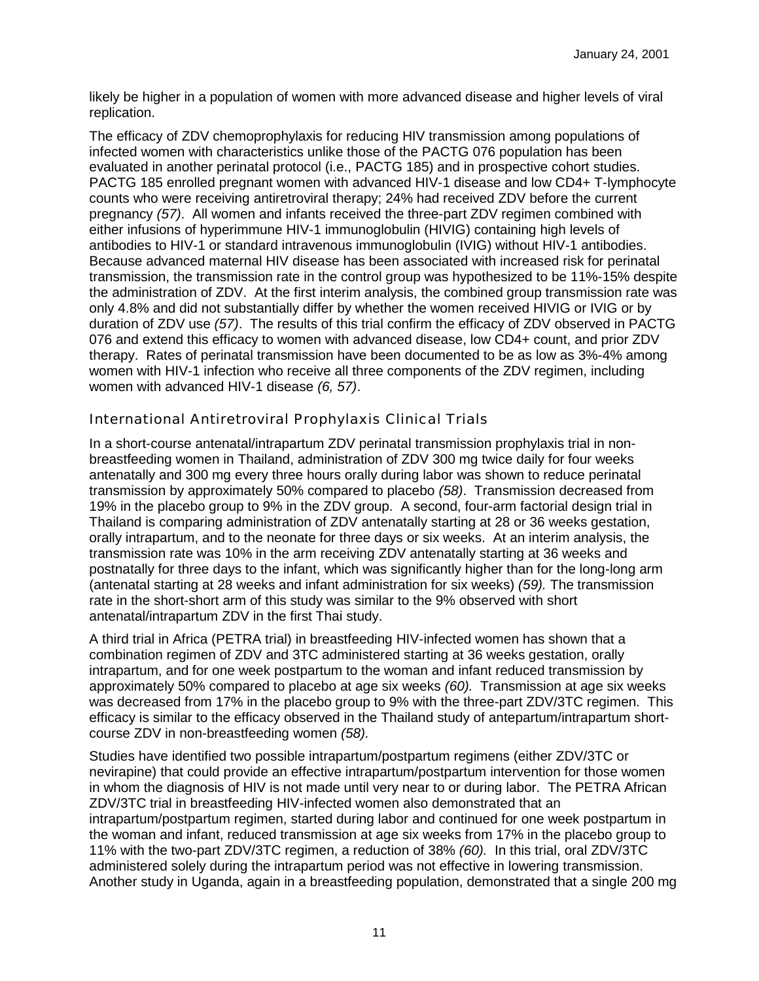likely be higher in a population of women with more advanced disease and higher levels of viral replication.

The efficacy of ZDV chemoprophylaxis for reducing HIV transmission among populations of infected women with characteristics unlike those of the PACTG 076 population has been evaluated in another perinatal protocol (i.e., PACTG 185) and in prospective cohort studies. PACTG 185 enrolled pregnant women with advanced HIV-1 disease and low CD4+ T-lymphocyte counts who were receiving antiretroviral therapy; 24% had received ZDV before the current pregnancy *(57)*. All women and infants received the three-part ZDV regimen combined with either infusions of hyperimmune HIV-1 immunoglobulin (HIVIG) containing high levels of antibodies to HIV-1 or standard intravenous immunoglobulin (IVIG) without HIV-1 antibodies. Because advanced maternal HIV disease has been associated with increased risk for perinatal transmission, the transmission rate in the control group was hypothesized to be 11%-15% despite the administration of ZDV. At the first interim analysis, the combined group transmission rate was only 4.8% and did not substantially differ by whether the women received HIVIG or IVIG or by duration of ZDV use *(57)*. The results of this trial confirm the efficacy of ZDV observed in PACTG 076 and extend this efficacy to women with advanced disease, low CD4+ count, and prior ZDV therapy. Rates of perinatal transmission have been documented to be as low as 3%-4% among women with HIV-1 infection who receive all three components of the ZDV regimen, including women with advanced HIV-1 disease *(6, 57)*.

#### International Antiretroviral Prophylaxis Clinical Trials

In a short-course antenatal/intrapartum ZDV perinatal transmission prophylaxis trial in nonbreastfeeding women in Thailand, administration of ZDV 300 mg twice daily for four weeks antenatally and 300 mg every three hours orally during labor was shown to reduce perinatal transmission by approximately 50% compared to placebo *(58)*. Transmission decreased from 19% in the placebo group to 9% in the ZDV group. A second, four-arm factorial design trial in Thailand is comparing administration of ZDV antenatally starting at 28 or 36 weeks gestation, orally intrapartum, and to the neonate for three days or six weeks. At an interim analysis, the transmission rate was 10% in the arm receiving ZDV antenatally starting at 36 weeks and postnatally for three days to the infant, which was significantly higher than for the long-long arm (antenatal starting at 28 weeks and infant administration for six weeks) *(59).* The transmission rate in the short-short arm of this study was similar to the 9% observed with short antenatal/intrapartum ZDV in the first Thai study.

A third trial in Africa (PETRA trial) in breastfeeding HIV-infected women has shown that a combination regimen of ZDV and 3TC administered starting at 36 weeks gestation, orally intrapartum, and for one week postpartum to the woman and infant reduced transmission by approximately 50% compared to placebo at age six weeks *(60).* Transmission at age six weeks was decreased from 17% in the placebo group to 9% with the three-part ZDV/3TC regimen. This efficacy is similar to the efficacy observed in the Thailand study of antepartum/intrapartum shortcourse ZDV in non-breastfeeding women *(58).*

Studies have identified two possible intrapartum/postpartum regimens (either ZDV/3TC or nevirapine) that could provide an effective intrapartum/postpartum intervention for those women in whom the diagnosis of HIV is not made until very near to or during labor. The PETRA African ZDV/3TC trial in breastfeeding HIV-infected women also demonstrated that an intrapartum/postpartum regimen, started during labor and continued for one week postpartum in the woman and infant, reduced transmission at age six weeks from 17% in the placebo group to 11% with the two-part ZDV/3TC regimen, a reduction of 38% *(60).* In this trial, oral ZDV/3TC administered solely during the intrapartum period was not effective in lowering transmission. Another study in Uganda, again in a breastfeeding population, demonstrated that a single 200 mg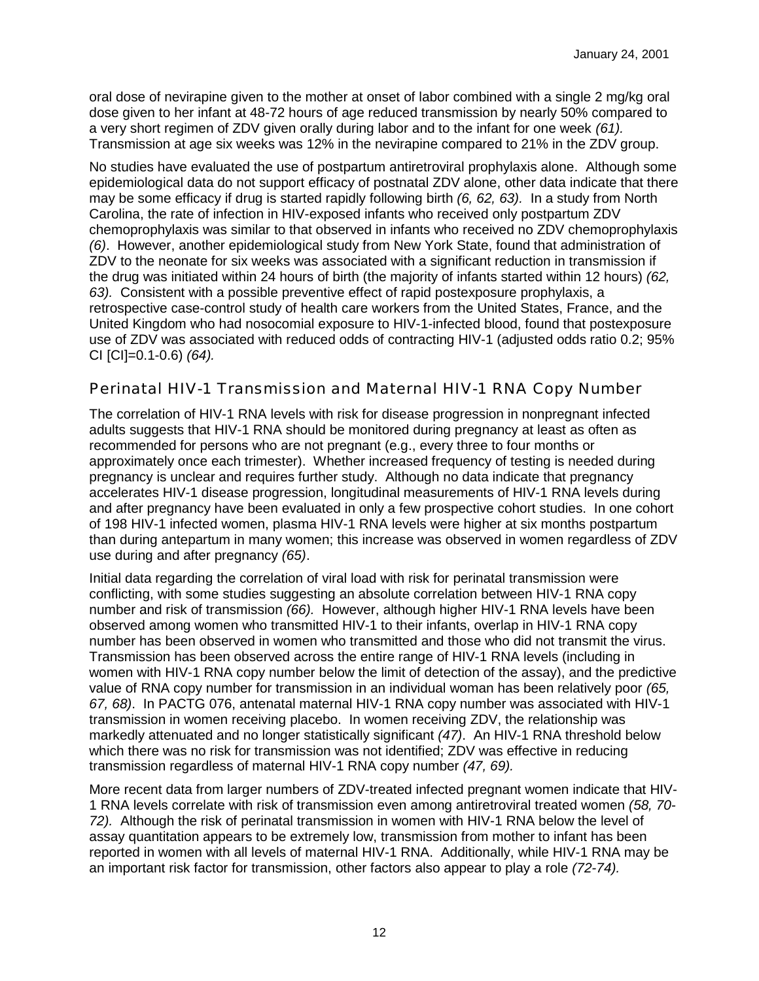oral dose of nevirapine given to the mother at onset of labor combined with a single 2 mg/kg oral dose given to her infant at 48-72 hours of age reduced transmission by nearly 50% compared to a very short regimen of ZDV given orally during labor and to the infant for one week *(61).* Transmission at age six weeks was 12% in the nevirapine compared to 21% in the ZDV group.

No studies have evaluated the use of postpartum antiretroviral prophylaxis alone. Although some epidemiological data do not support efficacy of postnatal ZDV alone, other data indicate that there may be some efficacy if drug is started rapidly following birth *(6, 62, 63).* In a study from North Carolina, the rate of infection in HIV-exposed infants who received only postpartum ZDV chemoprophylaxis was similar to that observed in infants who received no ZDV chemoprophylaxis *(6)*. However, another epidemiological study from New York State, found that administration of ZDV to the neonate for six weeks was associated with a significant reduction in transmission if the drug was initiated within 24 hours of birth (the majority of infants started within 12 hours) *(62, 63).* Consistent with a possible preventive effect of rapid postexposure prophylaxis, a retrospective case-control study of health care workers from the United States, France, and the United Kingdom who had nosocomial exposure to HIV-1-infected blood, found that postexposure use of ZDV was associated with reduced odds of contracting HIV-1 (adjusted odds ratio 0.2; 95% CI [CI]=0.1-0.6) *(64).*

### Perinatal HIV-1 Transmission and Maternal HIV-1 RNA Copy Number

The correlation of HIV-1 RNA levels with risk for disease progression in nonpregnant infected adults suggests that HIV-1 RNA should be monitored during pregnancy at least as often as recommended for persons who are not pregnant (e.g., every three to four months or approximately once each trimester). Whether increased frequency of testing is needed during pregnancy is unclear and requires further study. Although no data indicate that pregnancy accelerates HIV-1 disease progression, longitudinal measurements of HIV-1 RNA levels during and after pregnancy have been evaluated in only a few prospective cohort studies. In one cohort of 198 HIV-1 infected women, plasma HIV-1 RNA levels were higher at six months postpartum than during antepartum in many women; this increase was observed in women regardless of ZDV use during and after pregnancy *(65)*.

Initial data regarding the correlation of viral load with risk for perinatal transmission were conflicting, with some studies suggesting an absolute correlation between HIV-1 RNA copy number and risk of transmission *(66).* However, although higher HIV-1 RNA levels have been observed among women who transmitted HIV-1 to their infants, overlap in HIV-1 RNA copy number has been observed in women who transmitted and those who did not transmit the virus. Transmission has been observed across the entire range of HIV-1 RNA levels (including in women with HIV-1 RNA copy number below the limit of detection of the assay), and the predictive value of RNA copy number for transmission in an individual woman has been relatively poor *(65, 67, 68)*. In PACTG 076, antenatal maternal HIV-1 RNA copy number was associated with HIV-1 transmission in women receiving placebo. In women receiving ZDV, the relationship was markedly attenuated and no longer statistically significant *(47)*. An HIV-1 RNA threshold below which there was no risk for transmission was not identified; ZDV was effective in reducing transmission regardless of maternal HIV-1 RNA copy number *(47, 69).*

More recent data from larger numbers of ZDV-treated infected pregnant women indicate that HIV-1 RNA levels correlate with risk of transmission even among antiretroviral treated women *(58, 70- 72).* Although the risk of perinatal transmission in women with HIV-1 RNA below the level of assay quantitation appears to be extremely low, transmission from mother to infant has been reported in women with all levels of maternal HIV-1 RNA. Additionally, while HIV-1 RNA may be an important risk factor for transmission, other factors also appear to play a role *(72-74).*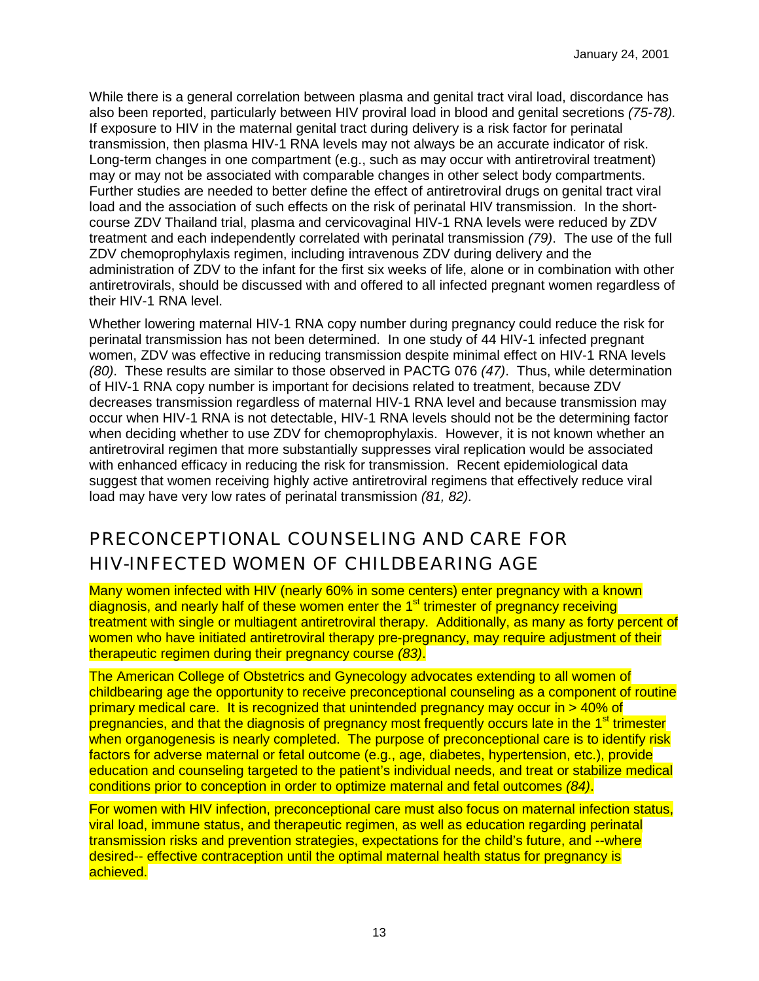While there is a general correlation between plasma and genital tract viral load, discordance has also been reported, particularly between HIV proviral load in blood and genital secretions *(75-78).* If exposure to HIV in the maternal genital tract during delivery is a risk factor for perinatal transmission, then plasma HIV-1 RNA levels may not always be an accurate indicator of risk. Long-term changes in one compartment (e.g., such as may occur with antiretroviral treatment) may or may not be associated with comparable changes in other select body compartments. Further studies are needed to better define the effect of antiretroviral drugs on genital tract viral load and the association of such effects on the risk of perinatal HIV transmission. In the shortcourse ZDV Thailand trial, plasma and cervicovaginal HIV-1 RNA levels were reduced by ZDV treatment and each independently correlated with perinatal transmission *(79)*. The use of the full ZDV chemoprophylaxis regimen, including intravenous ZDV during delivery and the administration of ZDV to the infant for the first six weeks of life, alone or in combination with other antiretrovirals, should be discussed with and offered to all infected pregnant women regardless of their HIV-1 RNA level.

Whether lowering maternal HIV-1 RNA copy number during pregnancy could reduce the risk for perinatal transmission has not been determined. In one study of 44 HIV-1 infected pregnant women, ZDV was effective in reducing transmission despite minimal effect on HIV-1 RNA levels *(80)*. These results are similar to those observed in PACTG 076 *(47)*. Thus, while determination of HIV-1 RNA copy number is important for decisions related to treatment, because ZDV decreases transmission regardless of maternal HIV-1 RNA level and because transmission may occur when HIV-1 RNA is not detectable, HIV-1 RNA levels should not be the determining factor when deciding whether to use ZDV for chemoprophylaxis. However, it is not known whether an antiretroviral regimen that more substantially suppresses viral replication would be associated with enhanced efficacy in reducing the risk for transmission. Recent epidemiological data suggest that women receiving highly active antiretroviral regimens that effectively reduce viral load may have very low rates of perinatal transmission *(81, 82).*

# PRECONCEPTIONAL COUNSELING AND CARE FOR HIV-INFECTED WOMEN OF CHILDBEARING AGE

Many women infected with HIV (nearly 60% in some centers) enter pregnancy with a known diagnosis, and nearly half of these women enter the 1<sup>st</sup> trimester of pregnancy receiving treatment with single or multiagent antiretroviral therapy. Additionally, as many as forty percent of women who have initiated antiretroviral therapy pre-pregnancy, may require adjustment of their therapeutic regimen during their pregnancy course *(83)*.

The American College of Obstetrics and Gynecology advocates extending to all women of childbearing age the opportunity to receive preconceptional counseling as a component of routine primary medical care. It is recognized that unintended pregnancy may occur in > 40% of pregnancies, and that the diagnosis of pregnancy most frequently occurs late in the 1<sup>st</sup> trimester when organogenesis is nearly completed. The purpose of preconceptional care is to identify risk factors for adverse maternal or fetal outcome (e.g., age, diabetes, hypertension, etc.), provide education and counseling targeted to the patient's individual needs, and treat or stabilize medical conditions prior to conception in order to optimize maternal and fetal outcomes *(84)*.

For women with HIV infection, preconceptional care must also focus on maternal infection status, viral load, immune status, and therapeutic regimen, as well as education regarding perinatal transmission risks and prevention strategies, expectations for the child's future, and --where desired-- effective contraception until the optimal maternal health status for pregnancy is achieved.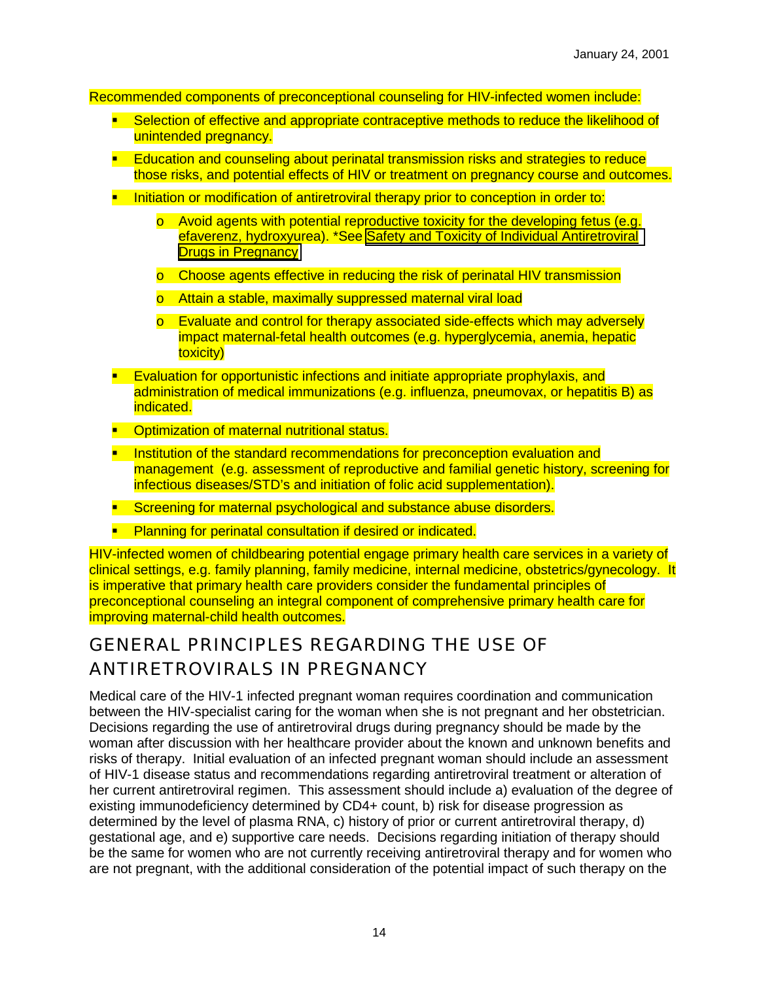Recommended components of preconceptional counseling for HIV-infected women include:

- **Selection of effective and appropriate contraceptive methods to reduce the likelihood of** unintended pregnancy.
- **E** Education and counseling about perinatal transmission risks and strategies to reduce those risks, and potential effects of HIV or treatment on pregnancy course and outcomes.
- **Initiation or modification of antiretroviral therapy prior to conception in order to:** 
	- $\circ$  Avoid agents with potential reproductive toxicity for the developing fetus (e.g. efaverenz, hydroxyurea). \*See [Safety and Toxicity of Individual Antiretroviral](http://www.hivatis.org/guidelines/pre_jan2401.pdf) **[Drugs in Pregnancy](http://www.hivatis.org/guidelines/adult/text/pregnancy1.html)**
	- o Choose agents effective in reducing the risk of perinatal HIV transmission
	- o Attain a stable, maximally suppressed maternal viral load
	- o Evaluate and control for therapy associated side-effects which may adversely impact maternal-fetal health outcomes (e.g. hyperglycemia, anemia, hepatic toxicity)
- Evaluation for opportunistic infections and initiate appropriate prophylaxis, and administration of medical immunizations (e.g. influenza, pneumovax, or hepatitis B) as indicated.
- **Optimization of maternal nutritional status.**
- **Institution of the standard recommendations for preconception evaluation and** management (e.g. assessment of reproductive and familial genetic history, screening for infectious diseases/STD's and initiation of folic acid supplementation).
- **Screening for maternal psychological and substance abuse disorders.**
- **Planning for perinatal consultation if desired or indicated.**

HIV-infected women of childbearing potential engage primary health care services in a variety of clinical settings, e.g. family planning, family medicine, internal medicine, obstetrics/gynecology. It is imperative that primary health care providers consider the fundamental principles of preconceptional counseling an integral component of comprehensive primary health care for improving maternal-child health outcomes.

# GENERAL PRINCIPLES REGARDING THE USE OF ANTIRETROVIRALS IN PREGNANCY

Medical care of the HIV-1 infected pregnant woman requires coordination and communication between the HIV-specialist caring for the woman when she is not pregnant and her obstetrician. Decisions regarding the use of antiretroviral drugs during pregnancy should be made by the woman after discussion with her healthcare provider about the known and unknown benefits and risks of therapy. Initial evaluation of an infected pregnant woman should include an assessment of HIV-1 disease status and recommendations regarding antiretroviral treatment or alteration of her current antiretroviral regimen. This assessment should include a) evaluation of the degree of existing immunodeficiency determined by CD4+ count, b) risk for disease progression as determined by the level of plasma RNA, c) history of prior or current antiretroviral therapy, d) gestational age, and e) supportive care needs. Decisions regarding initiation of therapy should be the same for women who are not currently receiving antiretroviral therapy and for women who are not pregnant, with the additional consideration of the potential impact of such therapy on the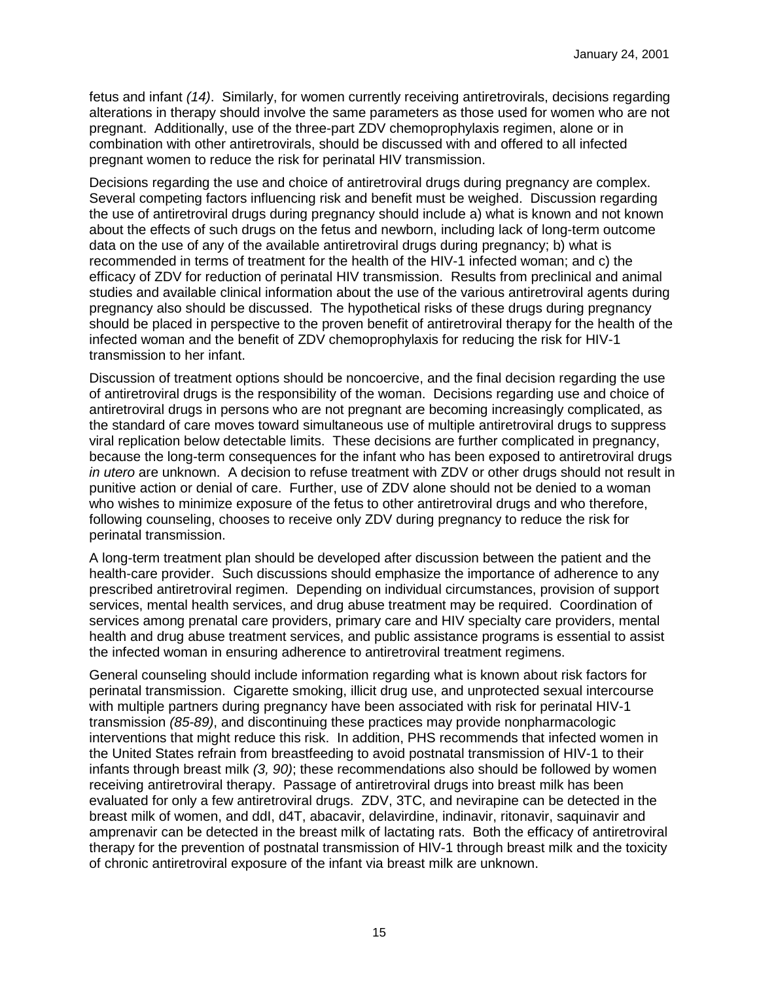fetus and infant *(14)*. Similarly, for women currently receiving antiretrovirals, decisions regarding alterations in therapy should involve the same parameters as those used for women who are not pregnant. Additionally, use of the three-part ZDV chemoprophylaxis regimen, alone or in combination with other antiretrovirals, should be discussed with and offered to all infected pregnant women to reduce the risk for perinatal HIV transmission.

Decisions regarding the use and choice of antiretroviral drugs during pregnancy are complex. Several competing factors influencing risk and benefit must be weighed. Discussion regarding the use of antiretroviral drugs during pregnancy should include a) what is known and not known about the effects of such drugs on the fetus and newborn, including lack of long-term outcome data on the use of any of the available antiretroviral drugs during pregnancy; b) what is recommended in terms of treatment for the health of the HIV-1 infected woman; and c) the efficacy of ZDV for reduction of perinatal HIV transmission. Results from preclinical and animal studies and available clinical information about the use of the various antiretroviral agents during pregnancy also should be discussed. The hypothetical risks of these drugs during pregnancy should be placed in perspective to the proven benefit of antiretroviral therapy for the health of the infected woman and the benefit of ZDV chemoprophylaxis for reducing the risk for HIV-1 transmission to her infant.

Discussion of treatment options should be noncoercive, and the final decision regarding the use of antiretroviral drugs is the responsibility of the woman. Decisions regarding use and choice of antiretroviral drugs in persons who are not pregnant are becoming increasingly complicated, as the standard of care moves toward simultaneous use of multiple antiretroviral drugs to suppress viral replication below detectable limits. These decisions are further complicated in pregnancy, because the long-term consequences for the infant who has been exposed to antiretroviral drugs *in utero* are unknown. A decision to refuse treatment with ZDV or other drugs should not result in punitive action or denial of care. Further, use of ZDV alone should not be denied to a woman who wishes to minimize exposure of the fetus to other antiretroviral drugs and who therefore, following counseling, chooses to receive only ZDV during pregnancy to reduce the risk for perinatal transmission.

A long-term treatment plan should be developed after discussion between the patient and the health-care provider. Such discussions should emphasize the importance of adherence to any prescribed antiretroviral regimen. Depending on individual circumstances, provision of support services, mental health services, and drug abuse treatment may be required. Coordination of services among prenatal care providers, primary care and HIV specialty care providers, mental health and drug abuse treatment services, and public assistance programs is essential to assist the infected woman in ensuring adherence to antiretroviral treatment regimens.

General counseling should include information regarding what is known about risk factors for perinatal transmission. Cigarette smoking, illicit drug use, and unprotected sexual intercourse with multiple partners during pregnancy have been associated with risk for perinatal HIV-1 transmission *(85-89)*, and discontinuing these practices may provide nonpharmacologic interventions that might reduce this risk. In addition, PHS recommends that infected women in the United States refrain from breastfeeding to avoid postnatal transmission of HIV-1 to their infants through breast milk *(3, 90)*; these recommendations also should be followed by women receiving antiretroviral therapy. Passage of antiretroviral drugs into breast milk has been evaluated for only a few antiretroviral drugs. ZDV, 3TC, and nevirapine can be detected in the breast milk of women, and ddI, d4T, abacavir, delavirdine, indinavir, ritonavir, saquinavir and amprenavir can be detected in the breast milk of lactating rats. Both the efficacy of antiretroviral therapy for the prevention of postnatal transmission of HIV-1 through breast milk and the toxicity of chronic antiretroviral exposure of the infant via breast milk are unknown.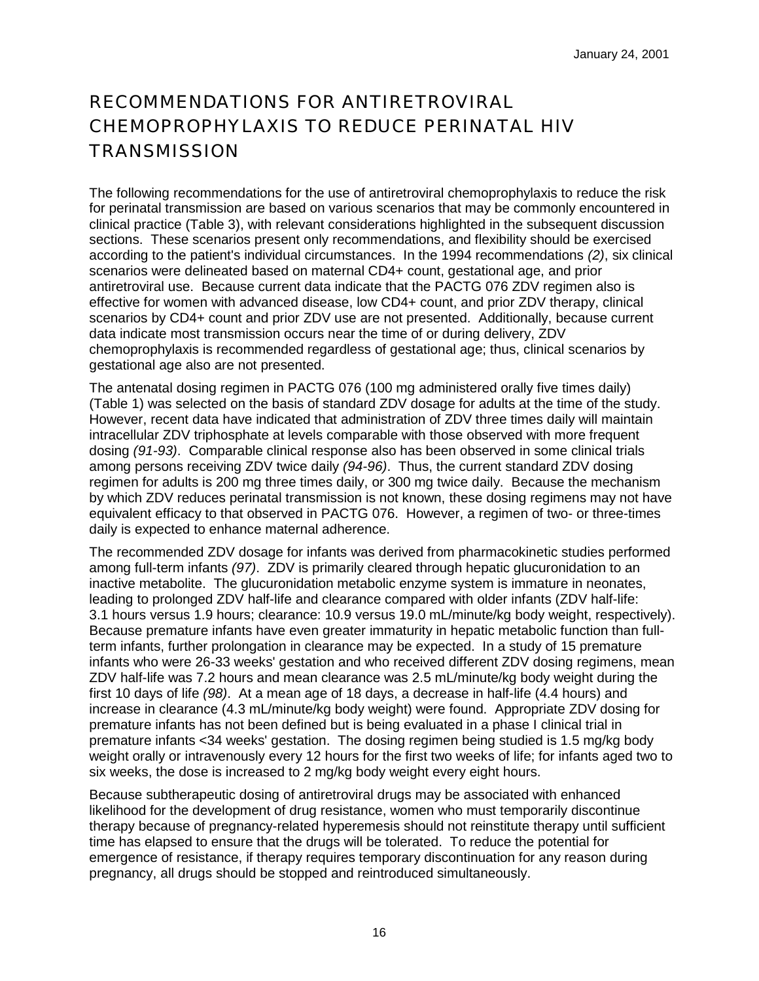# RECOMMENDATIONS FOR ANTIRETROVIRAL CHEMOPROPHYLAXIS TO REDUCE PERINATAL HIV **TRANSMISSION**

The following recommendations for the use of antiretroviral chemoprophylaxis to reduce the risk for perinatal transmission are based on various scenarios that may be commonly encountered in clinical practice (Table 3), with relevant considerations highlighted in the subsequent discussion sections. These scenarios present only recommendations, and flexibility should be exercised according to the patient's individual circumstances. In the 1994 recommendations *(2)*, six clinical scenarios were delineated based on maternal CD4+ count, gestational age, and prior antiretroviral use. Because current data indicate that the PACTG 076 ZDV regimen also is effective for women with advanced disease, low CD4+ count, and prior ZDV therapy, clinical scenarios by CD4+ count and prior ZDV use are not presented. Additionally, because current data indicate most transmission occurs near the time of or during delivery, ZDV chemoprophylaxis is recommended regardless of gestational age; thus, clinical scenarios by gestational age also are not presented.

The antenatal dosing regimen in PACTG 076 (100 mg administered orally five times daily) (Table 1) was selected on the basis of standard ZDV dosage for adults at the time of the study. However, recent data have indicated that administration of ZDV three times daily will maintain intracellular ZDV triphosphate at levels comparable with those observed with more frequent dosing *(91-93)*. Comparable clinical response also has been observed in some clinical trials among persons receiving ZDV twice daily *(94-96)*. Thus, the current standard ZDV dosing regimen for adults is 200 mg three times daily, or 300 mg twice daily. Because the mechanism by which ZDV reduces perinatal transmission is not known, these dosing regimens may not have equivalent efficacy to that observed in PACTG 076. However, a regimen of two- or three-times daily is expected to enhance maternal adherence.

The recommended ZDV dosage for infants was derived from pharmacokinetic studies performed among full-term infants *(97)*. ZDV is primarily cleared through hepatic glucuronidation to an inactive metabolite. The glucuronidation metabolic enzyme system is immature in neonates, leading to prolonged ZDV half-life and clearance compared with older infants (ZDV half-life: 3.1 hours versus 1.9 hours; clearance: 10.9 versus 19.0 mL/minute/kg body weight, respectively). Because premature infants have even greater immaturity in hepatic metabolic function than fullterm infants, further prolongation in clearance may be expected. In a study of 15 premature infants who were 26-33 weeks' gestation and who received different ZDV dosing regimens, mean ZDV half-life was 7.2 hours and mean clearance was 2.5 mL/minute/kg body weight during the first 10 days of life *(98)*. At a mean age of 18 days, a decrease in half-life (4.4 hours) and increase in clearance (4.3 mL/minute/kg body weight) were found.Appropriate ZDV dosing for premature infants has not been defined but is being evaluated in a phase I clinical trial in premature infants <34 weeks' gestation. The dosing regimen being studied is 1.5 mg/kg body weight orally or intravenously every 12 hours for the first two weeks of life; for infants aged two to six weeks, the dose is increased to 2 mg/kg body weight every eight hours.

Because subtherapeutic dosing of antiretroviral drugs may be associated with enhanced likelihood for the development of drug resistance, women who must temporarily discontinue therapy because of pregnancy-related hyperemesis should not reinstitute therapy until sufficient time has elapsed to ensure that the drugs will be tolerated. To reduce the potential for emergence of resistance, if therapy requires temporary discontinuation for any reason during pregnancy, all drugs should be stopped and reintroduced simultaneously.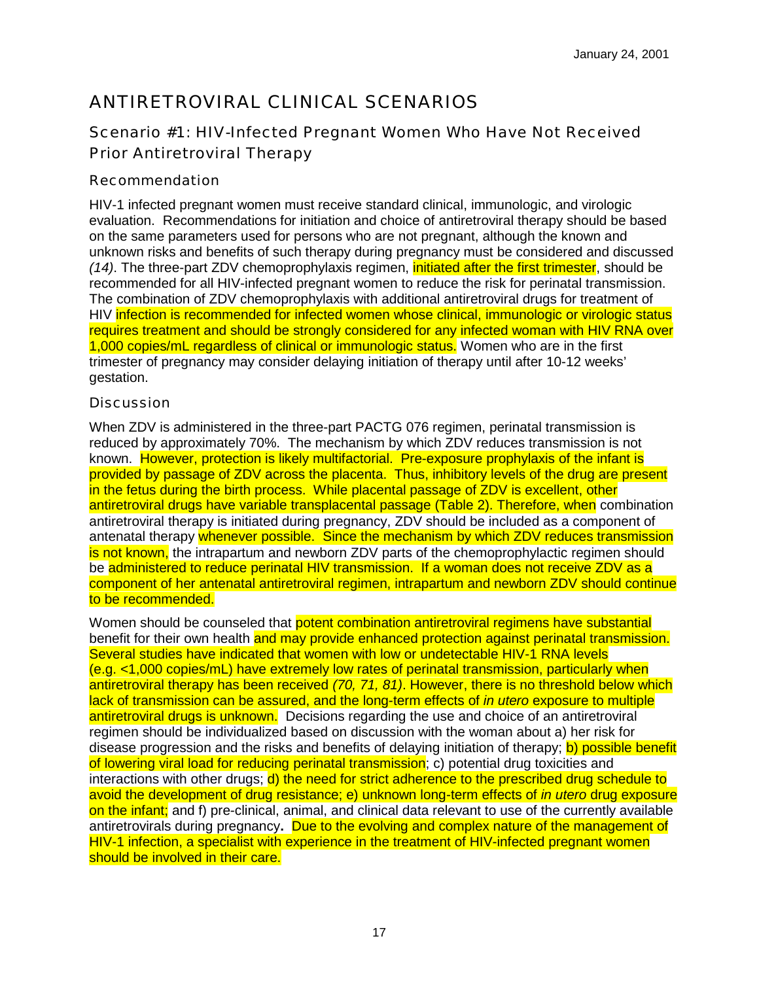# ANTIRETROVIRAL CLINICAL SCENARIOS

# Scenario #1: HIV-Infected Pregnant Women Who Have Not Received Prior Antiretroviral Therapy

### Recommendation

HIV-1 infected pregnant women must receive standard clinical, immunologic, and virologic evaluation. Recommendations for initiation and choice of antiretroviral therapy should be based on the same parameters used for persons who are not pregnant, although the known and unknown risks and benefits of such therapy during pregnancy must be considered and discussed *(14)*. The three-part ZDV chemoprophylaxis regimen, initiated after the first trimester, should be recommended for all HIV-infected pregnant women to reduce the risk for perinatal transmission. The combination of ZDV chemoprophylaxis with additional antiretroviral drugs for treatment of HIV infection is recommended for infected women whose clinical, immunologic or virologic status requires treatment and should be strongly considered for any infected woman with HIV RNA over 1,000 copies/mL regardless of clinical or immunologic status. Women who are in the first trimester of pregnancy may consider delaying initiation of therapy until after 10-12 weeks' gestation.

#### **Discussion**

When ZDV is administered in the three-part PACTG 076 regimen, perinatal transmission is reduced by approximately 70%. The mechanism by which ZDV reduces transmission is not known. However, protection is likely multifactorial. Pre-exposure prophylaxis of the infant is provided by passage of ZDV across the placenta. Thus, inhibitory levels of the drug are present in the fetus during the birth process. While placental passage of ZDV is excellent, other antiretroviral drugs have variable transplacental passage (Table 2). Therefore, when combination antiretroviral therapy is initiated during pregnancy, ZDV should be included as a component of antenatal therapy whenever possible. Since the mechanism by which ZDV reduces transmission is not known, the intrapartum and newborn ZDV parts of the chemoprophylactic regimen should be administered to reduce perinatal HIV transmission. If a woman does not receive ZDV as a component of her antenatal antiretroviral regimen, intrapartum and newborn ZDV should continue to be recommended.

Women should be counseled that potent combination antiretroviral regimens have substantial benefit for their own health and may provide enhanced protection against perinatal transmission. Several studies have indicated that women with low or undetectable HIV-1 RNA levels (e.g. <1,000 copies/mL) have extremely low rates of perinatal transmission, particularly when antiretroviral therapy has been received *(70, 71, 81)*. However, there is no threshold below which lack of transmission can be assured, and the long-term effects of *in utero* exposure to multiple antiretroviral drugs is unknown. Decisions regarding the use and choice of an antiretroviral regimen should be individualized based on discussion with the woman about a) her risk for disease progression and the risks and benefits of delaying initiation of therapy; b) possible benefit of lowering viral load for reducing perinatal transmission; c) potential drug toxicities and interactions with other drugs;  $d$ ) the need for strict adherence to the prescribed drug schedule to avoid the development of drug resistance; e) unknown long-term effects of *in utero* drug exposure on the infant; and f) pre-clinical, animal, and clinical data relevant to use of the currently available antiretrovirals during pregnancy**.** Due to the evolving and complex nature of the management of HIV-1 infection, a specialist with experience in the treatment of HIV-infected pregnant women should be involved in their care.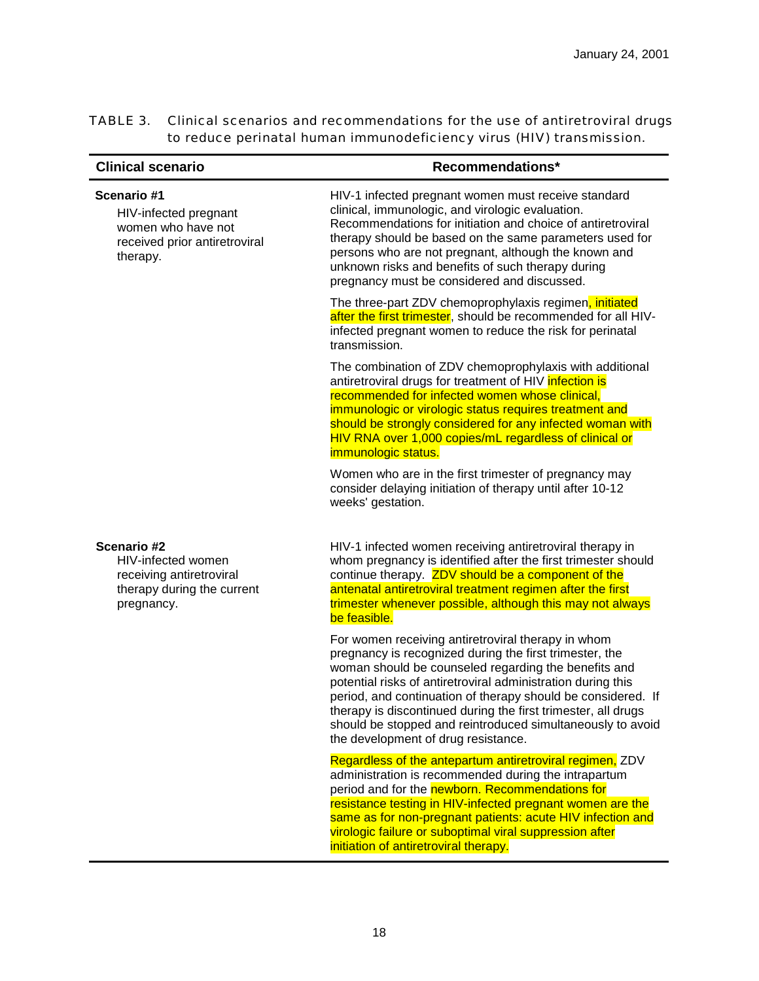| TABLE 3. Clinical scenarios and recommendations for the use of antiretroviral drugs |
|-------------------------------------------------------------------------------------|
| to reduce perinatal human immunodeficiency virus (HIV) transmission.                |

| <b>Clinical scenario</b>                                                                                  | Recommendations*                                                                                                                                                                                                                                                                                                                                                                                                                                                            |
|-----------------------------------------------------------------------------------------------------------|-----------------------------------------------------------------------------------------------------------------------------------------------------------------------------------------------------------------------------------------------------------------------------------------------------------------------------------------------------------------------------------------------------------------------------------------------------------------------------|
| Scenario #1<br>HIV-infected pregnant<br>women who have not<br>received prior antiretroviral<br>therapy.   | HIV-1 infected pregnant women must receive standard<br>clinical, immunologic, and virologic evaluation.<br>Recommendations for initiation and choice of antiretroviral<br>therapy should be based on the same parameters used for<br>persons who are not pregnant, although the known and<br>unknown risks and benefits of such therapy during<br>pregnancy must be considered and discussed.                                                                               |
|                                                                                                           | The three-part ZDV chemoprophylaxis regimen, initiated<br>after the first trimester, should be recommended for all HIV-<br>infected pregnant women to reduce the risk for perinatal<br>transmission.                                                                                                                                                                                                                                                                        |
|                                                                                                           | The combination of ZDV chemoprophylaxis with additional<br>antiretroviral drugs for treatment of HIV infection is<br>recommended for infected women whose clinical,<br>immunologic or virologic status requires treatment and<br>should be strongly considered for any infected woman with<br>HIV RNA over 1,000 copies/mL regardless of clinical or<br>immunologic status.                                                                                                 |
|                                                                                                           | Women who are in the first trimester of pregnancy may<br>consider delaying initiation of therapy until after 10-12<br>weeks' gestation.                                                                                                                                                                                                                                                                                                                                     |
| Scenario #2<br>HIV-infected women<br>receiving antiretroviral<br>therapy during the current<br>pregnancy. | HIV-1 infected women receiving antiretroviral therapy in<br>whom pregnancy is identified after the first trimester should<br>continue therapy. ZDV should be a component of the<br>antenatal antiretroviral treatment regimen after the first<br>trimester whenever possible, although this may not always<br>be feasible.                                                                                                                                                  |
|                                                                                                           | For women receiving antiretroviral therapy in whom<br>pregnancy is recognized during the first trimester, the<br>woman should be counseled regarding the benefits and<br>potential risks of antiretroviral administration during this<br>period, and continuation of therapy should be considered. If<br>therapy is discontinued during the first trimester, all drugs<br>should be stopped and reintroduced simultaneously to avoid<br>the development of drug resistance. |
|                                                                                                           | Regardless of the antepartum antiretroviral regimen, ZDV<br>administration is recommended during the intrapartum<br>period and for the <b>newborn. Recommendations for</b><br>resistance testing in HIV-infected pregnant women are the<br>same as for non-pregnant patients: acute HIV infection and<br>virologic failure or suboptimal viral suppression after<br>initiation of antiretroviral therapy.                                                                   |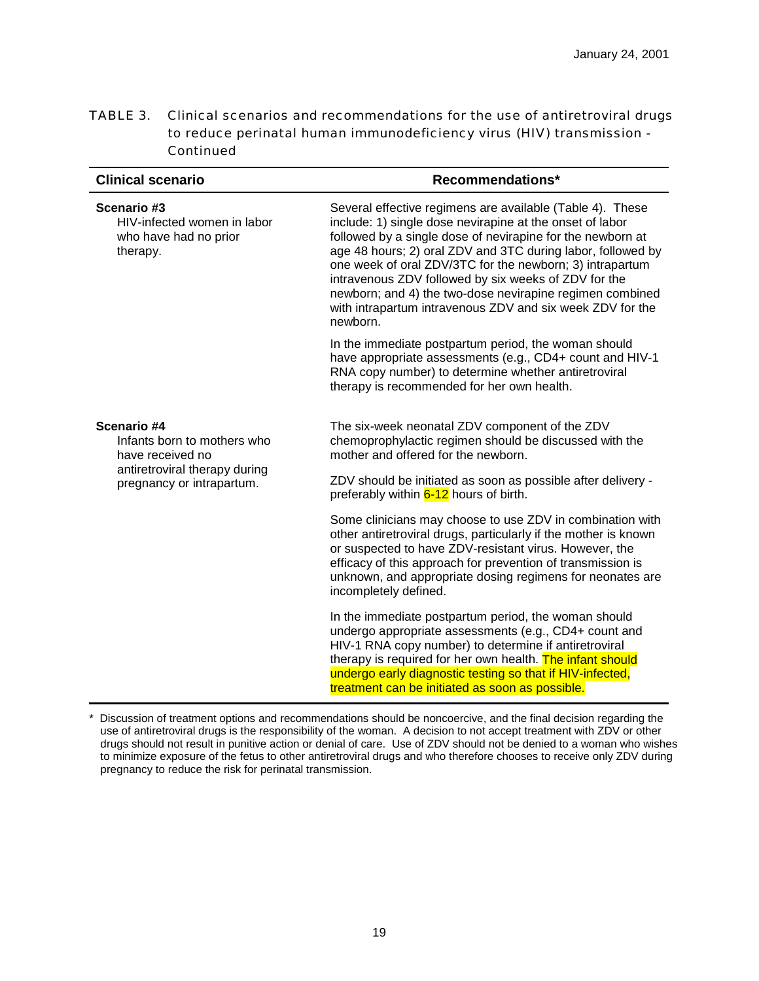TABLE 3. Clinical scenarios and recommendations for the use of antiretroviral drugs to reduce perinatal human immunodeficiency virus (HIV) transmission - Continued

| <b>Clinical scenario</b>                                                        | Recommendations*                                                                                                                                                                                                                                                                                                                                                                                                                                                                                            |
|---------------------------------------------------------------------------------|-------------------------------------------------------------------------------------------------------------------------------------------------------------------------------------------------------------------------------------------------------------------------------------------------------------------------------------------------------------------------------------------------------------------------------------------------------------------------------------------------------------|
| Scenario #3<br>HIV-infected women in labor<br>who have had no prior<br>therapy. | Several effective regimens are available (Table 4). These<br>include: 1) single dose nevirapine at the onset of labor<br>followed by a single dose of nevirapine for the newborn at<br>age 48 hours; 2) oral ZDV and 3TC during labor, followed by<br>one week of oral ZDV/3TC for the newborn; 3) intrapartum<br>intravenous ZDV followed by six weeks of ZDV for the<br>newborn; and 4) the two-dose nevirapine regimen combined<br>with intrapartum intravenous ZDV and six week ZDV for the<br>newborn. |
|                                                                                 | In the immediate postpartum period, the woman should<br>have appropriate assessments (e.g., CD4+ count and HIV-1<br>RNA copy number) to determine whether antiretroviral<br>therapy is recommended for her own health.                                                                                                                                                                                                                                                                                      |
| Scenario #4<br>Infants born to mothers who<br>have received no                  | The six-week neonatal ZDV component of the ZDV<br>chemoprophylactic regimen should be discussed with the<br>mother and offered for the newborn.                                                                                                                                                                                                                                                                                                                                                             |
| antiretroviral therapy during<br>pregnancy or intrapartum.                      | ZDV should be initiated as soon as possible after delivery -<br>preferably within 6-12 hours of birth.                                                                                                                                                                                                                                                                                                                                                                                                      |
|                                                                                 | Some clinicians may choose to use ZDV in combination with<br>other antiretroviral drugs, particularly if the mother is known<br>or suspected to have ZDV-resistant virus. However, the<br>efficacy of this approach for prevention of transmission is<br>unknown, and appropriate dosing regimens for neonates are<br>incompletely defined.                                                                                                                                                                 |
|                                                                                 | In the immediate postpartum period, the woman should<br>undergo appropriate assessments (e.g., CD4+ count and<br>HIV-1 RNA copy number) to determine if antiretroviral<br>therapy is required for her own health. The infant should<br>undergo early diagnostic testing so that if HIV-infected,<br>treatment can be initiated as soon as possible.                                                                                                                                                         |

<sup>\*</sup> Discussion of treatment options and recommendations should be noncoercive, and the final decision regarding the use of antiretroviral drugs is the responsibility of the woman. A decision to not accept treatment with ZDV or other drugs should not result in punitive action or denial of care. Use of ZDV should not be denied to a woman who wishes to minimize exposure of the fetus to other antiretroviral drugs and who therefore chooses to receive only ZDV during pregnancy to reduce the risk for perinatal transmission.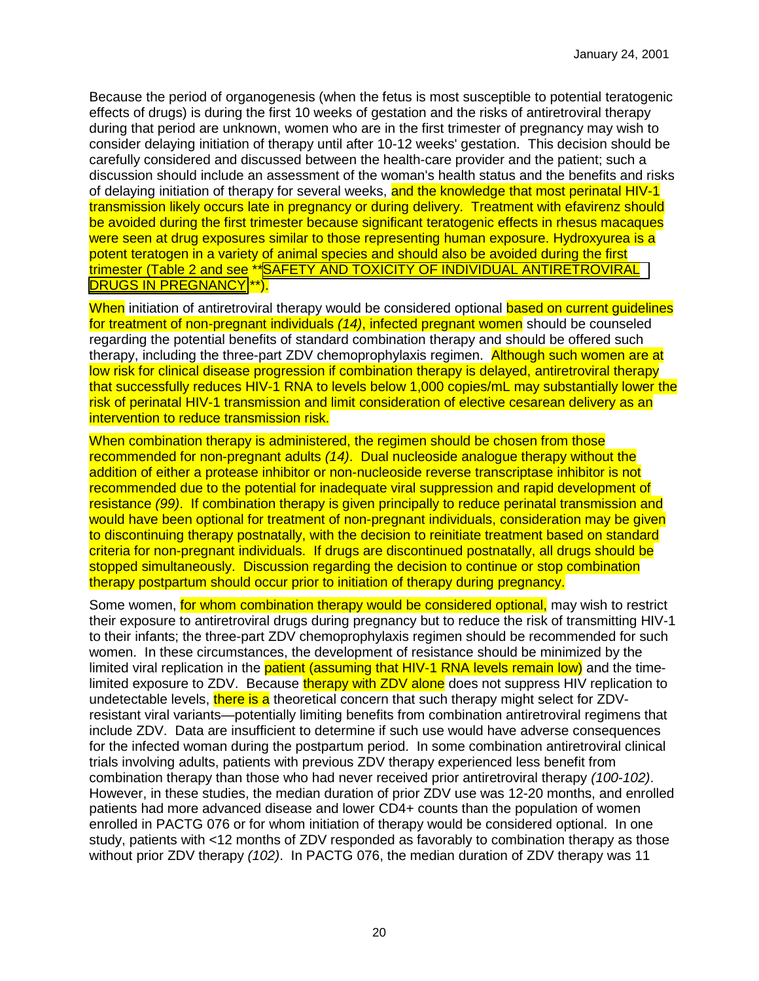Because the period of organogenesis (when the fetus is most susceptible to potential teratogenic effects of drugs) is during the first 10 weeks of gestation and the risks of antiretroviral therapy during that period are unknown, women who are in the first trimester of pregnancy may wish to consider delaying initiation of therapy until after 10-12 weeks' gestation. This decision should be carefully considered and discussed between the health-care provider and the patient; such a discussion should include an assessment of the woman's health status and the benefits and risks of delaying initiation of therapy for several weeks, and the knowledge that most perinatal HIV-1 transmission likely occurs late in pregnancy or during delivery. Treatment with efavirenz should be avoided during the first trimester because significant teratogenic effects in rhesus macaques were seen at drug exposures similar to those representing human exposure. Hydroxyurea is a potent teratogen in a variety of animal species and should also be avoided during the first trimester (Table 2 and see \*[\\*SAFETY AND TOXICITY OF INDIVIDUAL ANTIRETROVIRAL](http://www.hivatis.org/guidelines/pre_jan2401.pdf) [DRUGS IN PREGNANCY](http://www.hivatis.org/guidelines/adult/text/pregnancy1.html) \*\*).

When initiation of antiretroviral therapy would be considered optional based on current quidelines for treatment of non-pregnant individuals *(14)*, infected pregnant women should be counseled regarding the potential benefits of standard combination therapy and should be offered such therapy, including the three-part ZDV chemoprophylaxis regimen.Although such women are at low risk for clinical disease progression if combination therapy is delayed, antiretroviral therapy that successfully reduces HIV-1 RNA to levels below 1,000 copies/mL may substantially lower the risk of perinatal HIV-1 transmission and limit consideration of elective cesarean delivery as an intervention to reduce transmission risk.

When combination therapy is administered, the regimen should be chosen from those recommended for non-pregnant adults *(14)*. Dual nucleoside analogue therapy without the addition of either a protease inhibitor or non-nucleoside reverse transcriptase inhibitor is not recommended due to the potential for inadequate viral suppression and rapid development of resistance *(99)*. If combination therapy is given principally to reduce perinatal transmission and would have been optional for treatment of non-pregnant individuals, consideration may be given to discontinuing therapy postnatally, with the decision to reinitiate treatment based on standard criteria for non-pregnant individuals. If drugs are discontinued postnatally, all drugs should be stopped simultaneously. Discussion regarding the decision to continue or stop combination therapy postpartum should occur prior to initiation of therapy during pregnancy.

Some women, for whom combination therapy would be considered optional, may wish to restrict their exposure to antiretroviral drugs during pregnancy but to reduce the risk of transmitting HIV-1 to their infants; the three-part ZDV chemoprophylaxis regimen should be recommended for such women. In these circumstances, the development of resistance should be minimized by the limited viral replication in the patient (assuming that HIV-1 RNA levels remain low) and the timelimited exposure to ZDV. Because therapy with ZDV alone does not suppress HIV replication to undetectable levels, there is a theoretical concern that such therapy might select for ZDVresistant viral variants—potentially limiting benefits from combination antiretroviral regimens that include ZDV. Data are insufficient to determine if such use would have adverse consequences for the infected woman during the postpartum period. In some combination antiretroviral clinical trials involving adults, patients with previous ZDV therapy experienced less benefit from combination therapy than those who had never received prior antiretroviral therapy *(100-102)*. However, in these studies, the median duration of prior ZDV use was 12-20 months, and enrolled patients had more advanced disease and lower CD4+ counts than the population of women enrolled in PACTG 076 or for whom initiation of therapy would be considered optional. In one study, patients with <12 months of ZDV responded as favorably to combination therapy as those without prior ZDV therapy *(102)*. In PACTG 076, the median duration of ZDV therapy was 11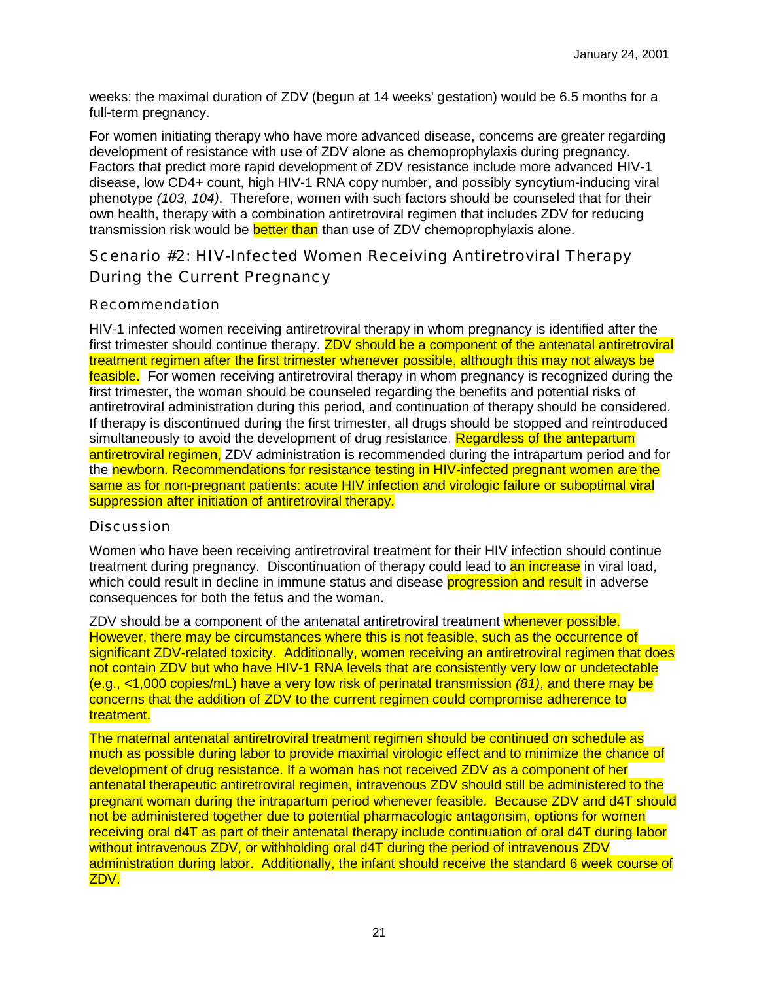weeks; the maximal duration of ZDV (begun at 14 weeks' gestation) would be 6.5 months for a full-term pregnancy.

For women initiating therapy who have more advanced disease, concerns are greater regarding development of resistance with use of ZDV alone as chemoprophylaxis during pregnancy. Factors that predict more rapid development of ZDV resistance include more advanced HIV-1 disease, low CD4+ count, high HIV-1 RNA copy number, and possibly syncytium-inducing viral phenotype *(103, 104)*. Therefore, women with such factors should be counseled that for their own health, therapy with a combination antiretroviral regimen that includes ZDV for reducing transmission risk would be **better than** than use of ZDV chemoprophylaxis alone.

Scenario #2: HIV-Infected Women Receiving Antiretroviral Therapy During the Current Pregnancy

#### Recommendation

HIV-1 infected women receiving antiretroviral therapy in whom pregnancy is identified after the first trimester should continue therapy. ZDV should be a component of the antenatal antiretroviral treatment regimen after the first trimester whenever possible, although this may not always be feasible. For women receiving antiretroviral therapy in whom pregnancy is recognized during the first trimester, the woman should be counseled regarding the benefits and potential risks of antiretroviral administration during this period, and continuation of therapy should be considered. If therapy is discontinued during the first trimester, all drugs should be stopped and reintroduced simultaneously to avoid the development of drug resistance. Regardless of the antepartum antiretroviral regimen, ZDV administration is recommended during the intrapartum period and for the newborn. Recommendations for resistance testing in HIV-infected pregnant women are the same as for non-pregnant patients: acute HIV infection and virologic failure or suboptimal viral suppression after initiation of antiretroviral therapy.

#### **Discussion**

Women who have been receiving antiretroviral treatment for their HIV infection should continue treatment during pregnancy. Discontinuation of therapy could lead to an increase in viral load, which could result in decline in immune status and disease progression and result in adverse consequences for both the fetus and the woman.

ZDV should be a component of the antenatal antiretroviral treatment whenever possible. However, there may be circumstances where this is not feasible, such as the occurrence of significant ZDV-related toxicity. Additionally, women receiving an antiretroviral regimen that does not contain ZDV but who have HIV-1 RNA levels that are consistently very low or undetectable (e.g., <1,000 copies/mL) have a very low risk of perinatal transmission *(81)*, and there may be concerns that the addition of ZDV to the current regimen could compromise adherence to treatment.

The maternal antenatal antiretroviral treatment regimen should be continued on schedule as much as possible during labor to provide maximal virologic effect and to minimize the chance of development of drug resistance. If a woman has not received ZDV as a component of her antenatal therapeutic antiretroviral regimen, intravenous ZDV should still be administered to the pregnant woman during the intrapartum period whenever feasible. Because ZDV and d4T should not be administered together due to potential pharmacologic antagonsim, options for women receiving oral d4T as part of their antenatal therapy include continuation of oral d4T during labor without intravenous ZDV, or withholding oral d4T during the period of intravenous ZDV administration during labor. Additionally, the infant should receive the standard 6 week course of ZDV.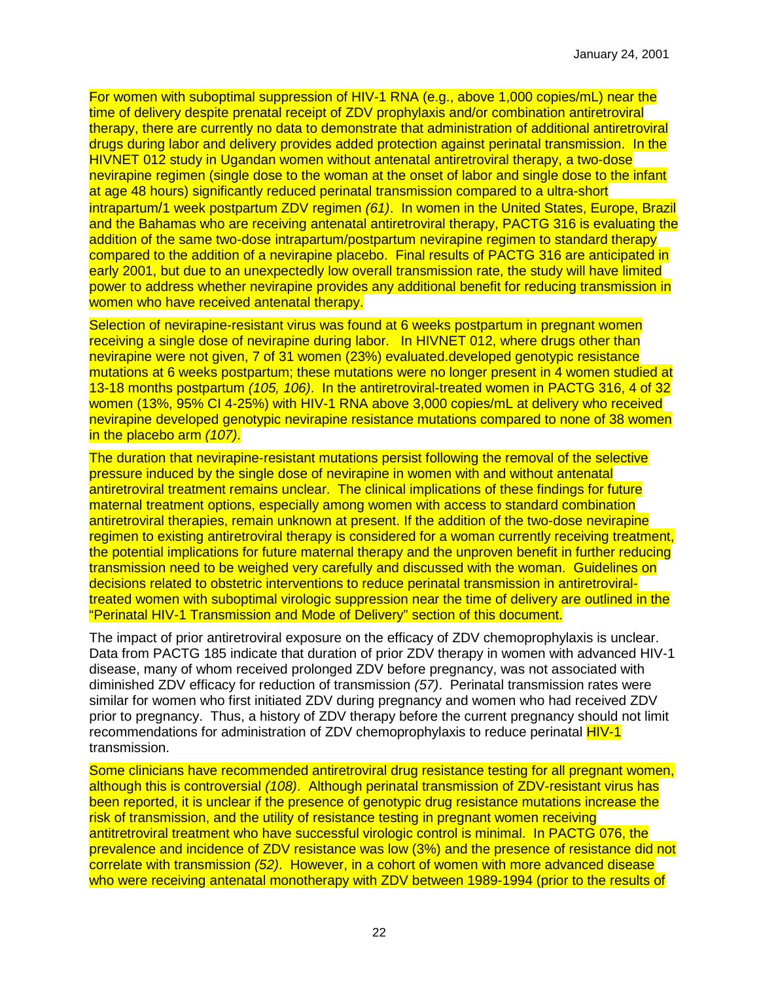For women with suboptimal suppression of HIV-1 RNA (e.g., above 1,000 copies/mL) near the time of delivery despite prenatal receipt of ZDV prophylaxis and/or combination antiretroviral therapy, there are currently no data to demonstrate that administration of additional antiretroviral drugs during labor and delivery provides added protection against perinatal transmission. In the HIVNET 012 study in Ugandan women without antenatal antiretroviral therapy, a two-dose nevirapine regimen (single dose to the woman at the onset of labor and single dose to the infant at age 48 hours) significantly reduced perinatal transmission compared to a ultra-short intrapartum/1 week postpartum ZDV regimen *(61)*. In women in the United States, Europe, Brazil and the Bahamas who are receiving antenatal antiretroviral therapy, PACTG 316 is evaluating the addition of the same two-dose intrapartum/postpartum nevirapine regimen to standard therapy compared to the addition of a nevirapine placebo. Final results of PACTG 316 are anticipated in early 2001, but due to an unexpectedly low overall transmission rate, the study will have limited power to address whether nevirapine provides any additional benefit for reducing transmission in women who have received antenatal therapy.

Selection of nevirapine-resistant virus was found at 6 weeks postpartum in pregnant women receiving a single dose of nevirapine during labor. In HIVNET 012, where drugs other than nevirapine were not given, 7 of 31 women (23%) evaluated.developed genotypic resistance mutations at 6 weeks postpartum; these mutations were no longer present in 4 women studied at 13-18 months postpartum *(105, 106)*. In the antiretroviral-treated women in PACTG 316, 4 of 32 women (13%, 95% CI 4-25%) with HIV-1 RNA above 3,000 copies/mL at delivery who received nevirapine developed genotypic nevirapine resistance mutations compared to none of 38 women in the placebo arm *(107)*.

The duration that nevirapine-resistant mutations persist following the removal of the selective pressure induced by the single dose of nevirapine in women with and without antenatal antiretroviral treatment remains unclear. The clinical implications of these findings for future maternal treatment options, especially among women with access to standard combination antiretroviral therapies, remain unknown at present. If the addition of the two-dose nevirapine regimen to existing antiretroviral therapy is considered for a woman currently receiving treatment, the potential implications for future maternal therapy and the unproven benefit in further reducing transmission need to be weighed very carefully and discussed with the woman. Guidelines on decisions related to obstetric interventions to reduce perinatal transmission in antiretroviraltreated women with suboptimal virologic suppression near the time of delivery are outlined in the "Perinatal HIV-1 Transmission and Mode of Delivery" section of this document.

The impact of prior antiretroviral exposure on the efficacy of ZDV chemoprophylaxis is unclear. Data from PACTG 185 indicate that duration of prior ZDV therapy in women with advanced HIV-1 disease, many of whom received prolonged ZDV before pregnancy, was not associated with diminished ZDV efficacy for reduction of transmission *(57)*. Perinatal transmission rates were similar for women who first initiated ZDV during pregnancy and women who had received ZDV prior to pregnancy. Thus, a history of ZDV therapy before the current pregnancy should not limit recommendations for administration of ZDV chemoprophylaxis to reduce perinatal HIV-1 transmission.

Some clinicians have recommended antiretroviral drug resistance testing for all pregnant women, although this is controversial *(108)*. Although perinatal transmission of ZDV-resistant virus has been reported, it is unclear if the presence of genotypic drug resistance mutations increase the risk of transmission, and the utility of resistance testing in pregnant women receiving antitretroviral treatment who have successful virologic control is minimal. In PACTG 076, the prevalence and incidence of ZDV resistance was low (3%) and the presence of resistance did not correlate with transmission *(52)*. However, in a cohort of women with more advanced disease who were receiving antenatal monotherapy with ZDV between 1989-1994 (prior to the results of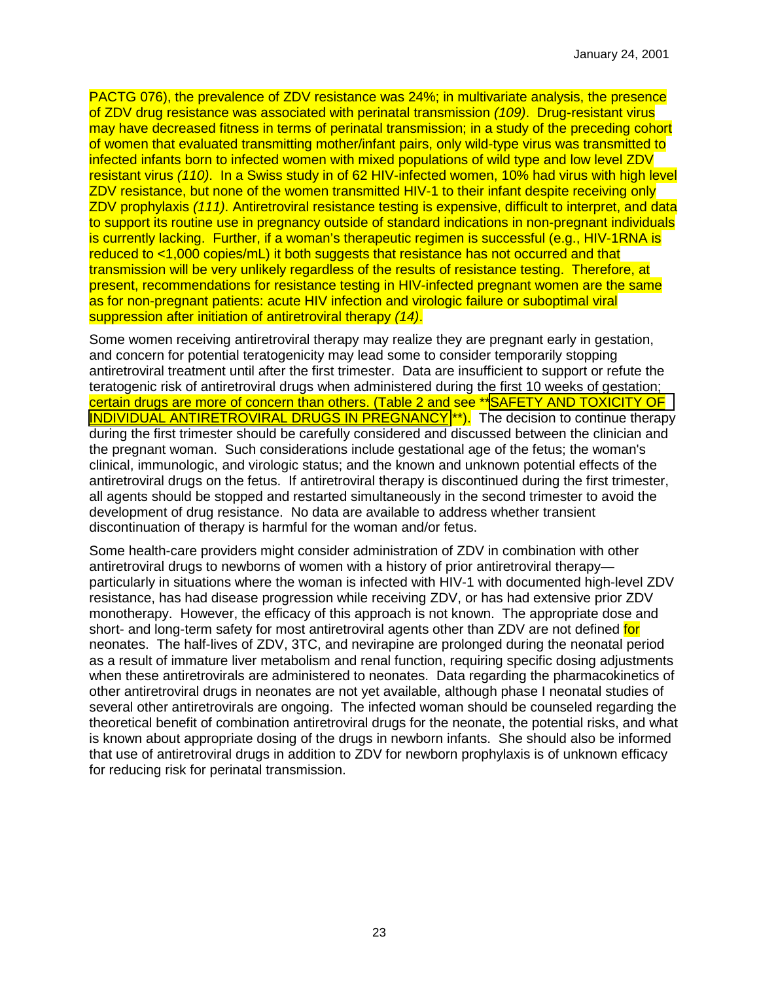PACTG 076), the prevalence of ZDV resistance was 24%; in multivariate analysis, the presence of ZDV drug resistance was associated with perinatal transmission *(109)*. Drug-resistant virus may have decreased fitness in terms of perinatal transmission; in a study of the preceding cohort of women that evaluated transmitting mother/infant pairs, only wild-type virus was transmitted to infected infants born to infected women with mixed populations of wild type and low level ZDV resistant virus *(110)*. In a Swiss study in of 62 HIV-infected women, 10% had virus with high level ZDV resistance, but none of the women transmitted HIV-1 to their infant despite receiving only ZDV prophylaxis *(111)*. Antiretroviral resistance testing is expensive, difficult to interpret, and data to support its routine use in pregnancy outside of standard indications in non-pregnant individuals is currently lacking. Further, if a woman's therapeutic regimen is successful (e.g., HIV-1RNA is reduced to <1,000 copies/mL) it both suggests that resistance has not occurred and that transmission will be very unlikely regardless of the results of resistance testing. Therefore, at present, recommendations for resistance testing in HIV-infected pregnant women are the same as for non-pregnant patients: acute HIV infection and virologic failure or suboptimal viral suppression after initiation of antiretroviral therapy *(14)*.

Some women receiving antiretroviral therapy may realize they are pregnant early in gestation, and concern for potential teratogenicity may lead some to consider temporarily stopping antiretroviral treatment until after the first trimester. Data are insufficient to support or refute the teratogenic risk of antiretroviral drugs when administered during the first 10 weeks of gestation; certain drugs are more of concern than others. (Table 2 and see \*[\\*SAFETY AND TOXICITY OF](http://www.hivatis.org/guidelines/pre_jan2401.pdf) INDIVIDUAL ANTIRETROVIRAL DRUGS IN PREGNANCY<sup>\*\*</sup>). The decision to continue therapy during the first trimester should be carefully considered and discussed between the clinician and the pregnant woman. Such considerations include gestational age of the fetus; the woman's clinical, immunologic, and virologic status; and the known and unknown potential effects of the antiretroviral drugs on the fetus. If antiretroviral therapy is discontinued during the first trimester, all agents should be stopped and restarted simultaneously in the second trimester to avoid the development of drug resistance. No data are available to address whether transient discontinuation of therapy is harmful for the woman and/or fetus.

Some health-care providers might consider administration of ZDV in combination with other antiretroviral drugs to newborns of women with a history of prior antiretroviral therapy particularly in situations where the woman is infected with HIV-1 with documented high-level ZDV resistance, has had disease progression while receiving ZDV, or has had extensive prior ZDV monotherapy. However, the efficacy of this approach is not known. The appropriate dose and short- and long-term safety for most antiretroviral agents other than ZDV are not defined for neonates. The half-lives of ZDV, 3TC, and nevirapine are prolonged during the neonatal period as a result of immature liver metabolism and renal function, requiring specific dosing adjustments when these antiretrovirals are administered to neonates. Data regarding the pharmacokinetics of other antiretroviral drugs in neonates are not yet available, although phase I neonatal studies of several other antiretrovirals are ongoing. The infected woman should be counseled regarding the theoretical benefit of combination antiretroviral drugs for the neonate, the potential risks, and what is known about appropriate dosing of the drugs in newborn infants. She should also be informed that use of antiretroviral drugs in addition to ZDV for newborn prophylaxis is of unknown efficacy for reducing risk for perinatal transmission.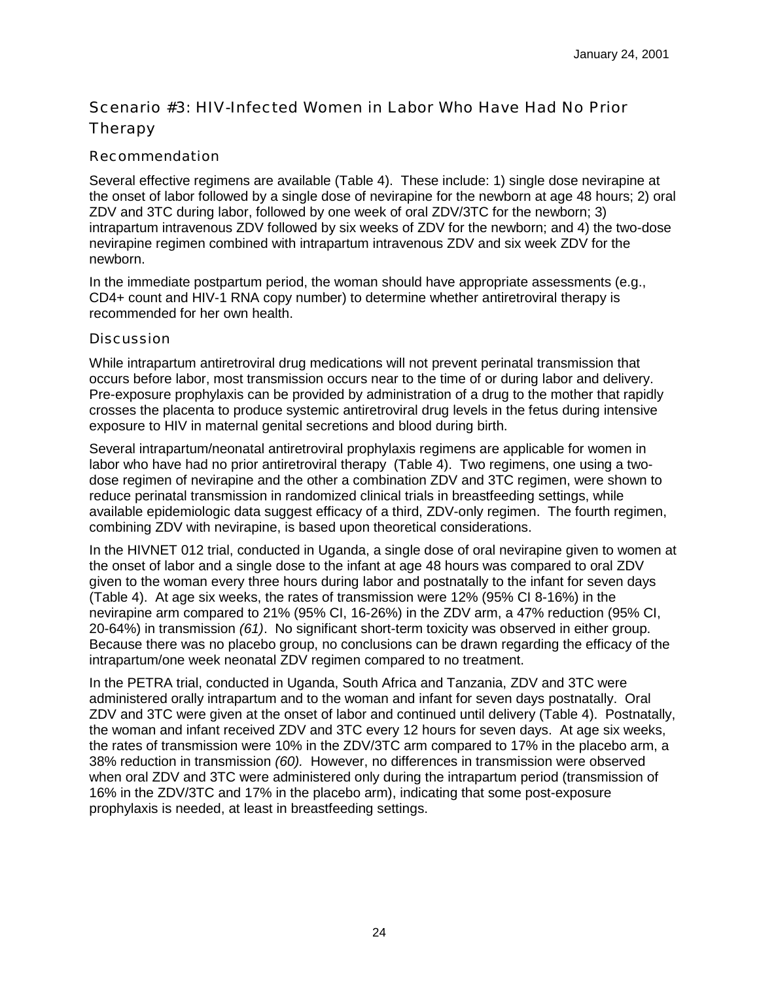## Scenario #3: HIV-Infected Women in Labor Who Have Had No Prior Therapy

### Recommendation

Several effective regimens are available (Table 4). These include: 1) single dose nevirapine at the onset of labor followed by a single dose of nevirapine for the newborn at age 48 hours; 2) oral ZDV and 3TC during labor, followed by one week of oral ZDV/3TC for the newborn; 3) intrapartum intravenous ZDV followed by six weeks of ZDV for the newborn; and 4) the two-dose nevirapine regimen combined with intrapartum intravenous ZDV and six week ZDV for the newborn.

In the immediate postpartum period, the woman should have appropriate assessments (e.g., CD4+ count and HIV-1 RNA copy number) to determine whether antiretroviral therapy is recommended for her own health.

#### **Discussion**

While intrapartum antiretroviral drug medications will not prevent perinatal transmission that occurs before labor, most transmission occurs near to the time of or during labor and delivery. Pre-exposure prophylaxis can be provided by administration of a drug to the mother that rapidly crosses the placenta to produce systemic antiretroviral drug levels in the fetus during intensive exposure to HIV in maternal genital secretions and blood during birth.

Several intrapartum/neonatal antiretroviral prophylaxis regimens are applicable for women in labor who have had no prior antiretroviral therapy (Table 4). Two regimens, one using a twodose regimen of nevirapine and the other a combination ZDV and 3TC regimen, were shown to reduce perinatal transmission in randomized clinical trials in breastfeeding settings, while available epidemiologic data suggest efficacy of a third, ZDV-only regimen. The fourth regimen, combining ZDV with nevirapine, is based upon theoretical considerations.

In the HIVNET 012 trial, conducted in Uganda, a single dose of oral nevirapine given to women at the onset of labor and a single dose to the infant at age 48 hours was compared to oral ZDV given to the woman every three hours during labor and postnatally to the infant for seven days (Table 4). At age six weeks, the rates of transmission were 12% (95% CI 8-16%) in the nevirapine arm compared to 21% (95% CI, 16-26%) in the ZDV arm, a 47% reduction (95% CI, 20-64%) in transmission *(61)*. No significant short-term toxicity was observed in either group. Because there was no placebo group, no conclusions can be drawn regarding the efficacy of the intrapartum/one week neonatal ZDV regimen compared to no treatment.

In the PETRA trial, conducted in Uganda, South Africa and Tanzania, ZDV and 3TC were administered orally intrapartum and to the woman and infant for seven days postnatally. Oral ZDV and 3TC were given at the onset of labor and continued until delivery (Table 4). Postnatally, the woman and infant received ZDV and 3TC every 12 hours for seven days. At age six weeks, the rates of transmission were 10% in the ZDV/3TC arm compared to 17% in the placebo arm, a 38% reduction in transmission *(60).* However, no differences in transmission were observed when oral ZDV and 3TC were administered only during the intrapartum period (transmission of 16% in the ZDV/3TC and 17% in the placebo arm), indicating that some post-exposure prophylaxis is needed, at least in breastfeeding settings.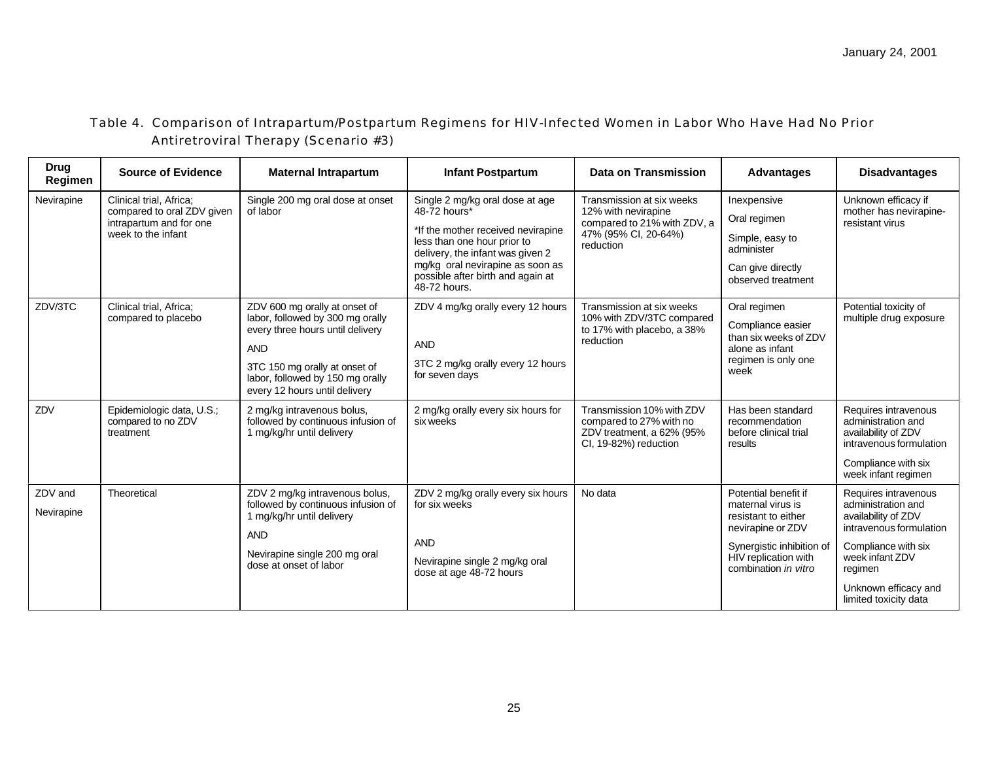### Table 4. Comparison of Intrapartum/Postpartum Regimens for HIV-Infected Women in Labor Who Have Had No Prior Antiretroviral Therapy (Scenario #3)

| <b>Drug</b><br>Regimen | <b>Source of Evidence</b>                                                                              | <b>Maternal Intrapartum</b>                                                                                                                                                                                               | <b>Infant Postpartum</b>                                                                                                                                                                                                                          | Data on Transmission                                                                                                 | <b>Advantages</b>                                                                                                                                                  | <b>Disadvantages</b>                                                                                                                                                                               |
|------------------------|--------------------------------------------------------------------------------------------------------|---------------------------------------------------------------------------------------------------------------------------------------------------------------------------------------------------------------------------|---------------------------------------------------------------------------------------------------------------------------------------------------------------------------------------------------------------------------------------------------|----------------------------------------------------------------------------------------------------------------------|--------------------------------------------------------------------------------------------------------------------------------------------------------------------|----------------------------------------------------------------------------------------------------------------------------------------------------------------------------------------------------|
| Nevirapine             | Clinical trial, Africa;<br>compared to oral ZDV given<br>intrapartum and for one<br>week to the infant | Single 200 mg oral dose at onset<br>of labor                                                                                                                                                                              | Single 2 mg/kg oral dose at age<br>48-72 hours*<br>*If the mother received nevirapine<br>less than one hour prior to<br>delivery, the infant was given 2<br>mg/kg oral nevirapine as soon as<br>possible after birth and again at<br>48-72 hours. | Transmission at six weeks<br>12% with nevirapine<br>compared to 21% with ZDV, a<br>47% (95% CI, 20-64%)<br>reduction | Inexpensive<br>Oral regimen<br>Simple, easy to<br>administer<br>Can give directly<br>observed treatment                                                            | Unknown efficacy if<br>mother has nevirapine-<br>resistant virus                                                                                                                                   |
| ZDV/3TC                | Clinical trial, Africa;<br>compared to placebo                                                         | ZDV 600 mg orally at onset of<br>labor, followed by 300 mg orally<br>every three hours until delivery<br><b>AND</b><br>3TC 150 mg orally at onset of<br>labor, followed by 150 mg orally<br>every 12 hours until delivery | ZDV 4 mg/kg orally every 12 hours<br><b>AND</b><br>3TC 2 mg/kg orally every 12 hours<br>for seven days                                                                                                                                            | Transmission at six weeks<br>10% with ZDV/3TC compared<br>to 17% with placebo, a 38%<br>reduction                    | Oral regimen<br>Compliance easier<br>than six weeks of ZDV<br>alone as infant<br>regimen is only one<br>week                                                       | Potential toxicity of<br>multiple drug exposure                                                                                                                                                    |
| ZDV                    | Epidemiologic data, U.S.;<br>compared to no ZDV<br>treatment                                           | 2 mg/kg intravenous bolus,<br>followed by continuous infusion of<br>1 mg/kg/hr until delivery                                                                                                                             | 2 mg/kg orally every six hours for<br>six weeks                                                                                                                                                                                                   | Transmission 10% with ZDV<br>compared to 27% with no<br>ZDV treatment, a 62% (95%<br>CI, 19-82%) reduction           | Has been standard<br>recommendation<br>before clinical trial<br>results                                                                                            | Requires intravenous<br>administration and<br>availability of ZDV<br>intravenous formulation<br>Compliance with six<br>week infant regimen                                                         |
| ZDV and<br>Nevirapine  | Theoretical                                                                                            | ZDV 2 mg/kg intravenous bolus,<br>followed by continuous infusion of<br>1 mg/kg/hr until delivery<br><b>AND</b><br>Nevirapine single 200 mg oral<br>dose at onset of labor                                                | ZDV 2 mg/kg orally every six hours<br>for six weeks<br><b>AND</b><br>Nevirapine single 2 mg/kg oral<br>dose at age 48-72 hours                                                                                                                    | No data                                                                                                              | Potential benefit if<br>maternal virus is<br>resistant to either<br>nevirapine or ZDV<br>Synergistic inhibition of<br>HIV replication with<br>combination in vitro | Requires intravenous<br>administration and<br>availability of ZDV<br>intravenous formulation<br>Compliance with six<br>week infant ZDV<br>regimen<br>Unknown efficacy and<br>limited toxicity data |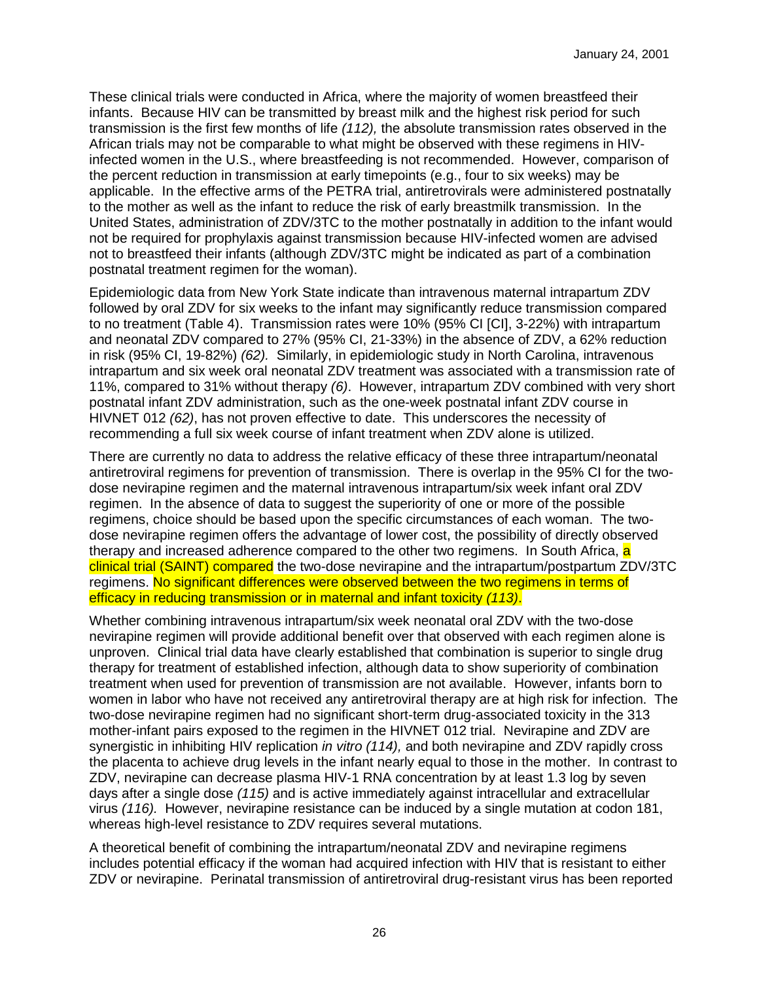These clinical trials were conducted in Africa, where the majority of women breastfeed their infants. Because HIV can be transmitted by breast milk and the highest risk period for such transmission is the first few months of life *(112),* the absolute transmission rates observed in the African trials may not be comparable to what might be observed with these regimens in HIVinfected women in the U.S., where breastfeeding is not recommended. However, comparison of the percent reduction in transmission at early timepoints (e.g., four to six weeks) may be applicable. In the effective arms of the PETRA trial, antiretrovirals were administered postnatally to the mother as well as the infant to reduce the risk of early breastmilk transmission. In the United States, administration of ZDV/3TC to the mother postnatally in addition to the infant would not be required for prophylaxis against transmission because HIV-infected women are advised not to breastfeed their infants (although ZDV/3TC might be indicated as part of a combination postnatal treatment regimen for the woman).

Epidemiologic data from New York State indicate than intravenous maternal intrapartum ZDV followed by oral ZDV for six weeks to the infant may significantly reduce transmission compared to no treatment (Table 4). Transmission rates were 10% (95% CI [CI], 3-22%) with intrapartum and neonatal ZDV compared to 27% (95% CI, 21-33%) in the absence of ZDV, a 62% reduction in risk (95% CI, 19-82%) *(62).* Similarly, in epidemiologic study in North Carolina, intravenous intrapartum and six week oral neonatal ZDV treatment was associated with a transmission rate of 11%, compared to 31% without therapy *(6)*. However, intrapartum ZDV combined with very short postnatal infant ZDV administration, such as the one-week postnatal infant ZDV course in HIVNET 012 *(62)*, has not proven effective to date. This underscores the necessity of recommending a full six week course of infant treatment when ZDV alone is utilized.

There are currently no data to address the relative efficacy of these three intrapartum/neonatal antiretroviral regimens for prevention of transmission. There is overlap in the 95% CI for the twodose nevirapine regimen and the maternal intravenous intrapartum/six week infant oral ZDV regimen. In the absence of data to suggest the superiority of one or more of the possible regimens, choice should be based upon the specific circumstances of each woman. The twodose nevirapine regimen offers the advantage of lower cost, the possibility of directly observed therapy and increased adherence compared to the other two regimens. In South Africa, a clinical trial (SAINT) compared the two-dose nevirapine and the intrapartum/postpartum ZDV/3TC regimens. No significant differences were observed between the two regimens in terms of efficacy in reducing transmission or in maternal and infant toxicity *(113)*.

Whether combining intravenous intrapartum/six week neonatal oral ZDV with the two-dose nevirapine regimen will provide additional benefit over that observed with each regimen alone is unproven. Clinical trial data have clearly established that combination is superior to single drug therapy for treatment of established infection, although data to show superiority of combination treatment when used for prevention of transmission are not available. However, infants born to women in labor who have not received any antiretroviral therapy are at high risk for infection. The two-dose nevirapine regimen had no significant short-term drug-associated toxicity in the 313 mother-infant pairs exposed to the regimen in the HIVNET 012 trial. Nevirapine and ZDV are synergistic in inhibiting HIV replication *in vitro (114),* and both nevirapine and ZDV rapidly cross the placenta to achieve drug levels in the infant nearly equal to those in the mother. In contrast to ZDV, nevirapine can decrease plasma HIV-1 RNA concentration by at least 1.3 log by seven days after a single dose *(115)* and is active immediately against intracellular and extracellular virus *(116).* However, nevirapine resistance can be induced by a single mutation at codon 181, whereas high-level resistance to ZDV requires several mutations.

A theoretical benefit of combining the intrapartum/neonatal ZDV and nevirapine regimens includes potential efficacy if the woman had acquired infection with HIV that is resistant to either ZDV or nevirapine. Perinatal transmission of antiretroviral drug-resistant virus has been reported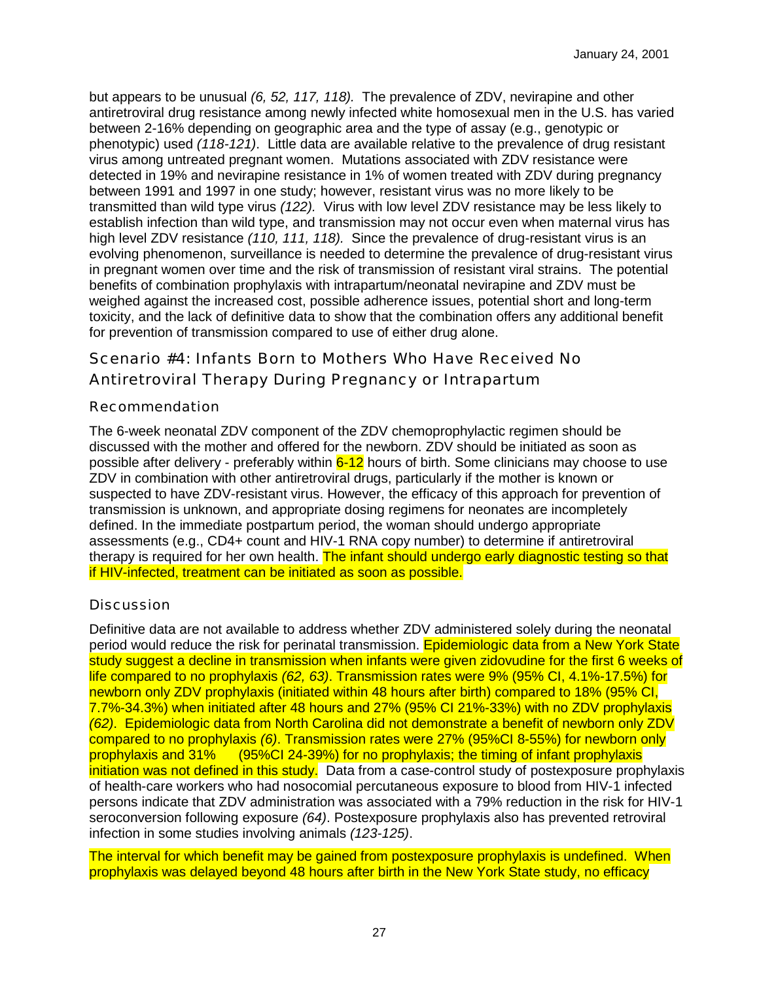but appears to be unusual *(6, 52, 117, 118).* The prevalence of ZDV, nevirapine and other antiretroviral drug resistance among newly infected white homosexual men in the U.S. has varied between 2-16% depending on geographic area and the type of assay (e.g., genotypic or phenotypic) used *(118-121)*. Little data are available relative to the prevalence of drug resistant virus among untreated pregnant women. Mutations associated with ZDV resistance were detected in 19% and nevirapine resistance in 1% of women treated with ZDV during pregnancy between 1991 and 1997 in one study; however, resistant virus was no more likely to be transmitted than wild type virus *(122).* Virus with low level ZDV resistance may be less likely to establish infection than wild type, and transmission may not occur even when maternal virus has high level ZDV resistance *(110, 111, 118).* Since the prevalence of drug-resistant virus is an evolving phenomenon, surveillance is needed to determine the prevalence of drug-resistant virus in pregnant women over time and the risk of transmission of resistant viral strains. The potential benefits of combination prophylaxis with intrapartum/neonatal nevirapine and ZDV must be weighed against the increased cost, possible adherence issues, potential short and long-term toxicity, and the lack of definitive data to show that the combination offers any additional benefit for prevention of transmission compared to use of either drug alone.

# Scenario #4: Infants Born to Mothers Who Have Received No Antiretroviral Therapy During Pregnancy or Intrapartum

#### Recommendation

The 6-week neonatal ZDV component of the ZDV chemoprophylactic regimen should be discussed with the mother and offered for the newborn. ZDV should be initiated as soon as possible after delivery - preferably within  $6-12$  hours of birth. Some clinicians may choose to use ZDV in combination with other antiretroviral drugs, particularly if the mother is known or suspected to have ZDV-resistant virus. However, the efficacy of this approach for prevention of transmission is unknown, and appropriate dosing regimens for neonates are incompletely defined. In the immediate postpartum period, the woman should undergo appropriate assessments (e.g., CD4+ count and HIV-1 RNA copy number) to determine if antiretroviral therapy is required for her own health. The infant should undergo early diagnostic testing so that if HIV-infected, treatment can be initiated as soon as possible.

#### **Discussion**

Definitive data are not available to address whether ZDV administered solely during the neonatal period would reduce the risk for perinatal transmission. Epidemiologic data from a New York State study suggest a decline in transmission when infants were given zidovudine for the first 6 weeks of life compared to no prophylaxis *(62, 63)*. Transmission rates were 9% (95% CI, 4.1%-17.5%) for newborn only ZDV prophylaxis (initiated within 48 hours after birth) compared to 18% (95% CI, 7.7%-34.3%) when initiated after 48 hours and 27% (95% CI 21%-33%) with no ZDV prophylaxis *(62)*. Epidemiologic data from North Carolina did not demonstrate a benefit of newborn only ZDV compared to no prophylaxis *(6)*. Transmission rates were 27% (95%CI 8-55%) for newborn only prophylaxis and 31% (95%CI 24-39%) for no prophylaxis; the timing of infant prophylaxis initiation was not defined in this study. Data from a case-control study of postexposure prophylaxis of health-care workers who had nosocomial percutaneous exposure to blood from HIV-1 infected persons indicate that ZDV administration was associated with a 79% reduction in the risk for HIV-1 seroconversion following exposure *(64)*. Postexposure prophylaxis also has prevented retroviral infection in some studies involving animals *(123-125)*.

The interval for which benefit may be gained from postexposure prophylaxis is undefined. When prophylaxis was delayed beyond 48 hours after birth in the New York State study, no efficacy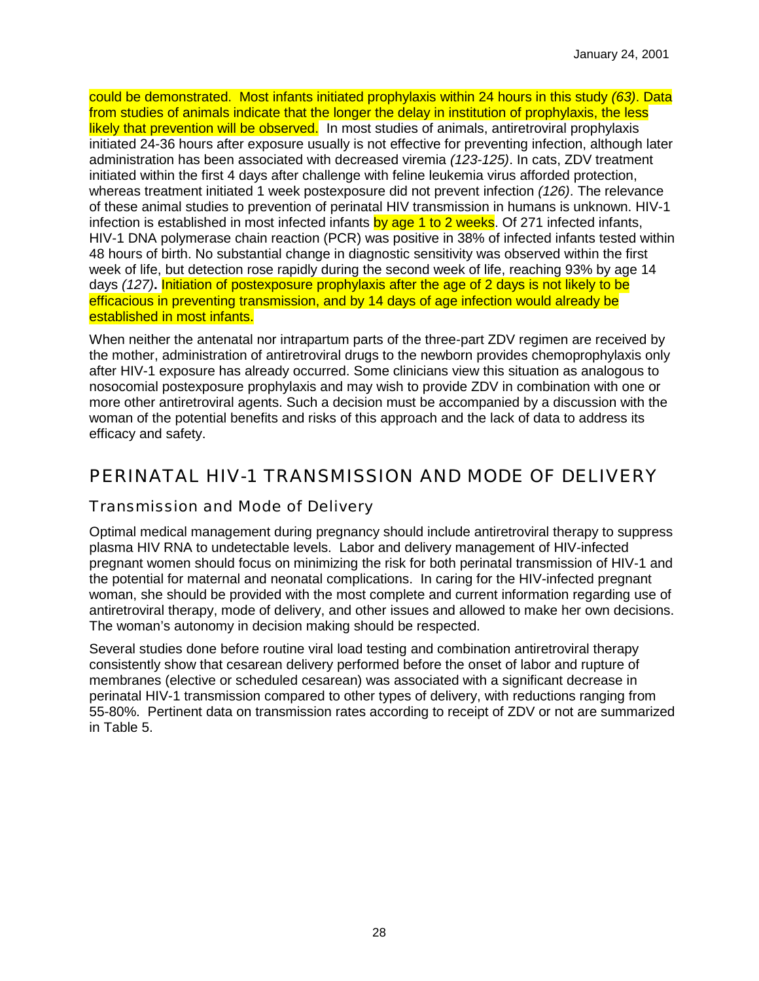could be demonstrated. Most infants initiated prophylaxis within 24 hours in this study *(63)*. Data from studies of animals indicate that the longer the delay in institution of prophylaxis, the less likely that prevention will be observed. In most studies of animals, antiretroviral prophylaxis initiated 24-36 hours after exposure usually is not effective for preventing infection, although later administration has been associated with decreased viremia *(123-125)*. In cats, ZDV treatment initiated within the first 4 days after challenge with feline leukemia virus afforded protection, whereas treatment initiated 1 week postexposure did not prevent infection *(126)*. The relevance of these animal studies to prevention of perinatal HIV transmission in humans is unknown. HIV-1 infection is established in most infected infants by age 1 to 2 weeks. Of 271 infected infants, HIV-1 DNA polymerase chain reaction (PCR) was positive in 38% of infected infants tested within 48 hours of birth. No substantial change in diagnostic sensitivity was observed within the first week of life, but detection rose rapidly during the second week of life, reaching 93% by age 14 days *(127)***.** Initiation of postexposure prophylaxis after the age of 2 days is not likely to be efficacious in preventing transmission, and by 14 days of age infection would already be established in most infants.

When neither the antenatal nor intrapartum parts of the three-part ZDV regimen are received by the mother, administration of antiretroviral drugs to the newborn provides chemoprophylaxis only after HIV-1 exposure has already occurred. Some clinicians view this situation as analogous to nosocomial postexposure prophylaxis and may wish to provide ZDV in combination with one or more other antiretroviral agents. Such a decision must be accompanied by a discussion with the woman of the potential benefits and risks of this approach and the lack of data to address its efficacy and safety.

# PERINATAL HIV-1 TRANSMISSION AND MODE OF DELIVERY

## Transmission and Mode of Delivery

Optimal medical management during pregnancy should include antiretroviral therapy to suppress plasma HIV RNA to undetectable levels. Labor and delivery management of HIV-infected pregnant women should focus on minimizing the risk for both perinatal transmission of HIV-1 and the potential for maternal and neonatal complications. In caring for the HIV-infected pregnant woman, she should be provided with the most complete and current information regarding use of antiretroviral therapy, mode of delivery, and other issues and allowed to make her own decisions. The woman's autonomy in decision making should be respected.

Several studies done before routine viral load testing and combination antiretroviral therapy consistently show that cesarean delivery performed before the onset of labor and rupture of membranes (elective or scheduled cesarean) was associated with a significant decrease in perinatal HIV-1 transmission compared to other types of delivery, with reductions ranging from 55-80%. Pertinent data on transmission rates according to receipt of ZDV or not are summarized in Table 5.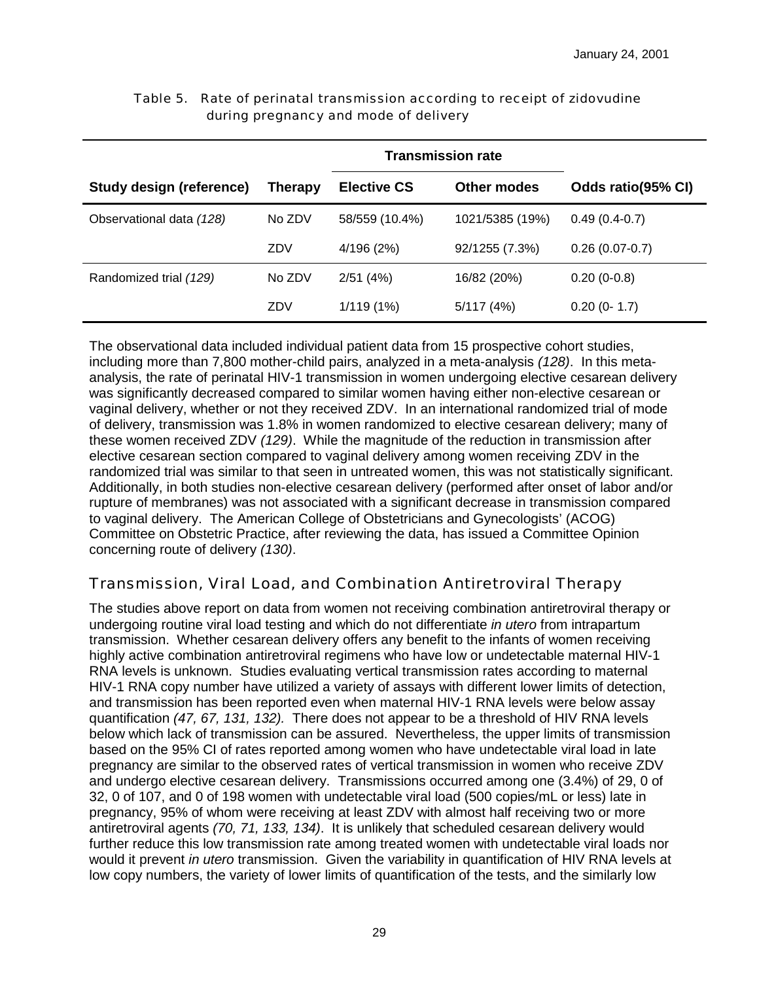|                          |                | <b>Transmission rate</b> |                    |                    |
|--------------------------|----------------|--------------------------|--------------------|--------------------|
| Study design (reference) | <b>Therapy</b> | <b>Elective CS</b>       | <b>Other modes</b> | Odds ratio(95% CI) |
| Observational data (128) | No ZDV         | 58/559 (10.4%)           | 1021/5385 (19%)    | $0.49(0.4-0.7)$    |
|                          | ZDV            | 4/196 (2%)               | 92/1255 (7.3%)     | $0.26(0.07-0.7)$   |
| Randomized trial (129)   | No ZDV         | 2/51(4%)                 | 16/82 (20%)        | $0.20(0-0.8)$      |
|                          | ZDV            | 1/119(1%)                | 5/117(4%)          | $0.20(0-1.7)$      |

Table 5. Rate of perinatal transmission according to receipt of zidovudine during pregnancy and mode of delivery

The observational data included individual patient data from 15 prospective cohort studies, including more than 7,800 mother-child pairs, analyzed in a meta-analysis *(128)*. In this metaanalysis, the rate of perinatal HIV-1 transmission in women undergoing elective cesarean delivery was significantly decreased compared to similar women having either non-elective cesarean or vaginal delivery, whether or not they received ZDV. In an international randomized trial of mode of delivery, transmission was 1.8% in women randomized to elective cesarean delivery; many of these women received ZDV *(129)*. While the magnitude of the reduction in transmission after elective cesarean section compared to vaginal delivery among women receiving ZDV in the randomized trial was similar to that seen in untreated women, this was not statistically significant. Additionally, in both studies non-elective cesarean delivery (performed after onset of labor and/or rupture of membranes) was not associated with a significant decrease in transmission compared to vaginal delivery. The American College of Obstetricians and Gynecologists' (ACOG) Committee on Obstetric Practice, after reviewing the data, has issued a Committee Opinion concerning route of delivery *(130)*.

#### Transmission, Viral Load, and Combination Antiretroviral Therapy

The studies above report on data from women not receiving combination antiretroviral therapy or undergoing routine viral load testing and which do not differentiate *in utero* from intrapartum transmission. Whether cesarean delivery offers any benefit to the infants of women receiving highly active combination antiretroviral regimens who have low or undetectable maternal HIV-1 RNA levels is unknown. Studies evaluating vertical transmission rates according to maternal HIV-1 RNA copy number have utilized a variety of assays with different lower limits of detection, and transmission has been reported even when maternal HIV-1 RNA levels were below assay quantification *(47, 67, 131, 132).* There does not appear to be a threshold of HIV RNA levels below which lack of transmission can be assured. Nevertheless, the upper limits of transmission based on the 95% CI of rates reported among women who have undetectable viral load in late pregnancy are similar to the observed rates of vertical transmission in women who receive ZDV and undergo elective cesarean delivery. Transmissions occurred among one (3.4%) of 29, 0 of 32, 0 of 107, and 0 of 198 women with undetectable viral load (500 copies/mL or less) late in pregnancy, 95% of whom were receiving at least ZDV with almost half receiving two or more antiretroviral agents *(70, 71, 133, 134)*. It is unlikely that scheduled cesarean delivery would further reduce this low transmission rate among treated women with undetectable viral loads nor would it prevent *in utero* transmission. Given the variability in quantification of HIV RNA levels at low copy numbers, the variety of lower limits of quantification of the tests, and the similarly low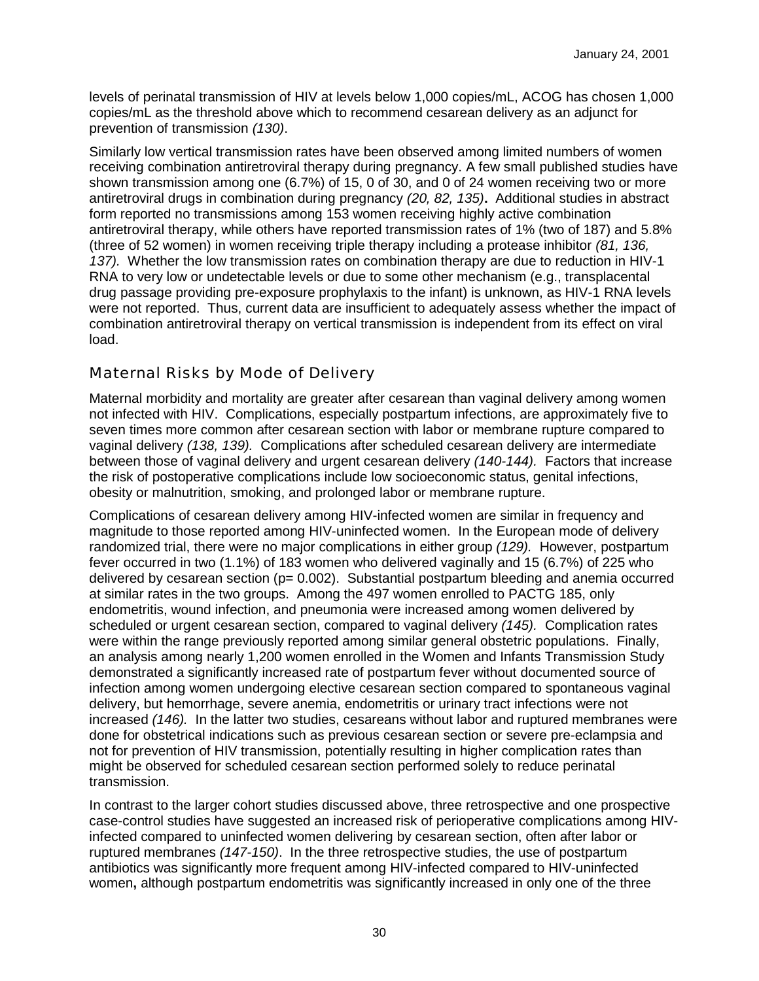levels of perinatal transmission of HIV at levels below 1,000 copies/mL, ACOG has chosen 1,000 copies/mL as the threshold above which to recommend cesarean delivery as an adjunct for prevention of transmission *(130)*.

Similarly low vertical transmission rates have been observed among limited numbers of women receiving combination antiretroviral therapy during pregnancy. A few small published studies have shown transmission among one (6.7%) of 15, 0 of 30, and 0 of 24 women receiving two or more antiretroviral drugs in combination during pregnancy *(20, 82, 135)***.** Additional studies in abstract form reported no transmissions among 153 women receiving highly active combination antiretroviral therapy, while others have reported transmission rates of 1% (two of 187) and 5.8% (three of 52 women) in women receiving triple therapy including a protease inhibitor *(81, 136, 137).* Whether the low transmission rates on combination therapy are due to reduction in HIV-1 RNA to very low or undetectable levels or due to some other mechanism (e.g., transplacental drug passage providing pre-exposure prophylaxis to the infant) is unknown, as HIV-1 RNA levels were not reported. Thus, current data are insufficient to adequately assess whether the impact of combination antiretroviral therapy on vertical transmission is independent from its effect on viral load.

## Maternal Risks by Mode of Delivery

Maternal morbidity and mortality are greater after cesarean than vaginal delivery among women not infected with HIV. Complications, especially postpartum infections, are approximately five to seven times more common after cesarean section with labor or membrane rupture compared to vaginal delivery *(138, 139).* Complications after scheduled cesarean delivery are intermediate between those of vaginal delivery and urgent cesarean delivery *(140-144).* Factors that increase the risk of postoperative complications include low socioeconomic status, genital infections, obesity or malnutrition, smoking, and prolonged labor or membrane rupture.

Complications of cesarean delivery among HIV-infected women are similar in frequency and magnitude to those reported among HIV-uninfected women. In the European mode of delivery randomized trial, there were no major complications in either group *(129).* However, postpartum fever occurred in two (1.1%) of 183 women who delivered vaginally and 15 (6.7%) of 225 who delivered by cesarean section ( $p= 0.002$ ). Substantial postpartum bleeding and anemia occurred at similar rates in the two groups. Among the 497 women enrolled to PACTG 185, only endometritis, wound infection, and pneumonia were increased among women delivered by scheduled or urgent cesarean section, compared to vaginal delivery *(145).* Complication rates were within the range previously reported among similar general obstetric populations. Finally, an analysis among nearly 1,200 women enrolled in the Women and Infants Transmission Study demonstrated a significantly increased rate of postpartum fever without documented source of infection among women undergoing elective cesarean section compared to spontaneous vaginal delivery, but hemorrhage, severe anemia, endometritis or urinary tract infections were not increased *(146).* In the latter two studies, cesareans without labor and ruptured membranes were done for obstetrical indications such as previous cesarean section or severe pre-eclampsia and not for prevention of HIV transmission, potentially resulting in higher complication rates than might be observed for scheduled cesarean section performed solely to reduce perinatal transmission.

In contrast to the larger cohort studies discussed above, three retrospective and one prospective case-control studies have suggested an increased risk of perioperative complications among HIVinfected compared to uninfected women delivering by cesarean section, often after labor or ruptured membranes *(147-150)*. In the three retrospective studies, the use of postpartum antibiotics was significantly more frequent among HIV-infected compared to HIV-uninfected women**,** although postpartum endometritis was significantly increased in only one of the three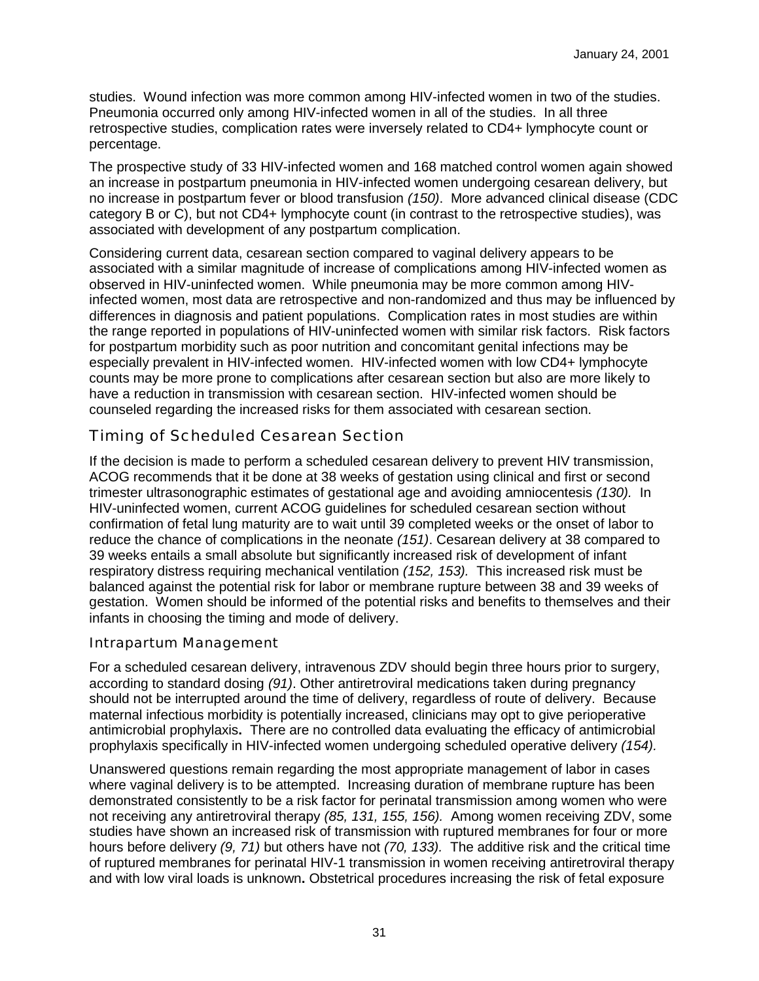studies. Wound infection was more common among HIV-infected women in two of the studies. Pneumonia occurred only among HIV-infected women in all of the studies. In all three retrospective studies, complication rates were inversely related to CD4+ lymphocyte count or percentage.

The prospective study of 33 HIV-infected women and 168 matched control women again showed an increase in postpartum pneumonia in HIV-infected women undergoing cesarean delivery, but no increase in postpartum fever or blood transfusion *(150)*. More advanced clinical disease (CDC category B or C), but not CD4+ lymphocyte count (in contrast to the retrospective studies), was associated with development of any postpartum complication.

Considering current data, cesarean section compared to vaginal delivery appears to be associated with a similar magnitude of increase of complications among HIV-infected women as observed in HIV-uninfected women. While pneumonia may be more common among HIVinfected women, most data are retrospective and non-randomized and thus may be influenced by differences in diagnosis and patient populations. Complication rates in most studies are within the range reported in populations of HIV-uninfected women with similar risk factors. Risk factors for postpartum morbidity such as poor nutrition and concomitant genital infections may be especially prevalent in HIV-infected women.HIV-infected women with low CD4+ lymphocyte counts may be more prone to complications after cesarean section but also are more likely to have a reduction in transmission with cesarean section. HIV-infected women should be counseled regarding the increased risks for them associated with cesarean section.

## Timing of Scheduled Cesarean Section

If the decision is made to perform a scheduled cesarean delivery to prevent HIV transmission, ACOG recommends that it be done at 38 weeks of gestation using clinical and first or second trimester ultrasonographic estimates of gestational age and avoiding amniocentesis *(130).* In HIV-uninfected women, current ACOG guidelines for scheduled cesarean section without confirmation of fetal lung maturity are to wait until 39 completed weeks or the onset of labor to reduce the chance of complications in the neonate *(151)*. Cesarean delivery at 38 compared to 39 weeks entails a small absolute but significantly increased risk of development of infant respiratory distress requiring mechanical ventilation *(152, 153).* This increased risk must be balanced against the potential risk for labor or membrane rupture between 38 and 39 weeks of gestation. Women should be informed of the potential risks and benefits to themselves and their infants in choosing the timing and mode of delivery.

#### Intrapartum Management

For a scheduled cesarean delivery, intravenous ZDV should begin three hours prior to surgery, according to standard dosing *(91)*. Other antiretroviral medications taken during pregnancy should not be interrupted around the time of delivery, regardless of route of delivery. Because maternal infectious morbidity is potentially increased, clinicians may opt to give perioperative antimicrobial prophylaxis**.** There are no controlled data evaluating the efficacy of antimicrobial prophylaxis specifically in HIV-infected women undergoing scheduled operative delivery *(154).*

Unanswered questions remain regarding the most appropriate management of labor in cases where vaginal delivery is to be attempted. Increasing duration of membrane rupture has been demonstrated consistently to be a risk factor for perinatal transmission among women who were not receiving any antiretroviral therapy *(85, 131, 155, 156).* Among women receiving ZDV, some studies have shown an increased risk of transmission with ruptured membranes for four or more hours before delivery *(9, 71)* but others have not *(70, 133).* The additive risk and the critical time of ruptured membranes for perinatal HIV-1 transmission in women receiving antiretroviral therapy and with low viral loads is unknown**.** Obstetrical procedures increasing the risk of fetal exposure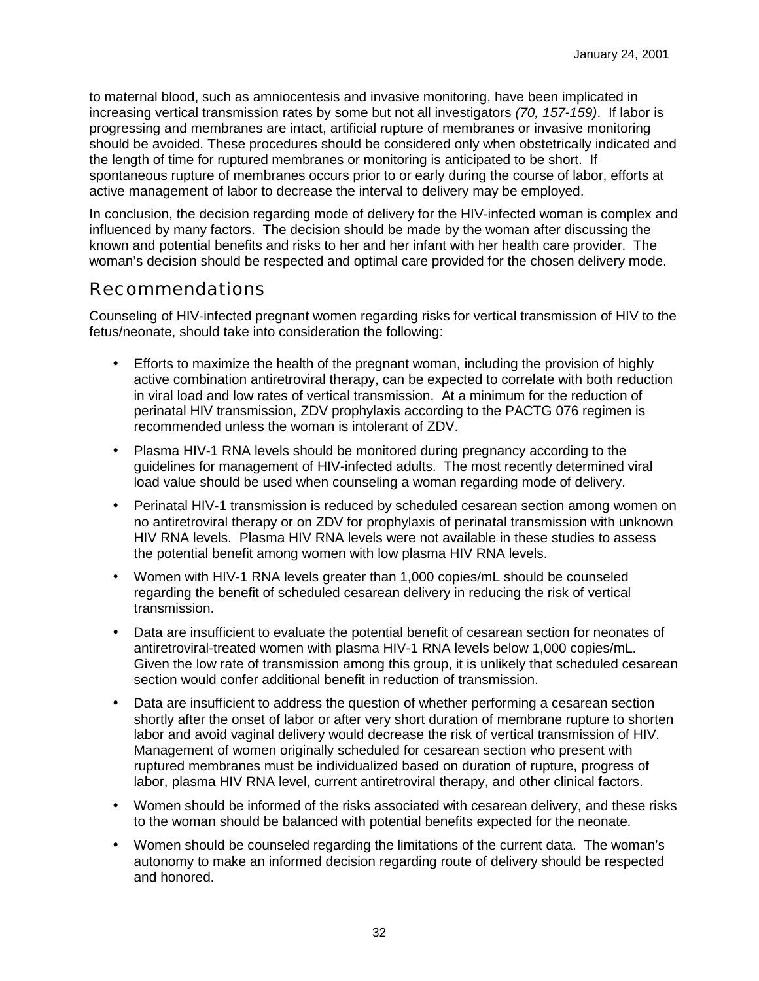to maternal blood, such as amniocentesis and invasive monitoring, have been implicated in increasing vertical transmission rates by some but not all investigators *(70, 157-159)*. If labor is progressing and membranes are intact, artificial rupture of membranes or invasive monitoring should be avoided. These procedures should be considered only when obstetrically indicated and the length of time for ruptured membranes or monitoring is anticipated to be short. If spontaneous rupture of membranes occurs prior to or early during the course of labor, efforts at active management of labor to decrease the interval to delivery may be employed.

In conclusion, the decision regarding mode of delivery for the HIV-infected woman is complex and influenced by many factors. The decision should be made by the woman after discussing the known and potential benefits and risks to her and her infant with her health care provider. The woman's decision should be respected and optimal care provided for the chosen delivery mode.

## Recommendations

Counseling of HIV-infected pregnant women regarding risks for vertical transmission of HIV to the fetus/neonate, should take into consideration the following:

- Efforts to maximize the health of the pregnant woman, including the provision of highly active combination antiretroviral therapy, can be expected to correlate with both reduction in viral load and low rates of vertical transmission. At a minimum for the reduction of perinatal HIV transmission, ZDV prophylaxis according to the PACTG 076 regimen is recommended unless the woman is intolerant of ZDV.
- Plasma HIV-1 RNA levels should be monitored during pregnancy according to the guidelines for management of HIV-infected adults. The most recently determined viral load value should be used when counseling a woman regarding mode of delivery.
- Perinatal HIV-1 transmission is reduced by scheduled cesarean section among women on no antiretroviral therapy or on ZDV for prophylaxis of perinatal transmission with unknown HIV RNA levels. Plasma HIV RNA levels were not available in these studies to assess the potential benefit among women with low plasma HIV RNA levels.
- Women with HIV-1 RNA levels greater than 1,000 copies/mL should be counseled regarding the benefit of scheduled cesarean delivery in reducing the risk of vertical transmission.
- Data are insufficient to evaluate the potential benefit of cesarean section for neonates of antiretroviral-treated women with plasma HIV-1 RNA levels below 1,000 copies/mL. Given the low rate of transmission among this group, it is unlikely that scheduled cesarean section would confer additional benefit in reduction of transmission.
- Data are insufficient to address the question of whether performing a cesarean section shortly after the onset of labor or after very short duration of membrane rupture to shorten labor and avoid vaginal delivery would decrease the risk of vertical transmission of HIV. Management of women originally scheduled for cesarean section who present with ruptured membranes must be individualized based on duration of rupture, progress of labor, plasma HIV RNA level, current antiretroviral therapy, and other clinical factors.
- Women should be informed of the risks associated with cesarean delivery, and these risks to the woman should be balanced with potential benefits expected for the neonate.
- Women should be counseled regarding the limitations of the current data. The woman's autonomy to make an informed decision regarding route of delivery should be respected and honored.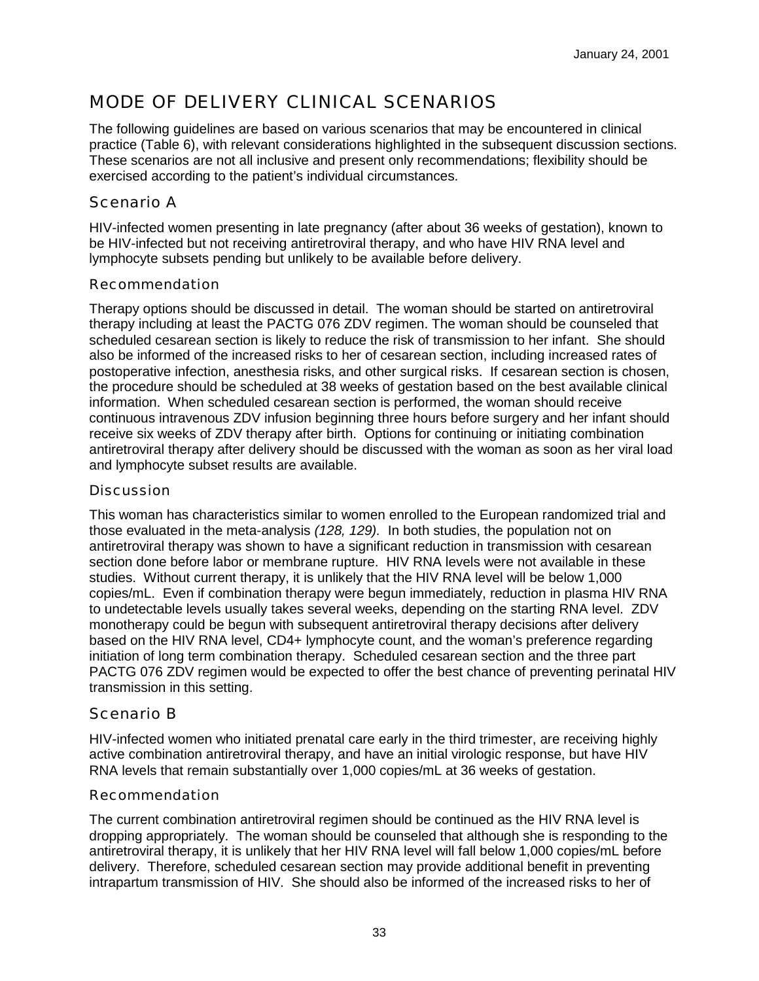# MODE OF DELIVERY CLINICAL SCENARIOS

The following guidelines are based on various scenarios that may be encountered in clinical practice (Table 6), with relevant considerations highlighted in the subsequent discussion sections. These scenarios are not all inclusive and present only recommendations; flexibility should be exercised according to the patient's individual circumstances.

#### Scenario A

HIV-infected women presenting in late pregnancy (after about 36 weeks of gestation), known to be HIV-infected but not receiving antiretroviral therapy, and who have HIV RNA level and lymphocyte subsets pending but unlikely to be available before delivery.

#### Recommendation

Therapy options should be discussed in detail. The woman should be started on antiretroviral therapy including at least the PACTG 076 ZDV regimen. The woman should be counseled that scheduled cesarean section is likely to reduce the risk of transmission to her infant. She should also be informed of the increased risks to her of cesarean section, including increased rates of postoperative infection, anesthesia risks, and other surgical risks. If cesarean section is chosen, the procedure should be scheduled at 38 weeks of gestation based on the best available clinical information. When scheduled cesarean section is performed, the woman should receive continuous intravenous ZDV infusion beginning three hours before surgery and her infant should receive six weeks of ZDV therapy after birth. Options for continuing or initiating combination antiretroviral therapy after delivery should be discussed with the woman as soon as her viral load and lymphocyte subset results are available.

#### Discussion

This woman has characteristics similar to women enrolled to the European randomized trial and those evaluated in the meta-analysis *(128, 129).* In both studies, the population not on antiretroviral therapy was shown to have a significant reduction in transmission with cesarean section done before labor or membrane rupture. HIV RNA levels were not available in these studies. Without current therapy, it is unlikely that the HIV RNA level will be below 1,000 copies/mL. Even if combination therapy were begun immediately, reduction in plasma HIV RNA to undetectable levels usually takes several weeks, depending on the starting RNA level. ZDV monotherapy could be begun with subsequent antiretroviral therapy decisions after delivery based on the HIV RNA level, CD4+ lymphocyte count, and the woman's preference regarding initiation of long term combination therapy. Scheduled cesarean section and the three part PACTG 076 ZDV regimen would be expected to offer the best chance of preventing perinatal HIV transmission in this setting.

#### Scenario B

HIV-infected women who initiated prenatal care early in the third trimester, are receiving highly active combination antiretroviral therapy, and have an initial virologic response, but have HIV RNA levels that remain substantially over 1,000 copies/mL at 36 weeks of gestation.

#### Recommendation

The current combination antiretroviral regimen should be continued as the HIV RNA level is dropping appropriately. The woman should be counseled that although she is responding to the antiretroviral therapy, it is unlikely that her HIV RNA level will fall below 1,000 copies/mL before delivery. Therefore, scheduled cesarean section may provide additional benefit in preventing intrapartum transmission of HIV. She should also be informed of the increased risks to her of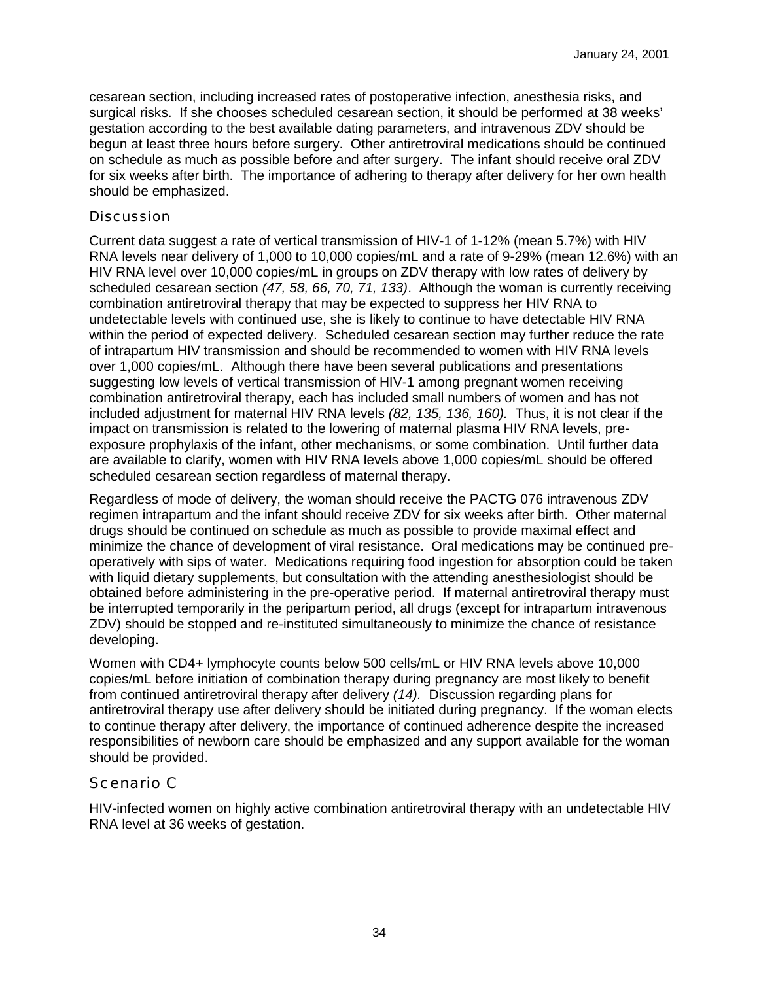cesarean section, including increased rates of postoperative infection, anesthesia risks, and surgical risks. If she chooses scheduled cesarean section, it should be performed at 38 weeks' gestation according to the best available dating parameters, and intravenous ZDV should be begun at least three hours before surgery. Other antiretroviral medications should be continued on schedule as much as possible before and after surgery. The infant should receive oral ZDV for six weeks after birth. The importance of adhering to therapy after delivery for her own health should be emphasized.

#### **Discussion**

Current data suggest a rate of vertical transmission of HIV-1 of 1-12% (mean 5.7%) with HIV RNA levels near delivery of 1,000 to 10,000 copies/mL and a rate of 9-29% (mean 12.6%) with an HIV RNA level over 10,000 copies/mL in groups on ZDV therapy with low rates of delivery by scheduled cesarean section *(47, 58, 66, 70, 71, 133)*. Although the woman is currently receiving combination antiretroviral therapy that may be expected to suppress her HIV RNA to undetectable levels with continued use, she is likely to continue to have detectable HIV RNA within the period of expected delivery. Scheduled cesarean section may further reduce the rate of intrapartum HIV transmission and should be recommended to women with HIV RNA levels over 1,000 copies/mL. Although there have been several publications and presentations suggesting low levels of vertical transmission of HIV-1 among pregnant women receiving combination antiretroviral therapy, each has included small numbers of women and has not included adjustment for maternal HIV RNA levels *(82, 135, 136, 160).* Thus, it is not clear if the impact on transmission is related to the lowering of maternal plasma HIV RNA levels, preexposure prophylaxis of the infant, other mechanisms, or some combination. Until further data are available to clarify, women with HIV RNA levels above 1,000 copies/mL should be offered scheduled cesarean section regardless of maternal therapy.

Regardless of mode of delivery, the woman should receive the PACTG 076 intravenous ZDV regimen intrapartum and the infant should receive ZDV for six weeks after birth. Other maternal drugs should be continued on schedule as much as possible to provide maximal effect and minimize the chance of development of viral resistance. Oral medications may be continued preoperatively with sips of water. Medications requiring food ingestion for absorption could be taken with liquid dietary supplements, but consultation with the attending anesthesiologist should be obtained before administering in the pre-operative period. If maternal antiretroviral therapy must be interrupted temporarily in the peripartum period, all drugs (except for intrapartum intravenous ZDV) should be stopped and re-instituted simultaneously to minimize the chance of resistance developing.

Women with CD4+ lymphocyte counts below 500 cells/mL or HIV RNA levels above 10,000 copies/mL before initiation of combination therapy during pregnancy are most likely to benefit from continued antiretroviral therapy after delivery *(14).* Discussion regarding plans for antiretroviral therapy use after delivery should be initiated during pregnancy. If the woman elects to continue therapy after delivery, the importance of continued adherence despite the increased responsibilities of newborn care should be emphasized and any support available for the woman should be provided.

#### Scenario C

HIV-infected women on highly active combination antiretroviral therapy with an undetectable HIV RNA level at 36 weeks of gestation.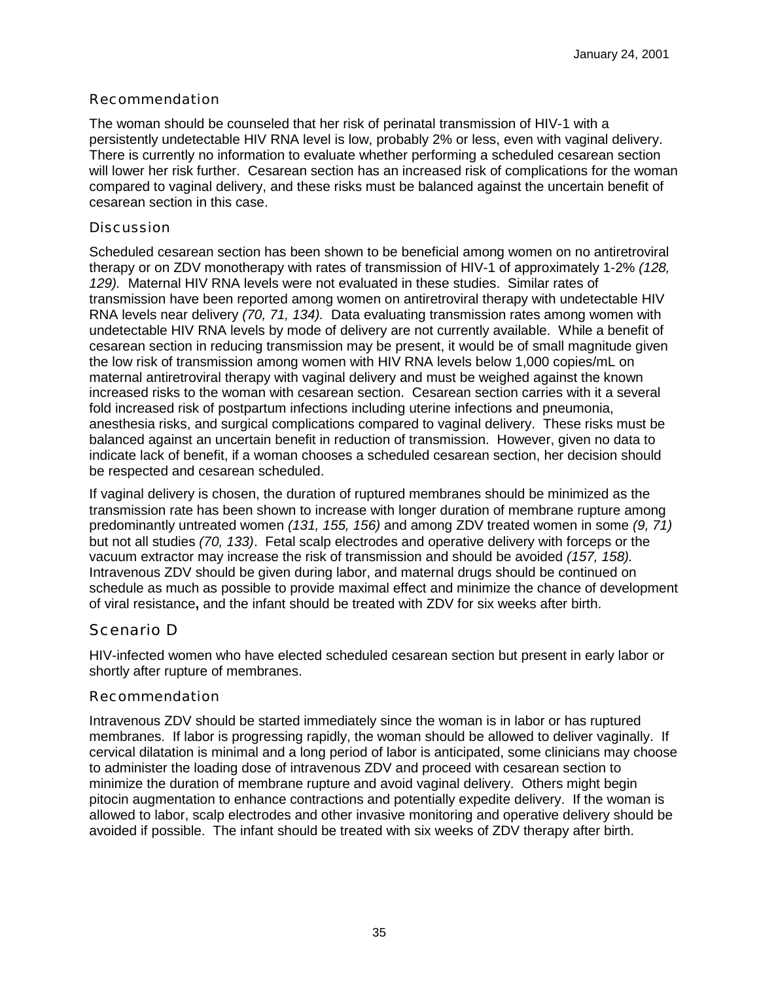### Recommendation

The woman should be counseled that her risk of perinatal transmission of HIV-1 with a persistently undetectable HIV RNA level is low, probably 2% or less, even with vaginal delivery. There is currently no information to evaluate whether performing a scheduled cesarean section will lower her risk further. Cesarean section has an increased risk of complications for the woman compared to vaginal delivery, and these risks must be balanced against the uncertain benefit of cesarean section in this case.

#### **Discussion**

Scheduled cesarean section has been shown to be beneficial among women on no antiretroviral therapy or on ZDV monotherapy with rates of transmission of HIV-1 of approximately 1-2% *(128, 129).* Maternal HIV RNA levels were not evaluated in these studies.Similar rates of transmission have been reported among women on antiretroviral therapy with undetectable HIV RNA levels near delivery *(70, 71, 134).* Data evaluating transmission rates among women with undetectable HIV RNA levels by mode of delivery are not currently available. While a benefit of cesarean section in reducing transmission may be present, it would be of small magnitude given the low risk of transmission among women with HIV RNA levels below 1,000 copies/mL on maternal antiretroviral therapy with vaginal delivery and must be weighed against the known increased risks to the woman with cesarean section. Cesarean section carries with it a several fold increased risk of postpartum infections including uterine infections and pneumonia, anesthesia risks, and surgical complications compared to vaginal delivery. These risks must be balanced against an uncertain benefit in reduction of transmission. However, given no data to indicate lack of benefit, if a woman chooses a scheduled cesarean section, her decision should be respected and cesarean scheduled.

If vaginal delivery is chosen, the duration of ruptured membranes should be minimized as the transmission rate has been shown to increase with longer duration of membrane rupture among predominantly untreated women *(131, 155, 156)* and among ZDV treated women in some *(9, 71)* but not all studies *(70, 133)*. Fetal scalp electrodes and operative delivery with forceps or the vacuum extractor may increase the risk of transmission and should be avoided *(157, 158).* Intravenous ZDV should be given during labor, and maternal drugs should be continued on schedule as much as possible to provide maximal effect and minimize the chance of development of viral resistance**,** and the infant should be treated with ZDV for six weeks after birth.

#### Scenario D

HIV-infected women who have elected scheduled cesarean section but present in early labor or shortly after rupture of membranes.

#### Recommendation

Intravenous ZDV should be started immediately since the woman is in labor or has ruptured membranes. If labor is progressing rapidly, the woman should be allowed to deliver vaginally. If cervical dilatation is minimal and a long period of labor is anticipated, some clinicians may choose to administer the loading dose of intravenous ZDV and proceed with cesarean section to minimize the duration of membrane rupture and avoid vaginal delivery. Others might begin pitocin augmentation to enhance contractions and potentially expedite delivery. If the woman is allowed to labor, scalp electrodes and other invasive monitoring and operative delivery should be avoided if possible. The infant should be treated with six weeks of ZDV therapy after birth.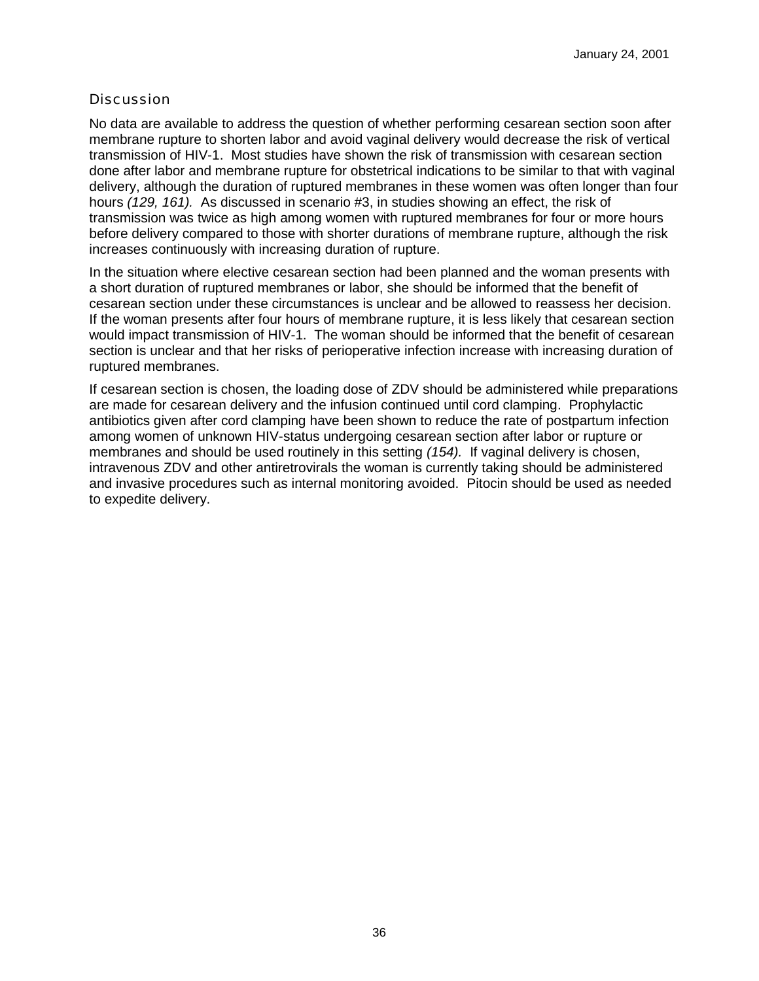#### **Discussion**

No data are available to address the question of whether performing cesarean section soon after membrane rupture to shorten labor and avoid vaginal delivery would decrease the risk of vertical transmission of HIV-1. Most studies have shown the risk of transmission with cesarean section done after labor and membrane rupture for obstetrical indications to be similar to that with vaginal delivery, although the duration of ruptured membranes in these women was often longer than four hours *(129, 161).* As discussed in scenario #3, in studies showing an effect, the risk of transmission was twice as high among women with ruptured membranes for four or more hours before delivery compared to those with shorter durations of membrane rupture, although the risk increases continuously with increasing duration of rupture.

In the situation where elective cesarean section had been planned and the woman presents with a short duration of ruptured membranes or labor, she should be informed that the benefit of cesarean section under these circumstances is unclear and be allowed to reassess her decision. If the woman presents after four hours of membrane rupture, it is less likely that cesarean section would impact transmission of HIV-1. The woman should be informed that the benefit of cesarean section is unclear and that her risks of perioperative infection increase with increasing duration of ruptured membranes.

If cesarean section is chosen, the loading dose of ZDV should be administered while preparations are made for cesarean delivery and the infusion continued until cord clamping. Prophylactic antibiotics given after cord clamping have been shown to reduce the rate of postpartum infection among women of unknown HIV-status undergoing cesarean section after labor or rupture or membranes and should be used routinely in this setting *(154).* If vaginal delivery is chosen, intravenous ZDV and other antiretrovirals the woman is currently taking should be administered and invasive procedures such as internal monitoring avoided. Pitocin should be used as needed to expedite delivery.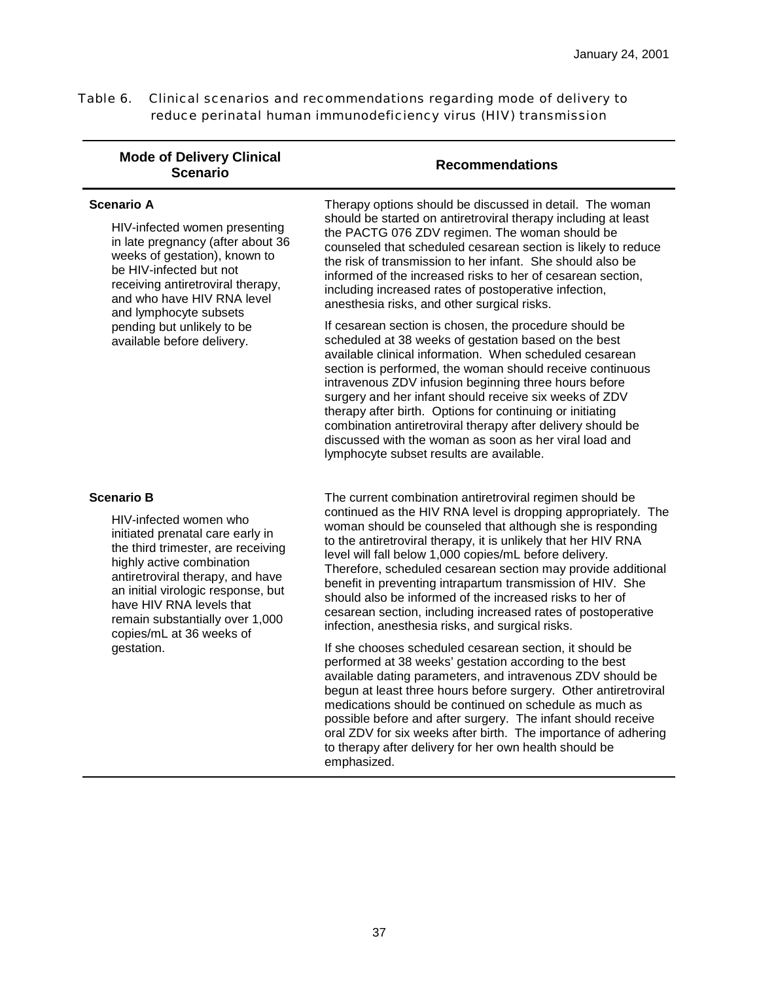Table 6. Clinical scenarios and recommendations regarding mode of delivery to reduce perinatal human immunodeficiency virus (HIV) transmission

| <b>Mode of Delivery Clinical</b><br><b>Scenario</b>                                                                                                                                                                                                                                                                                   | <b>Recommendations</b>                                                                                                                                                                                                                                                                                                                                                                                                                                                                                                                                                                                                                                                                                                                                                                                                                                                                                                                                                                                                                                                                                                                                                                                  |
|---------------------------------------------------------------------------------------------------------------------------------------------------------------------------------------------------------------------------------------------------------------------------------------------------------------------------------------|---------------------------------------------------------------------------------------------------------------------------------------------------------------------------------------------------------------------------------------------------------------------------------------------------------------------------------------------------------------------------------------------------------------------------------------------------------------------------------------------------------------------------------------------------------------------------------------------------------------------------------------------------------------------------------------------------------------------------------------------------------------------------------------------------------------------------------------------------------------------------------------------------------------------------------------------------------------------------------------------------------------------------------------------------------------------------------------------------------------------------------------------------------------------------------------------------------|
| <b>Scenario A</b><br>HIV-infected women presenting<br>in late pregnancy (after about 36<br>weeks of gestation), known to<br>be HIV-infected but not<br>receiving antiretroviral therapy,<br>and who have HIV RNA level<br>and lymphocyte subsets<br>pending but unlikely to be<br>available before delivery.                          | Therapy options should be discussed in detail. The woman<br>should be started on antiretroviral therapy including at least<br>the PACTG 076 ZDV regimen. The woman should be<br>counseled that scheduled cesarean section is likely to reduce<br>the risk of transmission to her infant. She should also be<br>informed of the increased risks to her of cesarean section,<br>including increased rates of postoperative infection,<br>anesthesia risks, and other surgical risks.<br>If cesarean section is chosen, the procedure should be<br>scheduled at 38 weeks of gestation based on the best<br>available clinical information. When scheduled cesarean<br>section is performed, the woman should receive continuous<br>intravenous ZDV infusion beginning three hours before<br>surgery and her infant should receive six weeks of ZDV<br>therapy after birth. Options for continuing or initiating<br>combination antiretroviral therapy after delivery should be<br>discussed with the woman as soon as her viral load and                                                                                                                                                                   |
| <b>Scenario B</b><br>HIV-infected women who<br>initiated prenatal care early in<br>the third trimester, are receiving<br>highly active combination<br>antiretroviral therapy, and have<br>an initial virologic response, but<br>have HIV RNA levels that<br>remain substantially over 1,000<br>copies/mL at 36 weeks of<br>gestation. | lymphocyte subset results are available.<br>The current combination antiretroviral regimen should be<br>continued as the HIV RNA level is dropping appropriately. The<br>woman should be counseled that although she is responding<br>to the antiretroviral therapy, it is unlikely that her HIV RNA<br>level will fall below 1,000 copies/mL before delivery.<br>Therefore, scheduled cesarean section may provide additional<br>benefit in preventing intrapartum transmission of HIV. She<br>should also be informed of the increased risks to her of<br>cesarean section, including increased rates of postoperative<br>infection, anesthesia risks, and surgical risks.<br>If she chooses scheduled cesarean section, it should be<br>performed at 38 weeks' gestation according to the best<br>available dating parameters, and intravenous ZDV should be<br>begun at least three hours before surgery. Other antiretroviral<br>medications should be continued on schedule as much as<br>possible before and after surgery. The infant should receive<br>oral ZDV for six weeks after birth. The importance of adhering<br>to therapy after delivery for her own health should be<br>emphasized. |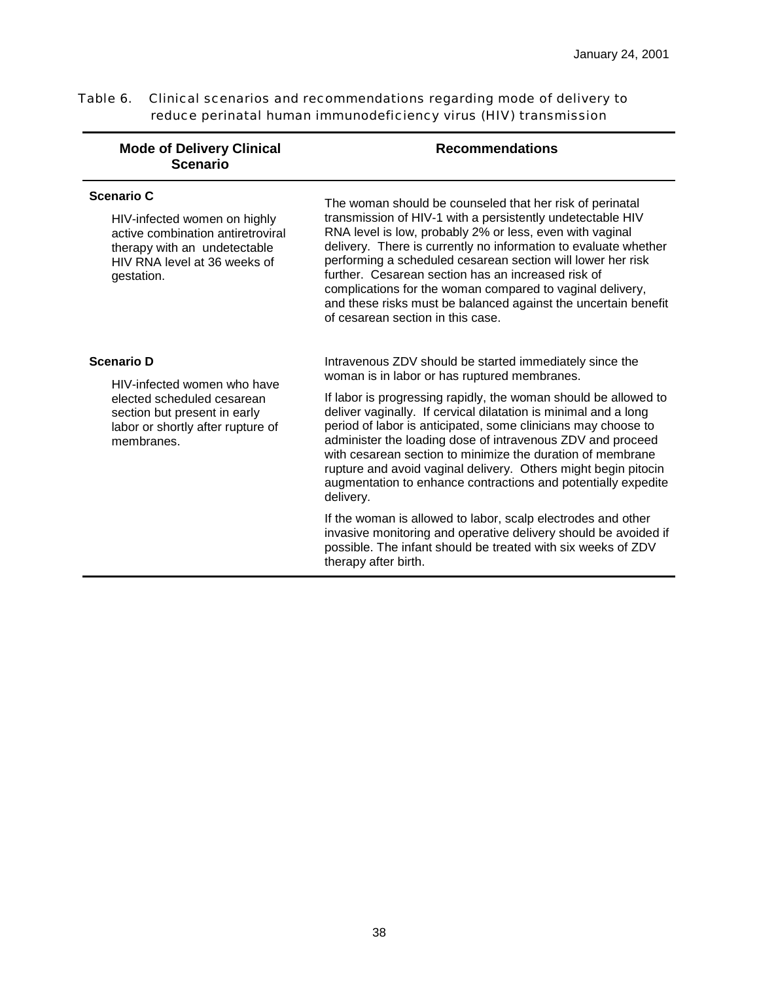Table 6. Clinical scenarios and recommendations regarding mode of delivery to reduce perinatal human immunodeficiency virus (HIV) transmission

| <b>Mode of Delivery Clinical</b><br><b>Scenario</b>                                                                                                                  | <b>Recommendations</b>                                                                                                                                                                                                                                                                                                                                                                                                                                                                                                                                                                                                                                                                                                                                                                                                |
|----------------------------------------------------------------------------------------------------------------------------------------------------------------------|-----------------------------------------------------------------------------------------------------------------------------------------------------------------------------------------------------------------------------------------------------------------------------------------------------------------------------------------------------------------------------------------------------------------------------------------------------------------------------------------------------------------------------------------------------------------------------------------------------------------------------------------------------------------------------------------------------------------------------------------------------------------------------------------------------------------------|
| <b>Scenario C</b><br>HIV-infected women on highly<br>active combination antiretroviral<br>therapy with an undetectable<br>HIV RNA level at 36 weeks of<br>gestation. | The woman should be counseled that her risk of perinatal<br>transmission of HIV-1 with a persistently undetectable HIV<br>RNA level is low, probably 2% or less, even with vaginal<br>delivery. There is currently no information to evaluate whether<br>performing a scheduled cesarean section will lower her risk<br>further. Cesarean section has an increased risk of<br>complications for the woman compared to vaginal delivery,<br>and these risks must be balanced against the uncertain benefit<br>of cesarean section in this case.                                                                                                                                                                                                                                                                        |
| <b>Scenario D</b><br>HIV-infected women who have<br>elected scheduled cesarean<br>section but present in early<br>labor or shortly after rupture of<br>membranes.    | Intravenous ZDV should be started immediately since the<br>woman is in labor or has ruptured membranes.<br>If labor is progressing rapidly, the woman should be allowed to<br>deliver vaginally. If cervical dilatation is minimal and a long<br>period of labor is anticipated, some clinicians may choose to<br>administer the loading dose of intravenous ZDV and proceed<br>with cesarean section to minimize the duration of membrane<br>rupture and avoid vaginal delivery. Others might begin pitocin<br>augmentation to enhance contractions and potentially expedite<br>delivery.<br>If the woman is allowed to labor, scalp electrodes and other<br>invasive monitoring and operative delivery should be avoided if<br>possible. The infant should be treated with six weeks of ZDV<br>therapy after birth. |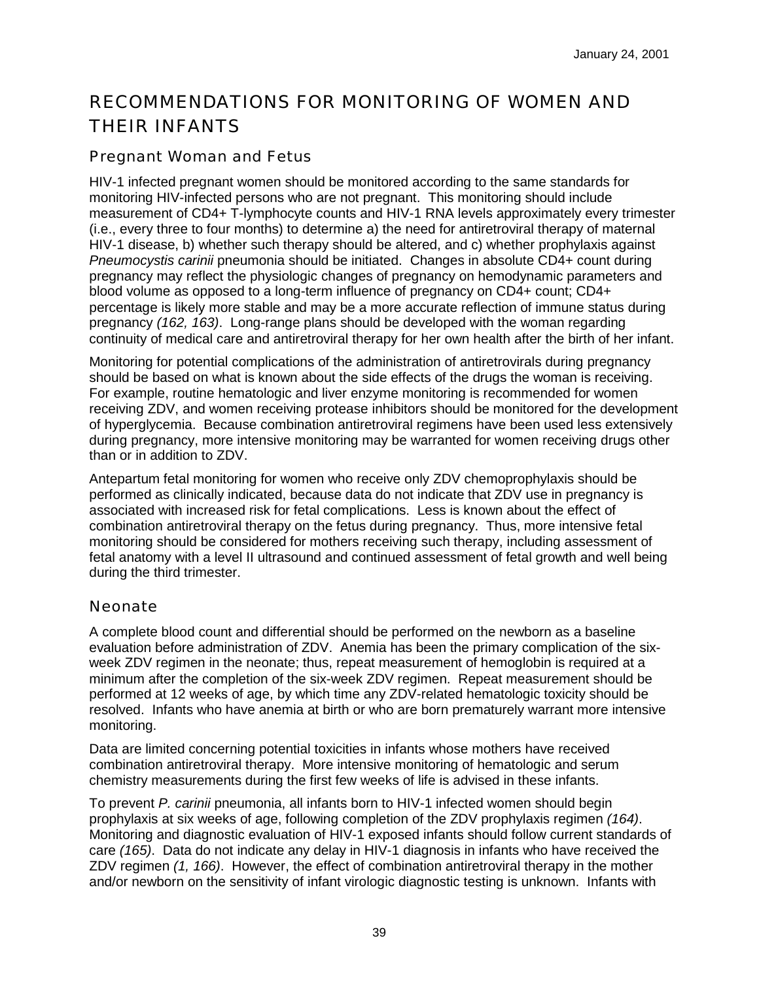# RECOMMENDATIONS FOR MONITORING OF WOMEN AND THEIR INFANTS

## Pregnant Woman and Fetus

HIV-1 infected pregnant women should be monitored according to the same standards for monitoring HIV-infected persons who are not pregnant. This monitoring should include measurement of CD4+ T-lymphocyte counts and HIV-1 RNA levels approximately every trimester (i.e., every three to four months) to determine a) the need for antiretroviral therapy of maternal HIV-1 disease, b) whether such therapy should be altered, and c) whether prophylaxis against *Pneumocystis carinii* pneumonia should be initiated. Changes in absolute CD4+ count during pregnancy may reflect the physiologic changes of pregnancy on hemodynamic parameters and blood volume as opposed to a long-term influence of pregnancy on CD4+ count; CD4+ percentage is likely more stable and may be a more accurate reflection of immune status during pregnancy *(162, 163)*. Long-range plans should be developed with the woman regarding continuity of medical care and antiretroviral therapy for her own health after the birth of her infant.

Monitoring for potential complications of the administration of antiretrovirals during pregnancy should be based on what is known about the side effects of the drugs the woman is receiving. For example, routine hematologic and liver enzyme monitoring is recommended for women receiving ZDV, and women receiving protease inhibitors should be monitored for the development of hyperglycemia. Because combination antiretroviral regimens have been used less extensively during pregnancy, more intensive monitoring may be warranted for women receiving drugs other than or in addition to ZDV.

Antepartum fetal monitoring for women who receive only ZDV chemoprophylaxis should be performed as clinically indicated, because data do not indicate that ZDV use in pregnancy is associated with increased risk for fetal complications. Less is known about the effect of combination antiretroviral therapy on the fetus during pregnancy. Thus, more intensive fetal monitoring should be considered for mothers receiving such therapy, including assessment of fetal anatomy with a level II ultrasound and continued assessment of fetal growth and well being during the third trimester.

## Neonate

A complete blood count and differential should be performed on the newborn as a baseline evaluation before administration of ZDV. Anemia has been the primary complication of the sixweek ZDV regimen in the neonate; thus, repeat measurement of hemoglobin is required at a minimum after the completion of the six-week ZDV regimen. Repeat measurement should be performed at 12 weeks of age, by which time any ZDV-related hematologic toxicity should be resolved. Infants who have anemia at birth or who are born prematurely warrant more intensive monitoring.

Data are limited concerning potential toxicities in infants whose mothers have received combination antiretroviral therapy. More intensive monitoring of hematologic and serum chemistry measurements during the first few weeks of life is advised in these infants.

To prevent *P. carinii* pneumonia, all infants born to HIV-1 infected women should begin prophylaxis at six weeks of age, following completion of the ZDV prophylaxis regimen *(164)*. Monitoring and diagnostic evaluation of HIV-1 exposed infants should follow current standards of care *(165)*. Data do not indicate any delay in HIV-1 diagnosis in infants who have received the ZDV regimen *(1, 166)*. However, the effect of combination antiretroviral therapy in the mother and/or newborn on the sensitivity of infant virologic diagnostic testing is unknown. Infants with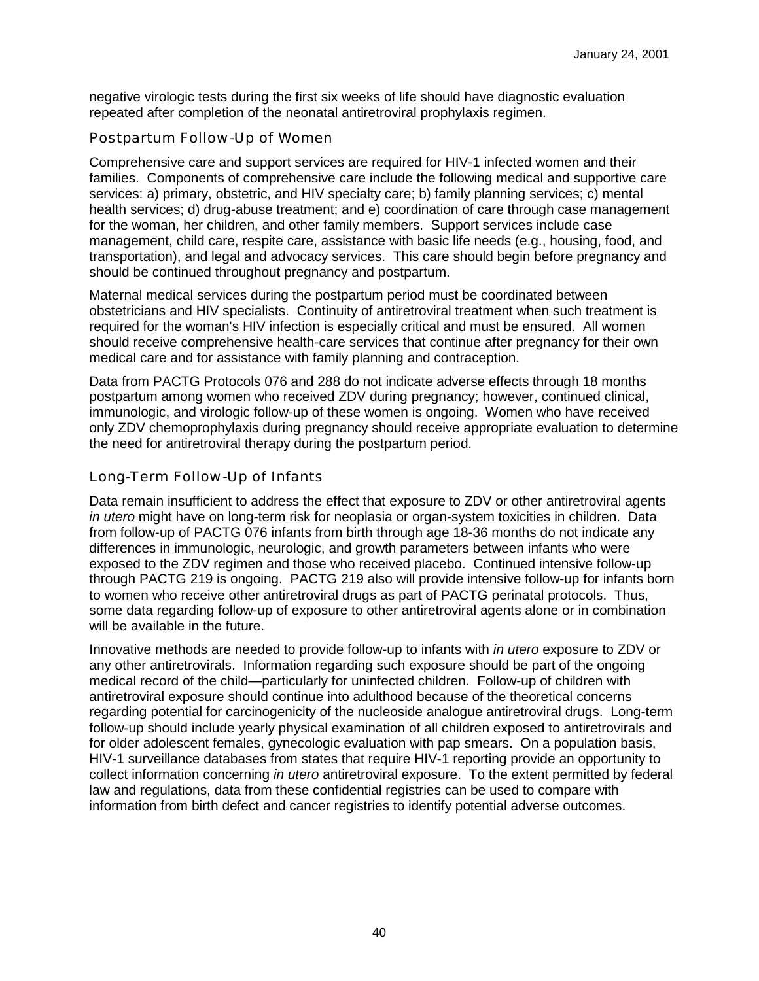negative virologic tests during the first six weeks of life should have diagnostic evaluation repeated after completion of the neonatal antiretroviral prophylaxis regimen.

### Postpartum Follow-Up of Women

Comprehensive care and support services are required for HIV-1 infected women and their families. Components of comprehensive care include the following medical and supportive care services: a) primary, obstetric, and HIV specialty care; b) family planning services; c) mental health services; d) drug-abuse treatment; and e) coordination of care through case management for the woman, her children, and other family members. Support services include case management, child care, respite care, assistance with basic life needs (e.g., housing, food, and transportation), and legal and advocacy services. This care should begin before pregnancy and should be continued throughout pregnancy and postpartum.

Maternal medical services during the postpartum period must be coordinated between obstetricians and HIV specialists. Continuity of antiretroviral treatment when such treatment is required for the woman's HIV infection is especially critical and must be ensured. All women should receive comprehensive health-care services that continue after pregnancy for their own medical care and for assistance with family planning and contraception.

Data from PACTG Protocols 076 and 288 do not indicate adverse effects through 18 months postpartum among women who received ZDV during pregnancy; however, continued clinical, immunologic, and virologic follow-up of these women is ongoing. Women who have received only ZDV chemoprophylaxis during pregnancy should receive appropriate evaluation to determine the need for antiretroviral therapy during the postpartum period.

### Long-Term Follow-Up of Infants

Data remain insufficient to address the effect that exposure to ZDV or other antiretroviral agents *in utero* might have on long-term risk for neoplasia or organ-system toxicities in children. Data from follow-up of PACTG 076 infants from birth through age 18-36 months do not indicate any differences in immunologic, neurologic, and growth parameters between infants who were exposed to the ZDV regimen and those who received placebo. Continued intensive follow-up through PACTG 219 is ongoing. PACTG 219 also will provide intensive follow-up for infants born to women who receive other antiretroviral drugs as part of PACTG perinatal protocols. Thus, some data regarding follow-up of exposure to other antiretroviral agents alone or in combination will be available in the future.

Innovative methods are needed to provide follow-up to infants with *in utero* exposure to ZDV or any other antiretrovirals. Information regarding such exposure should be part of the ongoing medical record of the child—particularly for uninfected children. Follow-up of children with antiretroviral exposure should continue into adulthood because of the theoretical concerns regarding potential for carcinogenicity of the nucleoside analogue antiretroviral drugs. Long-term follow-up should include yearly physical examination of all children exposed to antiretrovirals and for older adolescent females, gynecologic evaluation with pap smears. On a population basis, HIV-1 surveillance databases from states that require HIV-1 reporting provide an opportunity to collect information concerning *in utero* antiretroviral exposure. To the extent permitted by federal law and regulations, data from these confidential registries can be used to compare with information from birth defect and cancer registries to identify potential adverse outcomes.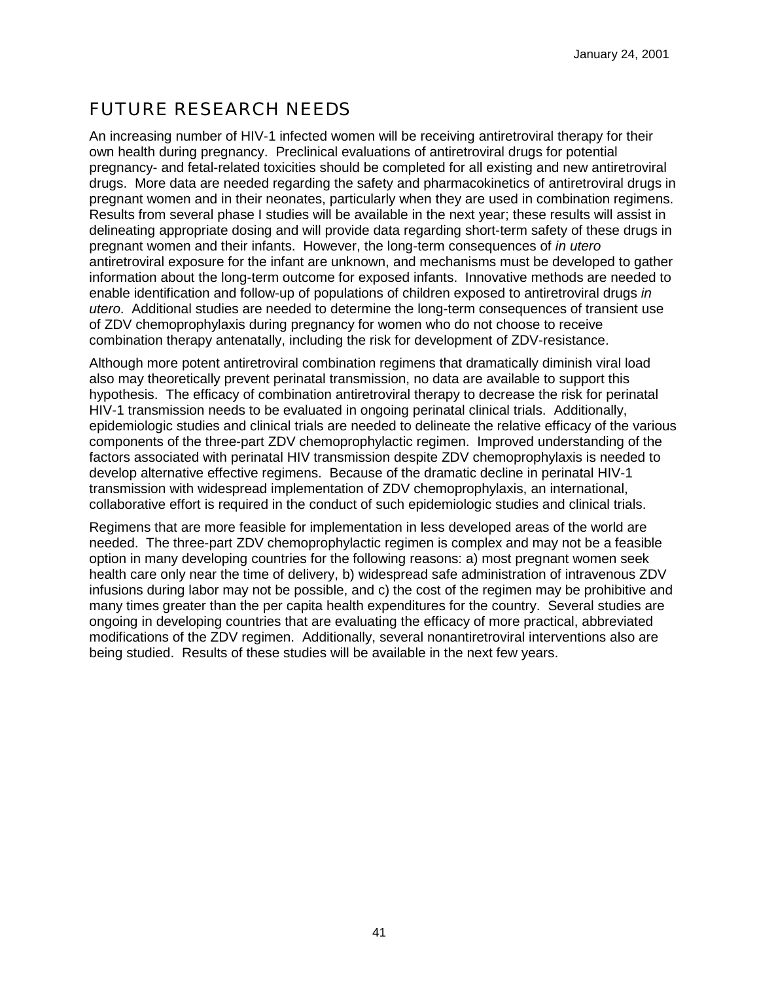# FUTURE RESEARCH NEEDS

An increasing number of HIV-1 infected women will be receiving antiretroviral therapy for their own health during pregnancy. Preclinical evaluations of antiretroviral drugs for potential pregnancy- and fetal-related toxicities should be completed for all existing and new antiretroviral drugs. More data are needed regarding the safety and pharmacokinetics of antiretroviral drugs in pregnant women and in their neonates, particularly when they are used in combination regimens. Results from several phase I studies will be available in the next year; these results will assist in delineating appropriate dosing and will provide data regarding short-term safety of these drugs in pregnant women and their infants. However, the long-term consequences of *in utero* antiretroviral exposure for the infant are unknown, and mechanisms must be developed to gather information about the long-term outcome for exposed infants. Innovative methods are needed to enable identification and follow-up of populations of children exposed to antiretroviral drugs *in utero*. Additional studies are needed to determine the long-term consequences of transient use of ZDV chemoprophylaxis during pregnancy for women who do not choose to receive combination therapy antenatally, including the risk for development of ZDV-resistance.

Although more potent antiretroviral combination regimens that dramatically diminish viral load also may theoretically prevent perinatal transmission, no data are available to support this hypothesis. The efficacy of combination antiretroviral therapy to decrease the risk for perinatal HIV-1 transmission needs to be evaluated in ongoing perinatal clinical trials. Additionally, epidemiologic studies and clinical trials are needed to delineate the relative efficacy of the various components of the three-part ZDV chemoprophylactic regimen. Improved understanding of the factors associated with perinatal HIV transmission despite ZDV chemoprophylaxis is needed to develop alternative effective regimens. Because of the dramatic decline in perinatal HIV-1 transmission with widespread implementation of ZDV chemoprophylaxis, an international, collaborative effort is required in the conduct of such epidemiologic studies and clinical trials.

Regimens that are more feasible for implementation in less developed areas of the world are needed. The three-part ZDV chemoprophylactic regimen is complex and may not be a feasible option in many developing countries for the following reasons: a) most pregnant women seek health care only near the time of delivery, b) widespread safe administration of intravenous ZDV infusions during labor may not be possible, and c) the cost of the regimen may be prohibitive and many times greater than the per capita health expenditures for the country. Several studies are ongoing in developing countries that are evaluating the efficacy of more practical, abbreviated modifications of the ZDV regimen. Additionally, several nonantiretroviral interventions also are being studied. Results of these studies will be available in the next few years.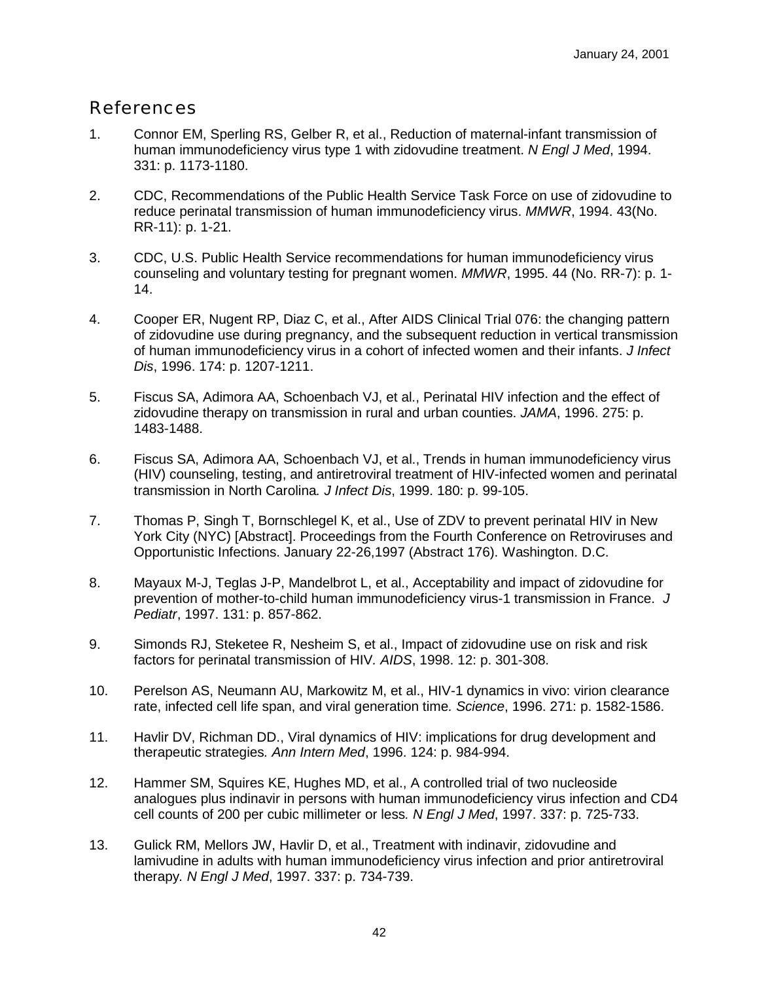## References

- 1. Connor EM, Sperling RS, Gelber R, et al., Reduction of maternal-infant transmission of human immunodeficiency virus type 1 with zidovudine treatment. *N Engl J Med*, 1994. 331: p. 1173-1180.
- 2. CDC, Recommendations of the Public Health Service Task Force on use of zidovudine to reduce perinatal transmission of human immunodeficiency virus. *MMWR*, 1994. 43(No. RR-11): p. 1-21.
- 3. CDC, U.S. Public Health Service recommendations for human immunodeficiency virus counseling and voluntary testing for pregnant women. *MMWR*, 1995. 44 (No. RR-7): p. 1- 14.
- 4. Cooper ER, Nugent RP, Diaz C, et al., After AIDS Clinical Trial 076: the changing pattern of zidovudine use during pregnancy, and the subsequent reduction in vertical transmission of human immunodeficiency virus in a cohort of infected women and their infants. *J Infect Dis*, 1996. 174: p. 1207-1211.
- 5. Fiscus SA, Adimora AA, Schoenbach VJ, et al., Perinatal HIV infection and the effect of zidovudine therapy on transmission in rural and urban counties. *JAMA*, 1996. 275: p. 1483-1488.
- 6. Fiscus SA, Adimora AA, Schoenbach VJ, et al., Trends in human immunodeficiency virus (HIV) counseling, testing, and antiretroviral treatment of HIV-infected women and perinatal transmission in North Carolina*. J Infect Dis*, 1999. 180: p. 99-105.
- 7. Thomas P, Singh T, Bornschlegel K, et al., Use of ZDV to prevent perinatal HIV in New York City (NYC) [Abstract]. Proceedings from the Fourth Conference on Retroviruses and Opportunistic Infections. January 22-26,1997 (Abstract 176). Washington. D.C.
- 8. Mayaux M-J, Teglas J-P, Mandelbrot L, et al., Acceptability and impact of zidovudine for prevention of mother-to-child human immunodeficiency virus-1 transmission in France. *J Pediatr*, 1997. 131: p. 857-862.
- 9. Simonds RJ, Steketee R, Nesheim S, et al., Impact of zidovudine use on risk and risk factors for perinatal transmission of HIV*. AIDS*, 1998. 12: p. 301-308.
- 10. Perelson AS, Neumann AU, Markowitz M, et al., HIV-1 dynamics in vivo: virion clearance rate, infected cell life span, and viral generation time*. Science*, 1996. 271: p. 1582-1586.
- 11. Havlir DV, Richman DD., Viral dynamics of HIV: implications for drug development and therapeutic strategies*. Ann Intern Med*, 1996. 124: p. 984-994.
- 12. Hammer SM, Squires KE, Hughes MD, et al., A controlled trial of two nucleoside analogues plus indinavir in persons with human immunodeficiency virus infection and CD4 cell counts of 200 per cubic millimeter or less*. N Engl J Med*, 1997. 337: p. 725-733.
- 13. Gulick RM, Mellors JW, Havlir D, et al., Treatment with indinavir, zidovudine and lamivudine in adults with human immunodeficiency virus infection and prior antiretroviral therapy*. N Engl J Med*, 1997. 337: p. 734-739.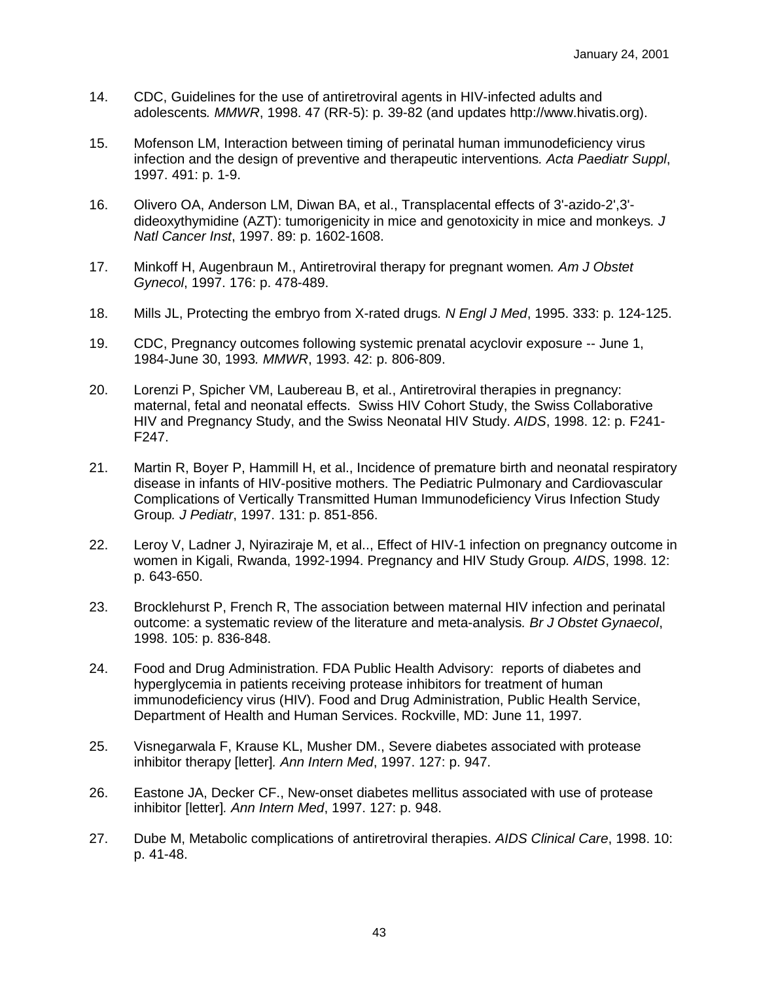- 14. CDC, Guidelines for the use of antiretroviral agents in HIV-infected adults and adolescents*. MMWR*, 1998. 47 (RR-5): p. 39-82 (and updates http://www.hivatis.org).
- 15. Mofenson LM, Interaction between timing of perinatal human immunodeficiency virus infection and the design of preventive and therapeutic interventions*. Acta Paediatr Suppl*, 1997. 491: p. 1-9.
- 16. Olivero OA, Anderson LM, Diwan BA, et al., Transplacental effects of 3'-azido-2',3' dideoxythymidine (AZT): tumorigenicity in mice and genotoxicity in mice and monkeys*. J Natl Cancer Inst*, 1997. 89: p. 1602-1608.
- 17. Minkoff H, Augenbraun M., Antiretroviral therapy for pregnant women*. Am J Obstet Gynecol*, 1997. 176: p. 478-489.
- 18. Mills JL, Protecting the embryo from X-rated drugs*. N Engl J Med*, 1995. 333: p. 124-125.
- 19. CDC, Pregnancy outcomes following systemic prenatal acyclovir exposure -- June 1, 1984-June 30, 1993*. MMWR*, 1993. 42: p. 806-809.
- 20. Lorenzi P, Spicher VM, Laubereau B, et al., Antiretroviral therapies in pregnancy: maternal, fetal and neonatal effects. Swiss HIV Cohort Study, the Swiss Collaborative HIV and Pregnancy Study, and the Swiss Neonatal HIV Study. *AIDS*, 1998. 12: p. F241- F247.
- 21. Martin R, Boyer P, Hammill H, et al., Incidence of premature birth and neonatal respiratory disease in infants of HIV-positive mothers. The Pediatric Pulmonary and Cardiovascular Complications of Vertically Transmitted Human Immunodeficiency Virus Infection Study Group*. J Pediatr*, 1997. 131: p. 851-856.
- 22. Leroy V, Ladner J, Nyiraziraje M, et al.., Effect of HIV-1 infection on pregnancy outcome in women in Kigali, Rwanda, 1992-1994. Pregnancy and HIV Study Group*. AIDS*, 1998. 12: p. 643-650.
- 23. Brocklehurst P, French R, The association between maternal HIV infection and perinatal outcome: a systematic review of the literature and meta-analysis*. Br J Obstet Gynaecol*, 1998. 105: p. 836-848.
- 24. Food and Drug Administration. FDA Public Health Advisory: reports of diabetes and hyperglycemia in patients receiving protease inhibitors for treatment of human immunodeficiency virus (HIV). Food and Drug Administration, Public Health Service, Department of Health and Human Services. Rockville, MD: June 11, 1997*.*
- 25. Visnegarwala F, Krause KL, Musher DM., Severe diabetes associated with protease inhibitor therapy [letter]*. Ann Intern Med*, 1997. 127: p. 947.
- 26. Eastone JA, Decker CF., New-onset diabetes mellitus associated with use of protease inhibitor [letter]*. Ann Intern Med*, 1997. 127: p. 948.
- 27. Dube M, Metabolic complications of antiretroviral therapies. *AIDS Clinical Care*, 1998. 10: p. 41-48.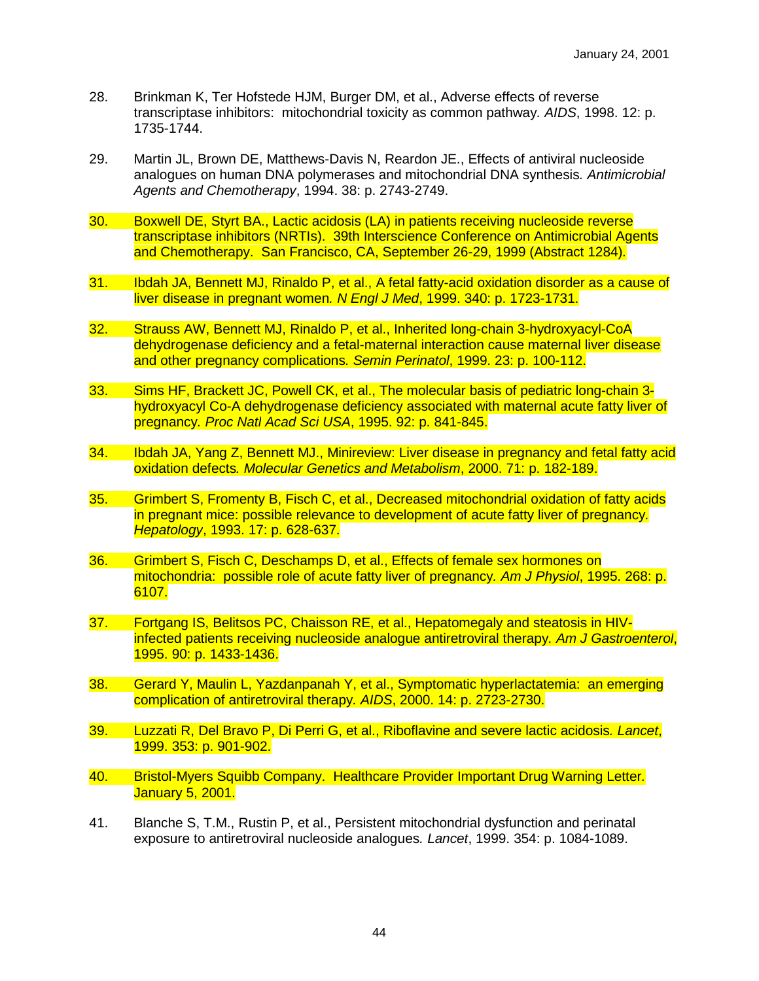- 28. Brinkman K, Ter Hofstede HJM, Burger DM, et al., Adverse effects of reverse transcriptase inhibitors: mitochondrial toxicity as common pathway*. AIDS*, 1998. 12: p. 1735-1744.
- 29. Martin JL, Brown DE, Matthews-Davis N, Reardon JE., Effects of antiviral nucleoside analogues on human DNA polymerases and mitochondrial DNA synthesis*. Antimicrobial Agents and Chemotherapy*, 1994. 38: p. 2743-2749.
- 30. Boxwell DE, Styrt BA., Lactic acidosis (LA) in patients receiving nucleoside reverse transcriptase inhibitors (NRTIs). 39th Interscience Conference on Antimicrobial Agents and Chemotherapy. San Francisco, CA, September 26-29, 1999 (Abstract 1284)*.*
- 31. Ibdah JA, Bennett MJ, Rinaldo P, et al., A fetal fatty-acid oxidation disorder as a cause of liver disease in pregnant women*. N Engl J Med*, 1999. 340: p. 1723-1731.
- 32. Strauss AW, Bennett MJ, Rinaldo P, et al., Inherited long-chain 3-hydroxyacyl-CoA dehydrogenase deficiency and a fetal-maternal interaction cause maternal liver disease and other pregnancy complications*. Semin Perinatol*, 1999. 23: p. 100-112.
- 33. Sims HF, Brackett JC, Powell CK, et al., The molecular basis of pediatric long-chain 3 hydroxyacyl Co-A dehydrogenase deficiency associated with maternal acute fatty liver of pregnancy*. Proc Natl Acad Sci USA*, 1995. 92: p. 841-845.
- 34. Ibdah JA, Yang Z, Bennett MJ., Minireview: Liver disease in pregnancy and fetal fatty acid oxidation defects*. Molecular Genetics and Metabolism*, 2000. 71: p. 182-189.
- 35. Grimbert S, Fromenty B, Fisch C, et al., Decreased mitochondrial oxidation of fatty acids in pregnant mice: possible relevance to development of acute fatty liver of pregnancy*. Hepatology*, 1993. 17: p. 628-637.
- 36. Grimbert S, Fisch C, Deschamps D, et al., Effects of female sex hormones on mitochondria: possible role of acute fatty liver of pregnancy*. Am J Physiol*, 1995. 268: p. 6107.
- 37. Fortgang IS, Belitsos PC, Chaisson RE, et al., Hepatomegaly and steatosis in HIVinfected patients receiving nucleoside analogue antiretroviral therapy*. Am J Gastroenterol*, 1995. 90: p. 1433-1436.
- 38. Gerard Y, Maulin L, Yazdanpanah Y, et al., Symptomatic hyperlactatemia: an emerging complication of antiretroviral therapy*. AIDS*, 2000. 14: p. 2723-2730.
- 39. Luzzati R, Del Bravo P, Di Perri G, et al., Riboflavine and severe lactic acidosis*. Lancet*, 1999. 353: p. 901-902.
- 40. Bristol-Myers Squibb Company. Healthcare Provider Important Drug Warning Letter*.* January 5, 2001.
- 41. Blanche S, T.M., Rustin P, et al., Persistent mitochondrial dysfunction and perinatal exposure to antiretroviral nucleoside analogues*. Lancet*, 1999. 354: p. 1084-1089.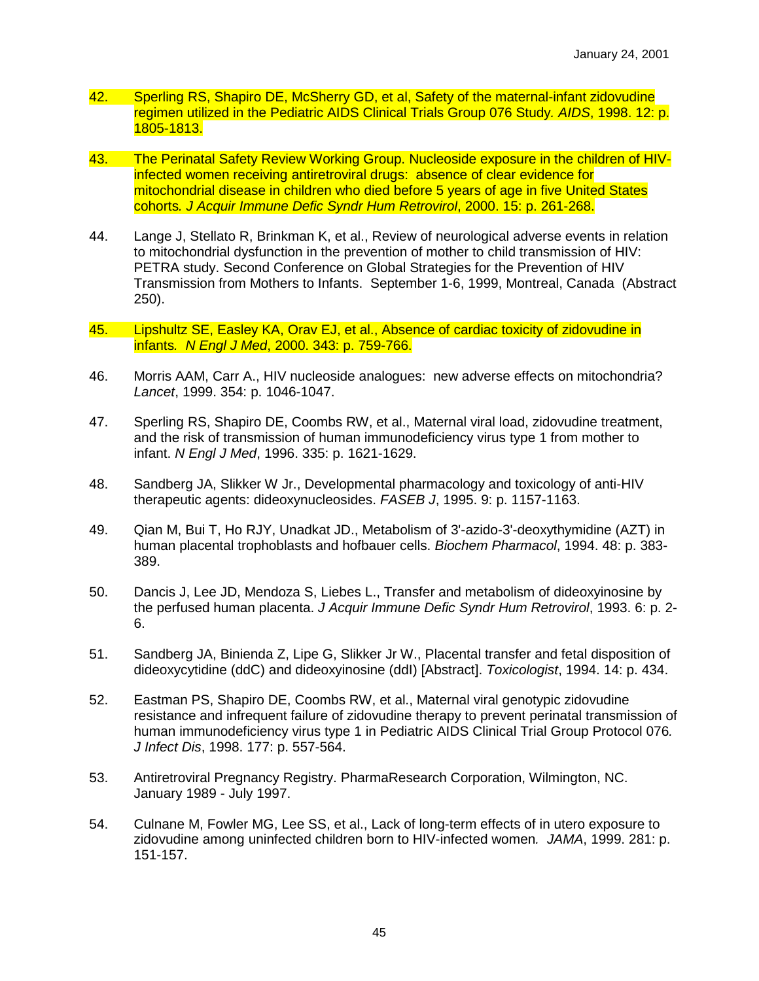- 42. Sperling RS, Shapiro DE, McSherry GD, et al, Safety of the maternal-infant zidovudine regimen utilized in the Pediatric AIDS Clinical Trials Group 076 Study*. AIDS*, 1998. 12: p. 1805-1813.
- 43. The Perinatal Safety Review Working Group. Nucleoside exposure in the children of HIVinfected women receiving antiretroviral drugs: absence of clear evidence for mitochondrial disease in children who died before 5 years of age in five United States cohorts*. J Acquir Immune Defic Syndr Hum Retrovirol*, 2000. 15: p. 261-268.
- 44. Lange J, Stellato R, Brinkman K, et al., Review of neurological adverse events in relation to mitochondrial dysfunction in the prevention of mother to child transmission of HIV: PETRA study. Second Conference on Global Strategies for the Prevention of HIV Transmission from Mothers to Infants. September 1-6, 1999, Montreal, Canada (Abstract 250).
- 45. Lipshultz SE, Easley KA, Orav EJ, et al., Absence of cardiac toxicity of zidovudine in infants*. N Engl J Med*, 2000. 343: p. 759-766.
- 46. Morris AAM, Carr A., HIV nucleoside analogues: new adverse effects on mitochondria? *Lancet*, 1999. 354: p. 1046-1047.
- 47. Sperling RS, Shapiro DE, Coombs RW, et al., Maternal viral load, zidovudine treatment, and the risk of transmission of human immunodeficiency virus type 1 from mother to infant. *N Engl J Med*, 1996. 335: p. 1621-1629.
- 48. Sandberg JA, Slikker W Jr., Developmental pharmacology and toxicology of anti-HIV therapeutic agents: dideoxynucleosides. *FASEB J*, 1995. 9: p. 1157-1163.
- 49. Qian M, Bui T, Ho RJY, Unadkat JD., Metabolism of 3'-azido-3'-deoxythymidine (AZT) in human placental trophoblasts and hofbauer cells. *Biochem Pharmacol*, 1994. 48: p. 383- 389.
- 50. Dancis J, Lee JD, Mendoza S, Liebes L., Transfer and metabolism of dideoxyinosine by the perfused human placenta. *J Acquir Immune Defic Syndr Hum Retrovirol*, 1993. 6: p. 2- 6.
- 51. Sandberg JA, Binienda Z, Lipe G, Slikker Jr W., Placental transfer and fetal disposition of dideoxycytidine (ddC) and dideoxyinosine (ddI) [Abstract]. *Toxicologist*, 1994. 14: p. 434.
- 52. Eastman PS, Shapiro DE, Coombs RW, et al., Maternal viral genotypic zidovudine resistance and infrequent failure of zidovudine therapy to prevent perinatal transmission of human immunodeficiency virus type 1 in Pediatric AIDS Clinical Trial Group Protocol 076*. J Infect Dis*, 1998. 177: p. 557-564.
- 53. Antiretroviral Pregnancy Registry. PharmaResearch Corporation, Wilmington, NC. January 1989 - July 1997.
- 54. Culnane M, Fowler MG, Lee SS, et al., Lack of long-term effects of in utero exposure to zidovudine among uninfected children born to HIV-infected women*. JAMA*, 1999. 281: p. 151-157.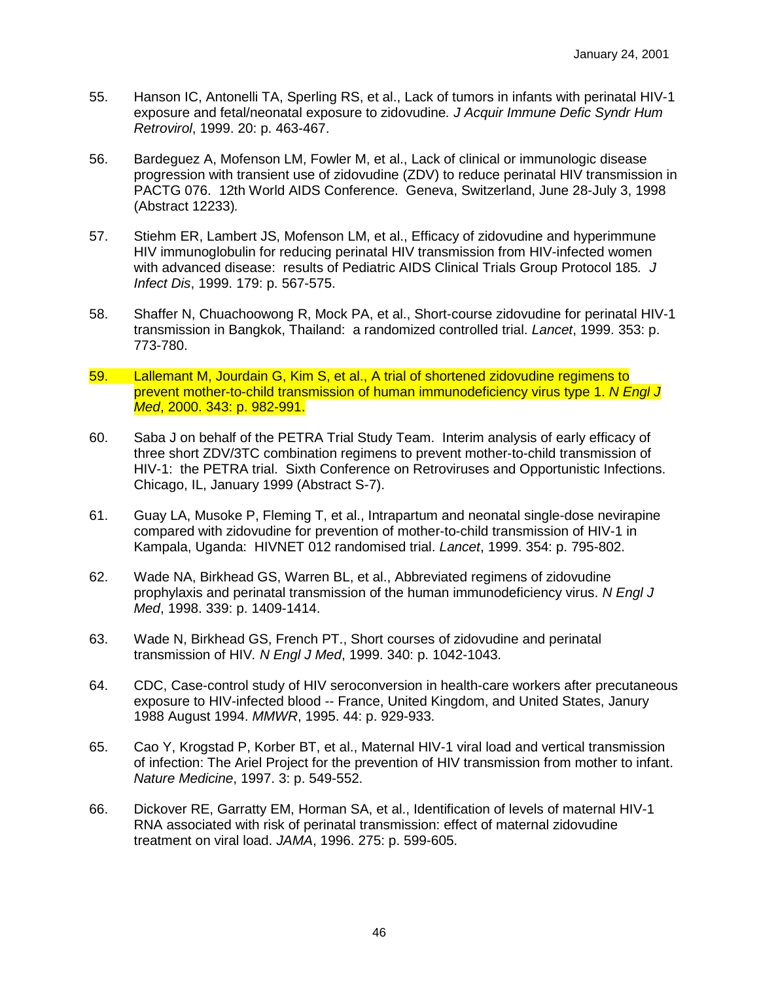- 55. Hanson IC, Antonelli TA, Sperling RS, et al., Lack of tumors in infants with perinatal HIV-1 exposure and fetal/neonatal exposure to zidovudine*. J Acquir Immune Defic Syndr Hum Retrovirol*, 1999. 20: p. 463-467.
- 56. Bardeguez A, Mofenson LM, Fowler M, et al., Lack of clinical or immunologic disease progression with transient use of zidovudine (ZDV) to reduce perinatal HIV transmission in PACTG 076. 12th World AIDS Conference. Geneva, Switzerland, June 28-July 3, 1998 (Abstract 12233)*.*
- 57. Stiehm ER, Lambert JS, Mofenson LM, et al., Efficacy of zidovudine and hyperimmune HIV immunoglobulin for reducing perinatal HIV transmission from HIV-infected women with advanced disease: results of Pediatric AIDS Clinical Trials Group Protocol 185*. J Infect Dis*, 1999. 179: p. 567-575.
- 58. Shaffer N, Chuachoowong R, Mock PA, et al., Short-course zidovudine for perinatal HIV-1 transmission in Bangkok, Thailand: a randomized controlled trial. *Lancet*, 1999. 353: p. 773-780.
- 59. Lallemant M, Jourdain G, Kim S, et al., A trial of shortened zidovudine regimens to prevent mother-to-child transmission of human immunodeficiency virus type 1. *N Engl J Med*, 2000. 343: p. 982-991.
- 60. Saba J on behalf of the PETRA Trial Study Team. Interim analysis of early efficacy of three short ZDV/3TC combination regimens to prevent mother-to-child transmission of HIV-1: the PETRA trial. Sixth Conference on Retroviruses and Opportunistic Infections. Chicago, IL, January 1999 (Abstract S-7).
- 61. Guay LA, Musoke P, Fleming T, et al., Intrapartum and neonatal single-dose nevirapine compared with zidovudine for prevention of mother-to-child transmission of HIV-1 in Kampala, Uganda: HIVNET 012 randomised trial. *Lancet*, 1999. 354: p. 795-802.
- 62. Wade NA, Birkhead GS, Warren BL, et al., Abbreviated regimens of zidovudine prophylaxis and perinatal transmission of the human immunodeficiency virus. *N Engl J Med*, 1998. 339: p. 1409-1414.
- 63. Wade N, Birkhead GS, French PT., Short courses of zidovudine and perinatal transmission of HIV*. N Engl J Med*, 1999. 340: p. 1042-1043.
- 64. CDC, Case-control study of HIV seroconversion in health-care workers after precutaneous exposure to HIV-infected blood -- France, United Kingdom, and United States, Janury 1988 August 1994. *MMWR*, 1995. 44: p. 929-933.
- 65. Cao Y, Krogstad P, Korber BT, et al., Maternal HIV-1 viral load and vertical transmission of infection: The Ariel Project for the prevention of HIV transmission from mother to infant. *Nature Medicine*, 1997. 3: p. 549-552.
- 66. Dickover RE, Garratty EM, Horman SA, et al., Identification of levels of maternal HIV-1 RNA associated with risk of perinatal transmission: effect of maternal zidovudine treatment on viral load. *JAMA*, 1996. 275: p. 599-605.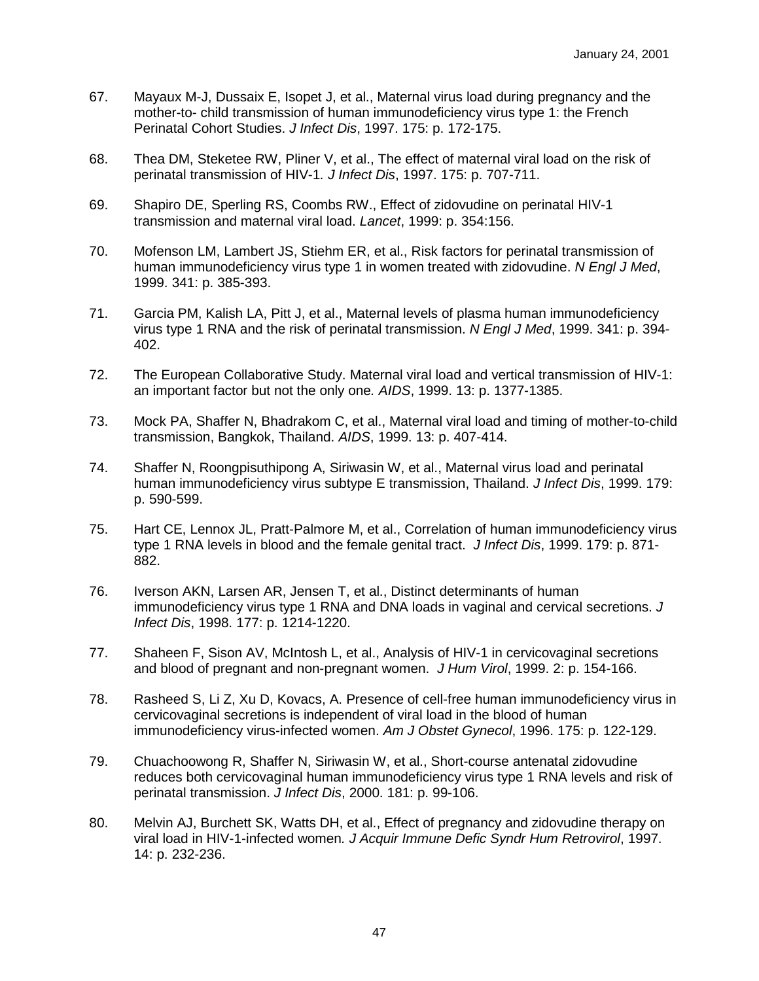- 67. Mayaux M-J, Dussaix E, Isopet J, et al., Maternal virus load during pregnancy and the mother-to- child transmission of human immunodeficiency virus type 1: the French Perinatal Cohort Studies. *J Infect Dis*, 1997. 175: p. 172-175.
- 68. Thea DM, Steketee RW, Pliner V, et al., The effect of maternal viral load on the risk of perinatal transmission of HIV-1*. J Infect Dis*, 1997. 175: p. 707-711.
- 69. Shapiro DE, Sperling RS, Coombs RW., Effect of zidovudine on perinatal HIV-1 transmission and maternal viral load. *Lancet*, 1999: p. 354:156.
- 70. Mofenson LM, Lambert JS, Stiehm ER, et al., Risk factors for perinatal transmission of human immunodeficiency virus type 1 in women treated with zidovudine. *N Engl J Med*, 1999. 341: p. 385-393.
- 71. Garcia PM, Kalish LA, Pitt J, et al., Maternal levels of plasma human immunodeficiency virus type 1 RNA and the risk of perinatal transmission. *N Engl J Med*, 1999. 341: p. 394- 402.
- 72. The European Collaborative Study. Maternal viral load and vertical transmission of HIV-1: an important factor but not the only one*. AIDS*, 1999. 13: p. 1377-1385.
- 73. Mock PA, Shaffer N, Bhadrakom C, et al., Maternal viral load and timing of mother-to-child transmission, Bangkok, Thailand. *AIDS*, 1999. 13: p. 407-414.
- 74. Shaffer N, Roongpisuthipong A, Siriwasin W, et al., Maternal virus load and perinatal human immunodeficiency virus subtype E transmission, Thailand. *J Infect Dis*, 1999. 179: p. 590-599.
- 75. Hart CE, Lennox JL, Pratt-Palmore M, et al., Correlation of human immunodeficiency virus type 1 RNA levels in blood and the female genital tract. *J Infect Dis*, 1999. 179: p. 871- 882.
- 76. Iverson AKN, Larsen AR, Jensen T, et al., Distinct determinants of human immunodeficiency virus type 1 RNA and DNA loads in vaginal and cervical secretions. *J Infect Dis*, 1998. 177: p. 1214-1220.
- 77. Shaheen F, Sison AV, McIntosh L, et al., Analysis of HIV-1 in cervicovaginal secretions and blood of pregnant and non-pregnant women. *J Hum Virol*, 1999. 2: p. 154-166.
- 78. Rasheed S, Li Z, Xu D, Kovacs, A. Presence of cell-free human immunodeficiency virus in cervicovaginal secretions is independent of viral load in the blood of human immunodeficiency virus-infected women. *Am J Obstet Gynecol*, 1996. 175: p. 122-129.
- 79. Chuachoowong R, Shaffer N, Siriwasin W, et al., Short-course antenatal zidovudine reduces both cervicovaginal human immunodeficiency virus type 1 RNA levels and risk of perinatal transmission. *J Infect Dis*, 2000. 181: p. 99-106.
- 80. Melvin AJ, Burchett SK, Watts DH, et al., Effect of pregnancy and zidovudine therapy on viral load in HIV-1-infected women*. J Acquir Immune Defic Syndr Hum Retrovirol*, 1997. 14: p. 232-236.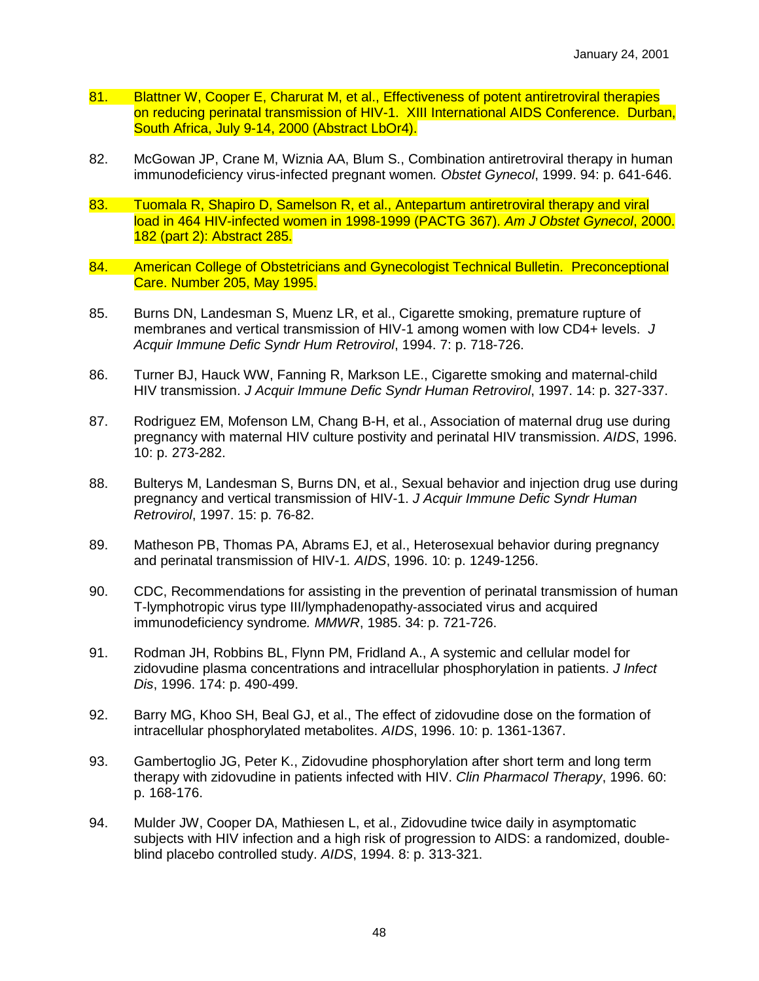- 81. Blattner W, Cooper E, Charurat M, et al., Effectiveness of potent antiretroviral therapies on reducing perinatal transmission of HIV-1. XIII International AIDS Conference. Durban, South Africa, July 9-14, 2000 (Abstract LbOr4).
- 82. McGowan JP, Crane M, Wiznia AA, Blum S., Combination antiretroviral therapy in human immunodeficiency virus-infected pregnant women*. Obstet Gynecol*, 1999. 94: p. 641-646.
- 83. Tuomala R, Shapiro D, Samelson R, et al., Antepartum antiretroviral therapy and viral load in 464 HIV-infected women in 1998-1999 (PACTG 367). *Am J Obstet Gynecol*, 2000. 182 (part 2): Abstract 285.
- 84. American College of Obstetricians and Gynecologist Technical Bulletin. Preconceptional Care. Number 205, May 1995.
- 85. Burns DN, Landesman S, Muenz LR, et al., Cigarette smoking, premature rupture of membranes and vertical transmission of HIV-1 among women with low CD4+ levels. *J Acquir Immune Defic Syndr Hum Retrovirol*, 1994. 7: p. 718-726.
- 86. Turner BJ, Hauck WW, Fanning R, Markson LE., Cigarette smoking and maternal-child HIV transmission. *J Acquir Immune Defic Syndr Human Retrovirol*, 1997. 14: p. 327-337.
- 87. Rodriguez EM, Mofenson LM, Chang B-H, et al., Association of maternal drug use during pregnancy with maternal HIV culture postivity and perinatal HIV transmission. *AIDS*, 1996. 10: p. 273-282.
- 88. Bulterys M, Landesman S, Burns DN, et al., Sexual behavior and injection drug use during pregnancy and vertical transmission of HIV-1. *J Acquir Immune Defic Syndr Human Retrovirol*, 1997. 15: p. 76-82.
- 89. Matheson PB, Thomas PA, Abrams EJ, et al., Heterosexual behavior during pregnancy and perinatal transmission of HIV-1*. AIDS*, 1996. 10: p. 1249-1256.
- 90. CDC, Recommendations for assisting in the prevention of perinatal transmission of human T-lymphotropic virus type III/lymphadenopathy-associated virus and acquired immunodeficiency syndrome*. MMWR*, 1985. 34: p. 721-726.
- 91. Rodman JH, Robbins BL, Flynn PM, Fridland A., A systemic and cellular model for zidovudine plasma concentrations and intracellular phosphorylation in patients. *J Infect Dis*, 1996. 174: p. 490-499.
- 92. Barry MG, Khoo SH, Beal GJ, et al., The effect of zidovudine dose on the formation of intracellular phosphorylated metabolites. *AIDS*, 1996. 10: p. 1361-1367.
- 93. Gambertoglio JG, Peter K., Zidovudine phosphorylation after short term and long term therapy with zidovudine in patients infected with HIV. *Clin Pharmacol Therapy*, 1996. 60: p. 168-176.
- 94. Mulder JW, Cooper DA, Mathiesen L, et al., Zidovudine twice daily in asymptomatic subjects with HIV infection and a high risk of progression to AIDS: a randomized, doubleblind placebo controlled study. *AIDS*, 1994. 8: p. 313-321.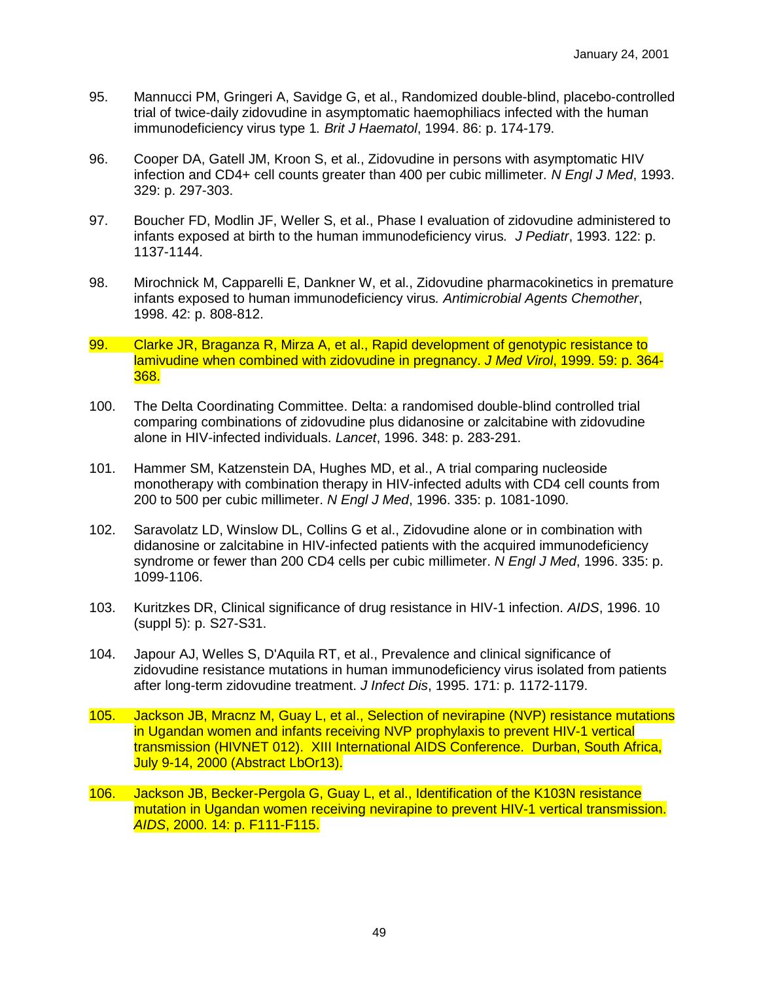- 95. Mannucci PM, Gringeri A, Savidge G, et al., Randomized double-blind, placebo-controlled trial of twice-daily zidovudine in asymptomatic haemophiliacs infected with the human immunodeficiency virus type 1*. Brit J Haematol*, 1994. 86: p. 174-179.
- 96. Cooper DA, Gatell JM, Kroon S, et al., Zidovudine in persons with asymptomatic HIV infection and CD4+ cell counts greater than 400 per cubic millimeter*. N Engl J Med*, 1993. 329: p. 297-303.
- 97. Boucher FD, Modlin JF, Weller S, et al., Phase I evaluation of zidovudine administered to infants exposed at birth to the human immunodeficiency virus*. J Pediatr*, 1993. 122: p. 1137-1144.
- 98. Mirochnick M, Capparelli E, Dankner W, et al., Zidovudine pharmacokinetics in premature infants exposed to human immunodeficiency virus*. Antimicrobial Agents Chemother*, 1998. 42: p. 808-812.
- 99. Clarke JR, Braganza R, Mirza A, et al., Rapid development of genotypic resistance to lamivudine when combined with zidovudine in pregnancy. *J Med Virol*, 1999. 59: p. 364- 368.
- 100. The Delta Coordinating Committee. Delta: a randomised double-blind controlled trial comparing combinations of zidovudine plus didanosine or zalcitabine with zidovudine alone in HIV-infected individuals. *Lancet*, 1996. 348: p. 283-291.
- 101. Hammer SM, Katzenstein DA, Hughes MD, et al., A trial comparing nucleoside monotherapy with combination therapy in HIV-infected adults with CD4 cell counts from 200 to 500 per cubic millimeter. *N Engl J Med*, 1996. 335: p. 1081-1090.
- 102. Saravolatz LD, Winslow DL, Collins G et al., Zidovudine alone or in combination with didanosine or zalcitabine in HIV-infected patients with the acquired immunodeficiency syndrome or fewer than 200 CD4 cells per cubic millimeter. *N Engl J Med*, 1996. 335: p. 1099-1106.
- 103. Kuritzkes DR, Clinical significance of drug resistance in HIV-1 infection. *AIDS*, 1996. 10 (suppl 5): p. S27-S31.
- 104. Japour AJ, Welles S, D'Aquila RT, et al., Prevalence and clinical significance of zidovudine resistance mutations in human immunodeficiency virus isolated from patients after long-term zidovudine treatment. *J Infect Dis*, 1995. 171: p. 1172-1179.
- 105. Jackson JB, Mracnz M, Guay L, et al., Selection of nevirapine (NVP) resistance mutations in Ugandan women and infants receiving NVP prophylaxis to prevent HIV-1 vertical transmission (HIVNET 012). XIII International AIDS Conference. Durban, South Africa, July 9-14, 2000 (Abstract LbOr13).
- 106. Jackson JB, Becker-Pergola G, Guay L, et al., Identification of the K103N resistance mutation in Ugandan women receiving nevirapine to prevent HIV-1 vertical transmission. *AIDS*, 2000. 14: p. F111-F115.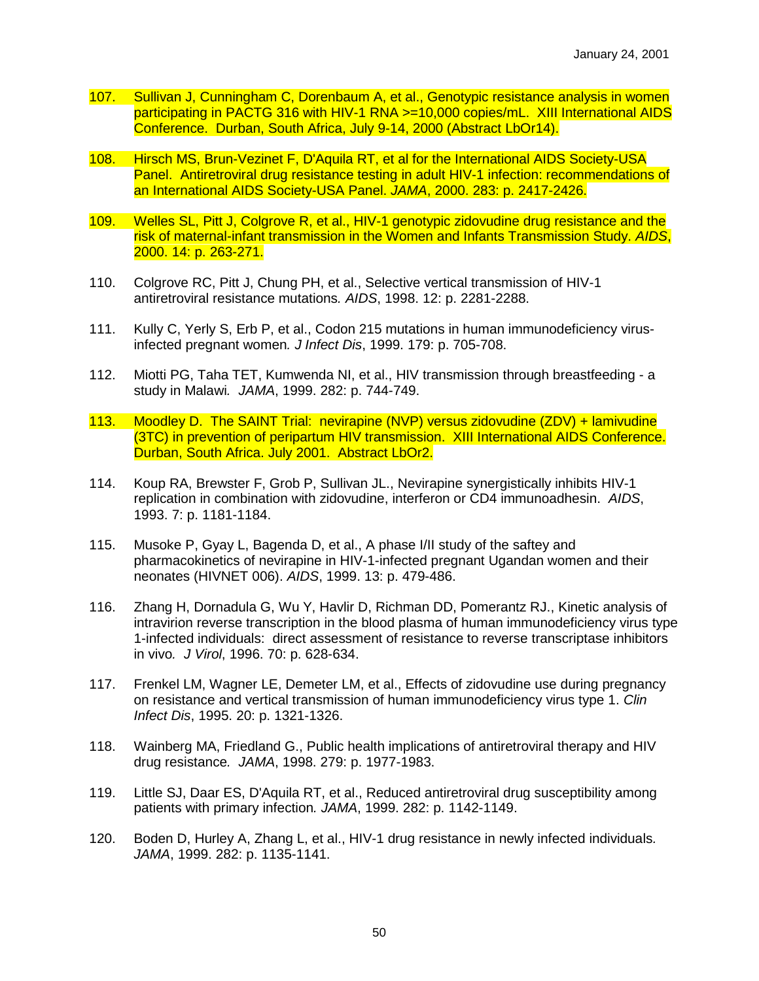- 107. Sullivan J, Cunningham C, Dorenbaum A, et al., Genotypic resistance analysis in women participating in PACTG 316 with HIV-1 RNA >=10,000 copies/mL. XIII International AIDS Conference. Durban, South Africa, July 9-14, 2000 (Abstract LbOr14).
- 108. Hirsch MS, Brun-Vezinet F, D'Aquila RT, et al for the International AIDS Society-USA Panel. Antiretroviral drug resistance testing in adult HIV-1 infection: recommendations of an International AIDS Society-USA Panel. *JAMA*, 2000. 283: p. 2417-2426.
- 109. Welles SL, Pitt J, Colgrove R, et al., HIV-1 genotypic zidovudine drug resistance and the risk of maternal-infant transmission in the Women and Infants Transmission Study. *AIDS*, 2000. 14: p. 263-271.
- 110. Colgrove RC, Pitt J, Chung PH, et al., Selective vertical transmission of HIV-1 antiretroviral resistance mutations*. AIDS*, 1998. 12: p. 2281-2288.
- 111. Kully C, Yerly S, Erb P, et al., Codon 215 mutations in human immunodeficiency virusinfected pregnant women*. J Infect Dis*, 1999. 179: p. 705-708.
- 112. Miotti PG, Taha TET, Kumwenda NI, et al., HIV transmission through breastfeeding a study in Malawi*. JAMA*, 1999. 282: p. 744-749.
- 113. Moodley D. The SAINT Trial: nevirapine (NVP) versus zidovudine (ZDV) + lamivudine (3TC) in prevention of peripartum HIV transmission. XIII International AIDS Conference. Durban, South Africa. July 2001. Abstract LbOr2.
- 114. Koup RA, Brewster F, Grob P, Sullivan JL., Nevirapine synergistically inhibits HIV-1 replication in combination with zidovudine, interferon or CD4 immunoadhesin. *AIDS*, 1993. 7: p. 1181-1184.
- 115. Musoke P, Gyay L, Bagenda D, et al., A phase I/II study of the saftey and pharmacokinetics of nevirapine in HIV-1-infected pregnant Ugandan women and their neonates (HIVNET 006). *AIDS*, 1999. 13: p. 479-486.
- 116. Zhang H, Dornadula G, Wu Y, Havlir D, Richman DD, Pomerantz RJ., Kinetic analysis of intravirion reverse transcription in the blood plasma of human immunodeficiency virus type 1-infected individuals: direct assessment of resistance to reverse transcriptase inhibitors in vivo*. J Virol*, 1996. 70: p. 628-634.
- 117. Frenkel LM, Wagner LE, Demeter LM, et al., Effects of zidovudine use during pregnancy on resistance and vertical transmission of human immunodeficiency virus type 1. *Clin Infect Dis*, 1995. 20: p. 1321-1326.
- 118. Wainberg MA, Friedland G., Public health implications of antiretroviral therapy and HIV drug resistance*. JAMA*, 1998. 279: p. 1977-1983.
- 119. Little SJ, Daar ES, D'Aquila RT, et al., Reduced antiretroviral drug susceptibility among patients with primary infection*. JAMA*, 1999. 282: p. 1142-1149.
- 120. Boden D, Hurley A, Zhang L, et al., HIV-1 drug resistance in newly infected individuals*. JAMA*, 1999. 282: p. 1135-1141.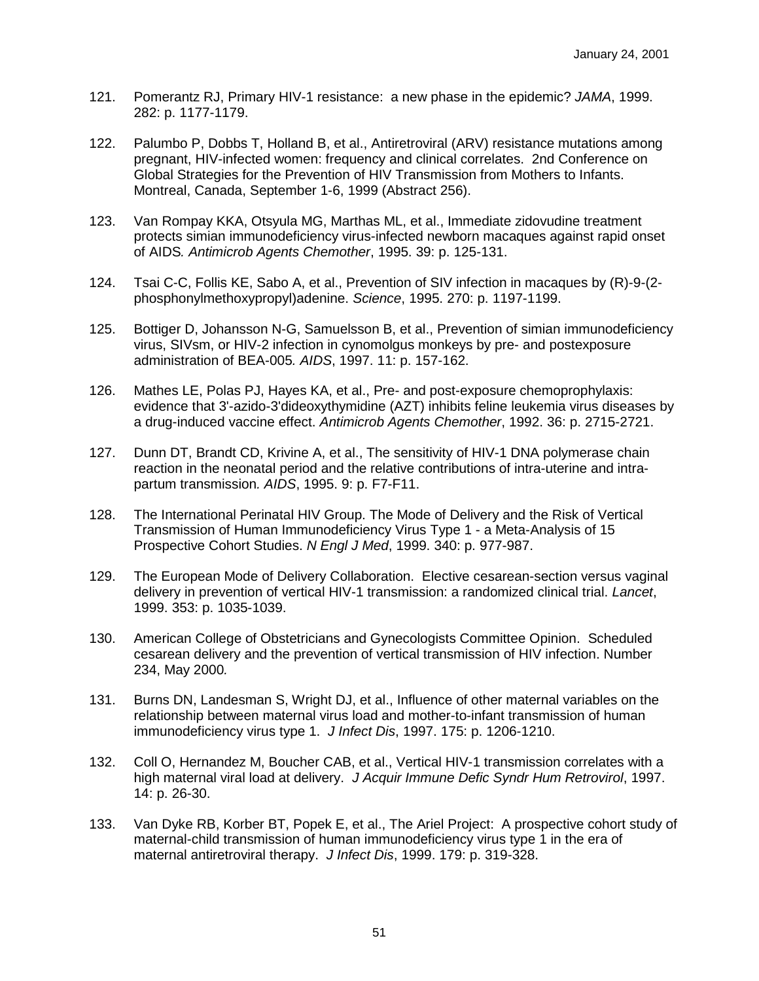- 121. Pomerantz RJ, Primary HIV-1 resistance: a new phase in the epidemic? *JAMA*, 1999. 282: p. 1177-1179.
- 122. Palumbo P, Dobbs T, Holland B, et al., Antiretroviral (ARV) resistance mutations among pregnant, HIV-infected women: frequency and clinical correlates. 2nd Conference on Global Strategies for the Prevention of HIV Transmission from Mothers to Infants. Montreal, Canada, September 1-6, 1999 (Abstract 256).
- 123. Van Rompay KKA, Otsyula MG, Marthas ML, et al., Immediate zidovudine treatment protects simian immunodeficiency virus-infected newborn macaques against rapid onset of AIDS*. Antimicrob Agents Chemother*, 1995. 39: p. 125-131.
- 124. Tsai C-C, Follis KE, Sabo A, et al., Prevention of SIV infection in macaques by (R)-9-(2 phosphonylmethoxypropyl)adenine. *Science*, 1995. 270: p. 1197-1199.
- 125. Bottiger D, Johansson N-G, Samuelsson B, et al., Prevention of simian immunodeficiency virus, SIVsm, or HIV-2 infection in cynomolgus monkeys by pre- and postexposure administration of BEA-005*. AIDS*, 1997. 11: p. 157-162.
- 126. Mathes LE, Polas PJ, Hayes KA, et al., Pre- and post-exposure chemoprophylaxis: evidence that 3'-azido-3'dideoxythymidine (AZT) inhibits feline leukemia virus diseases by a drug-induced vaccine effect. *Antimicrob Agents Chemother*, 1992. 36: p. 2715-2721.
- 127. Dunn DT, Brandt CD, Krivine A, et al., The sensitivity of HIV-1 DNA polymerase chain reaction in the neonatal period and the relative contributions of intra-uterine and intrapartum transmission*. AIDS*, 1995. 9: p. F7-F11.
- 128. The International Perinatal HIV Group. The Mode of Delivery and the Risk of Vertical Transmission of Human Immunodeficiency Virus Type 1 - a Meta-Analysis of 15 Prospective Cohort Studies. *N Engl J Med*, 1999. 340: p. 977-987.
- 129. The European Mode of Delivery Collaboration. Elective cesarean-section versus vaginal delivery in prevention of vertical HIV-1 transmission: a randomized clinical trial. *Lancet*, 1999. 353: p. 1035-1039.
- 130. American College of Obstetricians and Gynecologists Committee Opinion. Scheduled cesarean delivery and the prevention of vertical transmission of HIV infection. Number 234, May 2000*.*
- 131. Burns DN, Landesman S, Wright DJ, et al., Influence of other maternal variables on the relationship between maternal virus load and mother-to-infant transmission of human immunodeficiency virus type 1. *J Infect Dis*, 1997. 175: p. 1206-1210.
- 132. Coll O, Hernandez M, Boucher CAB, et al., Vertical HIV-1 transmission correlates with a high maternal viral load at delivery. *J Acquir Immune Defic Syndr Hum Retrovirol*, 1997. 14: p. 26-30.
- 133. Van Dyke RB, Korber BT, Popek E, et al., The Ariel Project: A prospective cohort study of maternal-child transmission of human immunodeficiency virus type 1 in the era of maternal antiretroviral therapy. *J Infect Dis*, 1999. 179: p. 319-328.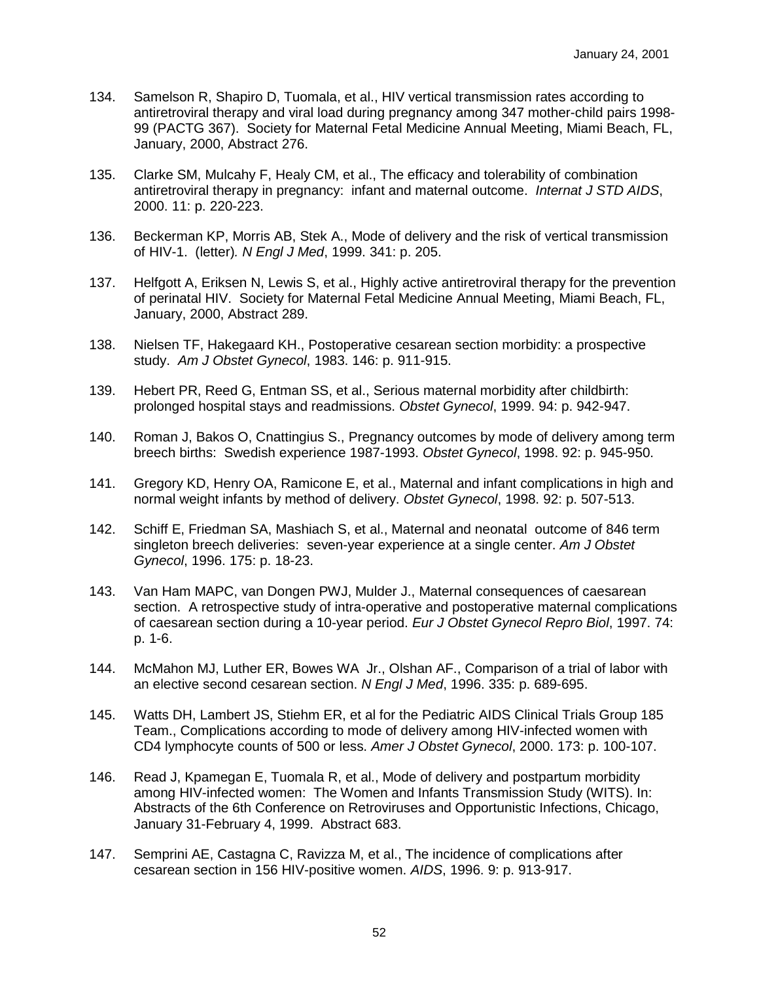- 134. Samelson R, Shapiro D, Tuomala, et al., HIV vertical transmission rates according to antiretroviral therapy and viral load during pregnancy among 347 mother-child pairs 1998- 99 (PACTG 367). Society for Maternal Fetal Medicine Annual Meeting, Miami Beach, FL, January, 2000, Abstract 276.
- 135. Clarke SM, Mulcahy F, Healy CM, et al., The efficacy and tolerability of combination antiretroviral therapy in pregnancy: infant and maternal outcome. *Internat J STD AIDS*, 2000. 11: p. 220-223.
- 136. Beckerman KP, Morris AB, Stek A., Mode of delivery and the risk of vertical transmission of HIV-1. (letter)*. N Engl J Med*, 1999. 341: p. 205.
- 137. Helfgott A, Eriksen N, Lewis S, et al., Highly active antiretroviral therapy for the prevention of perinatal HIV. Society for Maternal Fetal Medicine Annual Meeting, Miami Beach, FL, January, 2000, Abstract 289.
- 138. Nielsen TF, Hakegaard KH., Postoperative cesarean section morbidity: a prospective study. *Am J Obstet Gynecol*, 1983. 146: p. 911-915.
- 139. Hebert PR, Reed G, Entman SS, et al., Serious maternal morbidity after childbirth: prolonged hospital stays and readmissions. *Obstet Gynecol*, 1999. 94: p. 942-947.
- 140. Roman J, Bakos O, Cnattingius S., Pregnancy outcomes by mode of delivery among term breech births: Swedish experience 1987-1993. *Obstet Gynecol*, 1998. 92: p. 945-950.
- 141. Gregory KD, Henry OA, Ramicone E, et al., Maternal and infant complications in high and normal weight infants by method of delivery. *Obstet Gynecol*, 1998. 92: p. 507-513.
- 142. Schiff E, Friedman SA, Mashiach S, et al., Maternal and neonatal outcome of 846 term singleton breech deliveries: seven-year experience at a single center. *Am J Obstet Gynecol*, 1996. 175: p. 18-23.
- 143. Van Ham MAPC, van Dongen PWJ, Mulder J., Maternal consequences of caesarean section. A retrospective study of intra-operative and postoperative maternal complications of caesarean section during a 10-year period. *Eur J Obstet Gynecol Repro Biol*, 1997. 74: p. 1-6.
- 144. McMahon MJ, Luther ER, Bowes WA Jr., Olshan AF., Comparison of a trial of labor with an elective second cesarean section. *N Engl J Med*, 1996. 335: p. 689-695.
- 145. Watts DH, Lambert JS, Stiehm ER, et al for the Pediatric AIDS Clinical Trials Group 185 Team., Complications according to mode of delivery among HIV-infected women with CD4 lymphocyte counts of 500 or less. *Amer J Obstet Gynecol*, 2000. 173: p. 100-107.
- 146. Read J, Kpamegan E, Tuomala R, et al., Mode of delivery and postpartum morbidity among HIV-infected women: The Women and Infants Transmission Study (WITS). In: Abstracts of the 6th Conference on Retroviruses and Opportunistic Infections, Chicago, January 31-February 4, 1999. Abstract 683.
- 147. Semprini AE, Castagna C, Ravizza M, et al., The incidence of complications after cesarean section in 156 HIV-positive women. *AIDS*, 1996. 9: p. 913-917.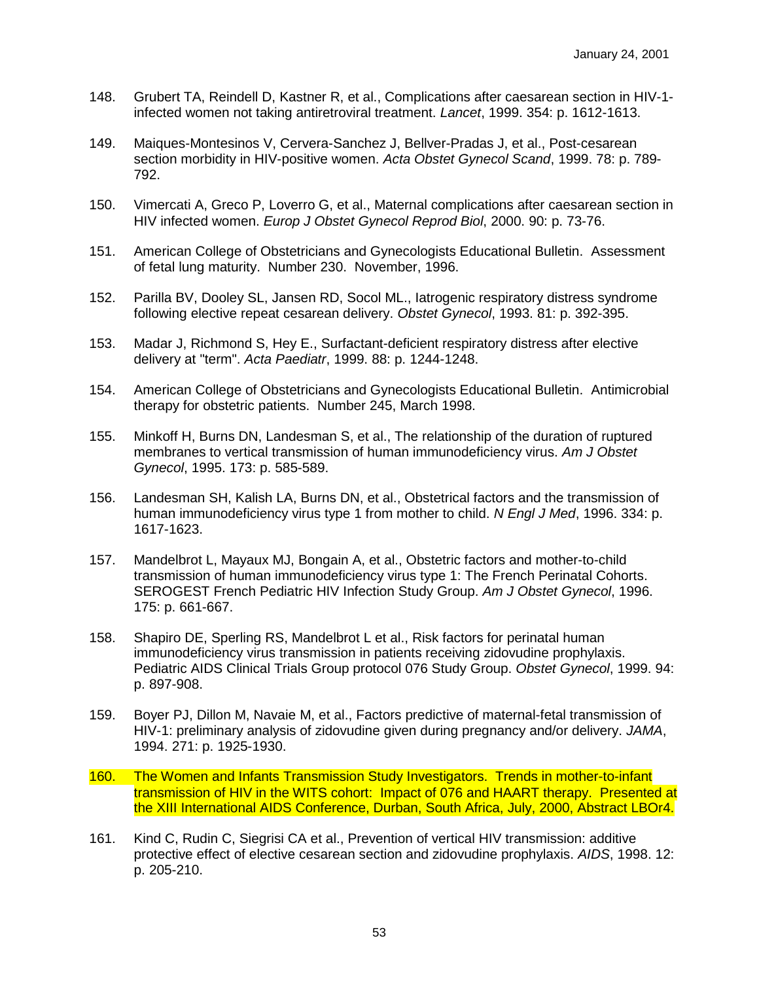- 148. Grubert TA, Reindell D, Kastner R, et al., Complications after caesarean section in HIV-1 infected women not taking antiretroviral treatment. *Lancet*, 1999. 354: p. 1612-1613.
- 149. Maiques-Montesinos V, Cervera-Sanchez J, Bellver-Pradas J, et al., Post-cesarean section morbidity in HIV-positive women. *Acta Obstet Gynecol Scand*, 1999. 78: p. 789- 792.
- 150. Vimercati A, Greco P, Loverro G, et al., Maternal complications after caesarean section in HIV infected women. *Europ J Obstet Gynecol Reprod Biol*, 2000. 90: p. 73-76.
- 151. American College of Obstetricians and Gynecologists Educational Bulletin. Assessment of fetal lung maturity. Number 230. November, 1996.
- 152. Parilla BV, Dooley SL, Jansen RD, Socol ML., Iatrogenic respiratory distress syndrome following elective repeat cesarean delivery. *Obstet Gynecol*, 1993. 81: p. 392-395.
- 153. Madar J, Richmond S, Hey E., Surfactant-deficient respiratory distress after elective delivery at "term". *Acta Paediatr*, 1999. 88: p. 1244-1248.
- 154. American College of Obstetricians and Gynecologists Educational Bulletin. Antimicrobial therapy for obstetric patients. Number 245, March 1998.
- 155. Minkoff H, Burns DN, Landesman S, et al., The relationship of the duration of ruptured membranes to vertical transmission of human immunodeficiency virus. *Am J Obstet Gynecol*, 1995. 173: p. 585-589.
- 156. Landesman SH, Kalish LA, Burns DN, et al., Obstetrical factors and the transmission of human immunodeficiency virus type 1 from mother to child. *N Engl J Med*, 1996. 334: p. 1617-1623.
- 157. Mandelbrot L, Mayaux MJ, Bongain A, et al., Obstetric factors and mother-to-child transmission of human immunodeficiency virus type 1: The French Perinatal Cohorts. SEROGEST French Pediatric HIV Infection Study Group. *Am J Obstet Gynecol*, 1996. 175: p. 661-667.
- 158. Shapiro DE, Sperling RS, Mandelbrot L et al., Risk factors for perinatal human immunodeficiency virus transmission in patients receiving zidovudine prophylaxis. Pediatric AIDS Clinical Trials Group protocol 076 Study Group. *Obstet Gynecol*, 1999. 94: p. 897-908.
- 159. Boyer PJ, Dillon M, Navaie M, et al., Factors predictive of maternal-fetal transmission of HIV-1: preliminary analysis of zidovudine given during pregnancy and/or delivery. *JAMA*, 1994. 271: p. 1925-1930.
- 160. The Women and Infants Transmission Study Investigators. Trends in mother-to-infant transmission of HIV in the WITS cohort: Impact of 076 and HAART therapy. Presented at the XIII International AIDS Conference, Durban, South Africa, July, 2000, Abstract LBOr4.
- 161. Kind C, Rudin C, Siegrisi CA et al., Prevention of vertical HIV transmission: additive protective effect of elective cesarean section and zidovudine prophylaxis. *AIDS*, 1998. 12: p. 205-210.